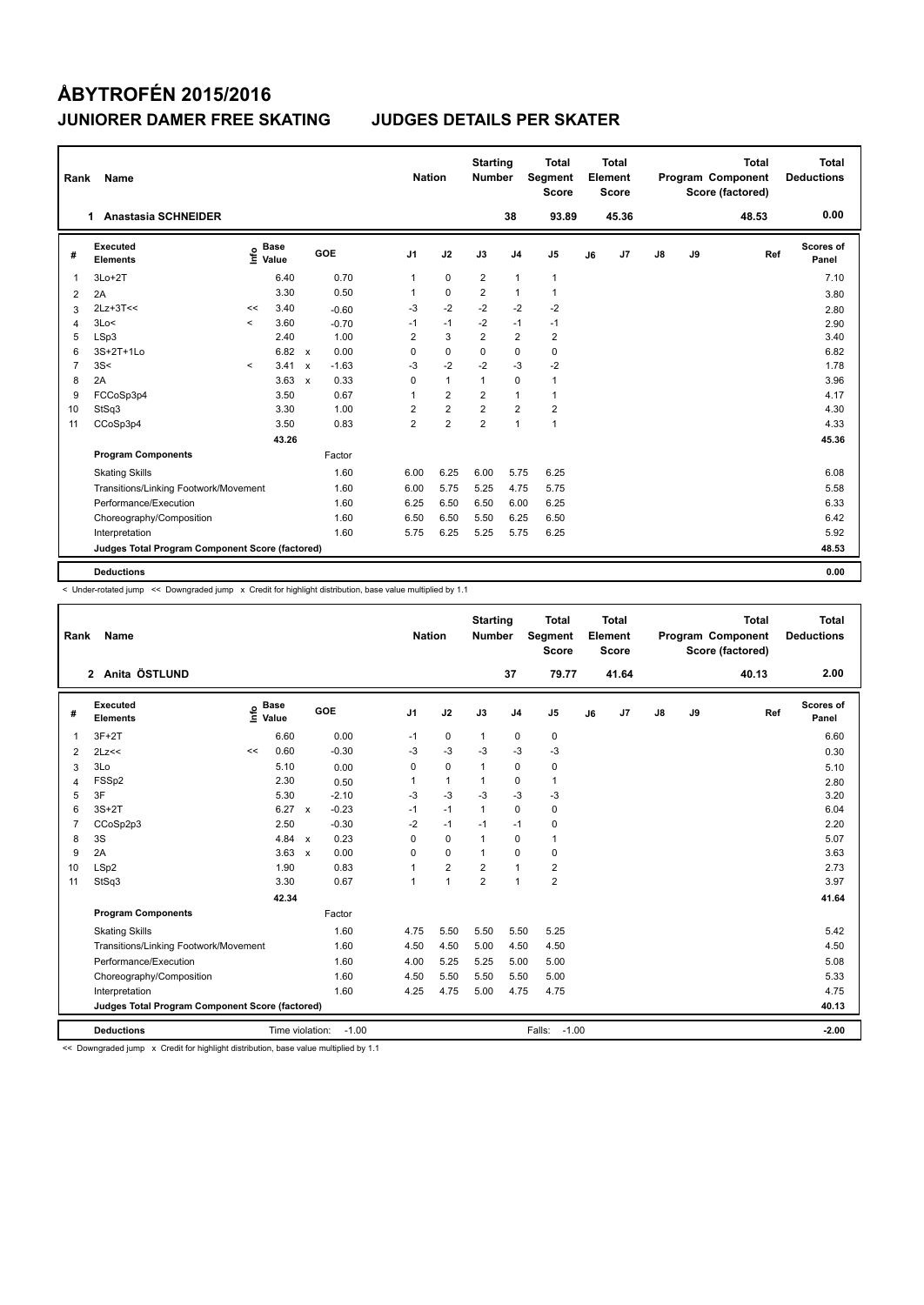| Rank           | <b>Name</b>                                     |         |                      |              |         |                | <b>Nation</b> |                | <b>Starting</b><br><b>Number</b> |                | <b>Total</b><br>Segment<br><b>Score</b> |    | Total<br>Element<br><b>Score</b> |               |    | <b>Total</b><br>Program Component<br>Score (factored) | Total<br><b>Deductions</b> |
|----------------|-------------------------------------------------|---------|----------------------|--------------|---------|----------------|---------------|----------------|----------------------------------|----------------|-----------------------------------------|----|----------------------------------|---------------|----|-------------------------------------------------------|----------------------------|
|                | <b>Anastasia SCHNEIDER</b><br>1.                |         |                      |              |         |                |               |                |                                  | 38             | 93.89                                   |    | 45.36                            |               |    | 48.53                                                 | 0.00                       |
| #              | Executed<br><b>Elements</b>                     | lnfo    | <b>Base</b><br>Value |              | GOE     | J <sub>1</sub> |               | J2             | J3                               | J <sub>4</sub> | J <sub>5</sub>                          | J6 | J <sub>7</sub>                   | $\mathsf{J}8$ | J9 | Ref                                                   | Scores of<br>Panel         |
| $\mathbf{1}$   | $3Lo+2T$                                        |         | 6.40                 |              | 0.70    | $\mathbf{1}$   |               | $\mathbf 0$    | $\overline{2}$                   | $\mathbf{1}$   | $\mathbf{1}$                            |    |                                  |               |    |                                                       | 7.10                       |
| 2              | 2A                                              |         | 3.30                 |              | 0.50    |                |               | $\mathbf 0$    | $\overline{2}$                   | $\mathbf{1}$   | 1                                       |    |                                  |               |    |                                                       | 3.80                       |
| 3              | $2Lz+3T<<$                                      | <<      | 3.40                 |              | $-0.60$ | -3             |               | $-2$           | $-2$                             | $-2$           | $-2$                                    |    |                                  |               |    |                                                       | 2.80                       |
| $\overline{4}$ | 3Lo<                                            | $\prec$ | 3.60                 |              | $-0.70$ | $-1$           |               | $-1$           | $-2$                             | $-1$           | $-1$                                    |    |                                  |               |    |                                                       | 2.90                       |
| 5              | LSp3                                            |         | 2.40                 |              | 1.00    | $\overline{2}$ |               | 3              | $\overline{2}$                   | $\overline{2}$ | $\overline{2}$                          |    |                                  |               |    |                                                       | 3.40                       |
| 6              | 3S+2T+1Lo                                       |         | $6.82 \times$        |              | 0.00    | 0              |               | $\mathbf 0$    | $\Omega$                         | $\mathbf 0$    | $\mathbf 0$                             |    |                                  |               |    |                                                       | 6.82                       |
| $\overline{7}$ | 3S<                                             | $\prec$ | 3.41                 | $\mathsf{x}$ | $-1.63$ | $-3$           |               | $-2$           | $-2$                             | $-3$           | $-2$                                    |    |                                  |               |    |                                                       | 1.78                       |
| 8              | 2A                                              |         | 3.63                 | $\mathbf{x}$ | 0.33    | $\Omega$       |               | $\mathbf{1}$   | $\mathbf{1}$                     | $\Omega$       | $\mathbf{1}$                            |    |                                  |               |    |                                                       | 3.96                       |
| 9              | FCCoSp3p4                                       |         | 3.50                 |              | 0.67    | 1              |               | $\overline{2}$ | $\overline{2}$                   | $\mathbf{1}$   | 1                                       |    |                                  |               |    |                                                       | 4.17                       |
| 10             | StSq3                                           |         | 3.30                 |              | 1.00    | 2              |               | $\overline{2}$ | $\overline{2}$                   | $\overline{2}$ | $\overline{2}$                          |    |                                  |               |    |                                                       | 4.30                       |
| 11             | CCoSp3p4                                        |         | 3.50                 |              | 0.83    | $\overline{2}$ |               | $\overline{2}$ | $\overline{2}$                   | $\mathbf{1}$   | $\mathbf{1}$                            |    |                                  |               |    |                                                       | 4.33                       |
|                |                                                 |         | 43.26                |              |         |                |               |                |                                  |                |                                         |    |                                  |               |    |                                                       | 45.36                      |
|                | <b>Program Components</b>                       |         |                      |              | Factor  |                |               |                |                                  |                |                                         |    |                                  |               |    |                                                       |                            |
|                | <b>Skating Skills</b>                           |         |                      |              | 1.60    | 6.00           |               | 6.25           | 6.00                             | 5.75           | 6.25                                    |    |                                  |               |    |                                                       | 6.08                       |
|                | Transitions/Linking Footwork/Movement           |         |                      |              | 1.60    | 6.00           |               | 5.75           | 5.25                             | 4.75           | 5.75                                    |    |                                  |               |    |                                                       | 5.58                       |
|                | Performance/Execution                           |         |                      |              | 1.60    | 6.25           |               | 6.50           | 6.50                             | 6.00           | 6.25                                    |    |                                  |               |    |                                                       | 6.33                       |
|                | Choreography/Composition                        |         |                      |              | 1.60    | 6.50           |               | 6.50           | 5.50                             | 6.25           | 6.50                                    |    |                                  |               |    |                                                       | 6.42                       |
|                | Interpretation                                  |         |                      |              | 1.60    | 5.75           |               | 6.25           | 5.25                             | 5.75           | 6.25                                    |    |                                  |               |    |                                                       | 5.92                       |
|                | Judges Total Program Component Score (factored) |         |                      |              |         |                |               |                |                                  |                |                                         |    |                                  |               |    |                                                       | 48.53                      |
|                | <b>Deductions</b>                               |         |                      |              |         |                |               |                |                                  |                |                                         |    |                                  |               |    |                                                       | 0.00                       |

< Under-rotated jump << Downgraded jump x Credit for highlight distribution, base value multiplied by 1.1

| Rank           | <b>Name</b>                                     |      |                      |              |         |                | <b>Nation</b>  |      | <b>Starting</b><br><b>Number</b> |                | <b>Total</b><br>Segment<br><b>Score</b> |    | Total<br>Element<br><b>Score</b> |               |    | <b>Total</b><br>Program Component<br>Score (factored) |     | Total<br><b>Deductions</b> |
|----------------|-------------------------------------------------|------|----------------------|--------------|---------|----------------|----------------|------|----------------------------------|----------------|-----------------------------------------|----|----------------------------------|---------------|----|-------------------------------------------------------|-----|----------------------------|
|                | 2 Anita ÖSTLUND                                 |      |                      |              |         |                |                |      |                                  | 37             | 79.77                                   |    | 41.64                            |               |    | 40.13                                                 |     | 2.00                       |
| #              | Executed<br><b>Elements</b>                     | lnfo | <b>Base</b><br>Value |              | GOE     | J <sub>1</sub> | J2             |      | J3                               | J <sub>4</sub> | J <sub>5</sub>                          | J6 | J7                               | $\mathsf{J}8$ | J9 |                                                       | Ref | Scores of<br>Panel         |
| $\overline{1}$ | $3F+2T$                                         |      | 6.60                 |              | 0.00    | $-1$           | $\pmb{0}$      |      | $\mathbf{1}$                     | $\pmb{0}$      | $\pmb{0}$                               |    |                                  |               |    |                                                       |     | 6.60                       |
| 2              | 2Lz<<                                           | <<   | 0.60                 |              | $-0.30$ | -3             | $-3$           |      | $-3$                             | $-3$           | $-3$                                    |    |                                  |               |    |                                                       |     | 0.30                       |
| 3              | 3Lo                                             |      | 5.10                 |              | 0.00    | 0              | $\pmb{0}$      |      | $\mathbf{1}$                     | $\pmb{0}$      | 0                                       |    |                                  |               |    |                                                       |     | 5.10                       |
| 4              | FSSp2                                           |      | 2.30                 |              | 0.50    | 1              | $\mathbf{1}$   |      | $\mathbf{1}$                     | $\mathbf 0$    | 1                                       |    |                                  |               |    |                                                       |     | 2.80                       |
| 5              | 3F                                              |      | 5.30                 |              | $-2.10$ | $-3$           | $-3$           |      | $-3$                             | $-3$           | $-3$                                    |    |                                  |               |    |                                                       |     | 3.20                       |
| 6              | $3S+2T$                                         |      | 6.27 x               |              | $-0.23$ | $-1$           | $-1$           |      | $\mathbf{1}$                     | $\mathbf 0$    | $\mathbf 0$                             |    |                                  |               |    |                                                       |     | 6.04                       |
| $\overline{7}$ | CCoSp2p3                                        |      | 2.50                 |              | $-0.30$ | $-2$           | $-1$           |      | $-1$                             | $-1$           | 0                                       |    |                                  |               |    |                                                       |     | 2.20                       |
| 8              | 3S                                              |      | 4.84 $\times$        |              | 0.23    | $\Omega$       | $\mathbf 0$    |      | $\mathbf{1}$                     | $\mathbf 0$    | 1                                       |    |                                  |               |    |                                                       |     | 5.07                       |
| 9              | 2A                                              |      | 3.63                 | $\mathsf{x}$ | 0.00    | $\Omega$       | $\mathbf 0$    |      | $\mathbf{1}$                     | $\mathbf 0$    | $\mathbf 0$                             |    |                                  |               |    |                                                       |     | 3.63                       |
| 10             | LSp2                                            |      | 1.90                 |              | 0.83    |                | $\overline{2}$ |      | $\overline{2}$                   | $\mathbf{1}$   | $\overline{2}$                          |    |                                  |               |    |                                                       |     | 2.73                       |
| 11             | StSq3                                           |      | 3.30                 |              | 0.67    | 1              | $\mathbf{1}$   |      | $\overline{2}$                   | $\mathbf{1}$   | $\overline{2}$                          |    |                                  |               |    |                                                       |     | 3.97                       |
|                |                                                 |      | 42.34                |              |         |                |                |      |                                  |                |                                         |    |                                  |               |    |                                                       |     | 41.64                      |
|                | <b>Program Components</b>                       |      |                      |              | Factor  |                |                |      |                                  |                |                                         |    |                                  |               |    |                                                       |     |                            |
|                | <b>Skating Skills</b>                           |      |                      |              | 1.60    | 4.75           |                | 5.50 | 5.50                             | 5.50           | 5.25                                    |    |                                  |               |    |                                                       |     | 5.42                       |
|                | Transitions/Linking Footwork/Movement           |      |                      |              | 1.60    | 4.50           | 4.50           |      | 5.00                             | 4.50           | 4.50                                    |    |                                  |               |    |                                                       |     | 4.50                       |
|                | Performance/Execution                           |      |                      |              | 1.60    | 4.00           |                | 5.25 | 5.25                             | 5.00           | 5.00                                    |    |                                  |               |    |                                                       |     | 5.08                       |
|                | Choreography/Composition                        |      |                      |              | 1.60    | 4.50           | 5.50           |      | 5.50                             | 5.50           | 5.00                                    |    |                                  |               |    |                                                       |     | 5.33                       |
|                | Interpretation                                  |      |                      |              | 1.60    | 4.25           | 4.75           |      | 5.00                             | 4.75           | 4.75                                    |    |                                  |               |    |                                                       |     | 4.75                       |
|                | Judges Total Program Component Score (factored) |      |                      |              |         |                |                |      |                                  |                |                                         |    |                                  |               |    |                                                       |     | 40.13                      |
|                | <b>Deductions</b>                               |      | Time violation:      |              | $-1.00$ |                |                |      |                                  |                | $-1.00$<br>Falls:                       |    |                                  |               |    |                                                       |     | $-2.00$                    |

<< Downgraded jump x Credit for highlight distribution, base value multiplied by 1.1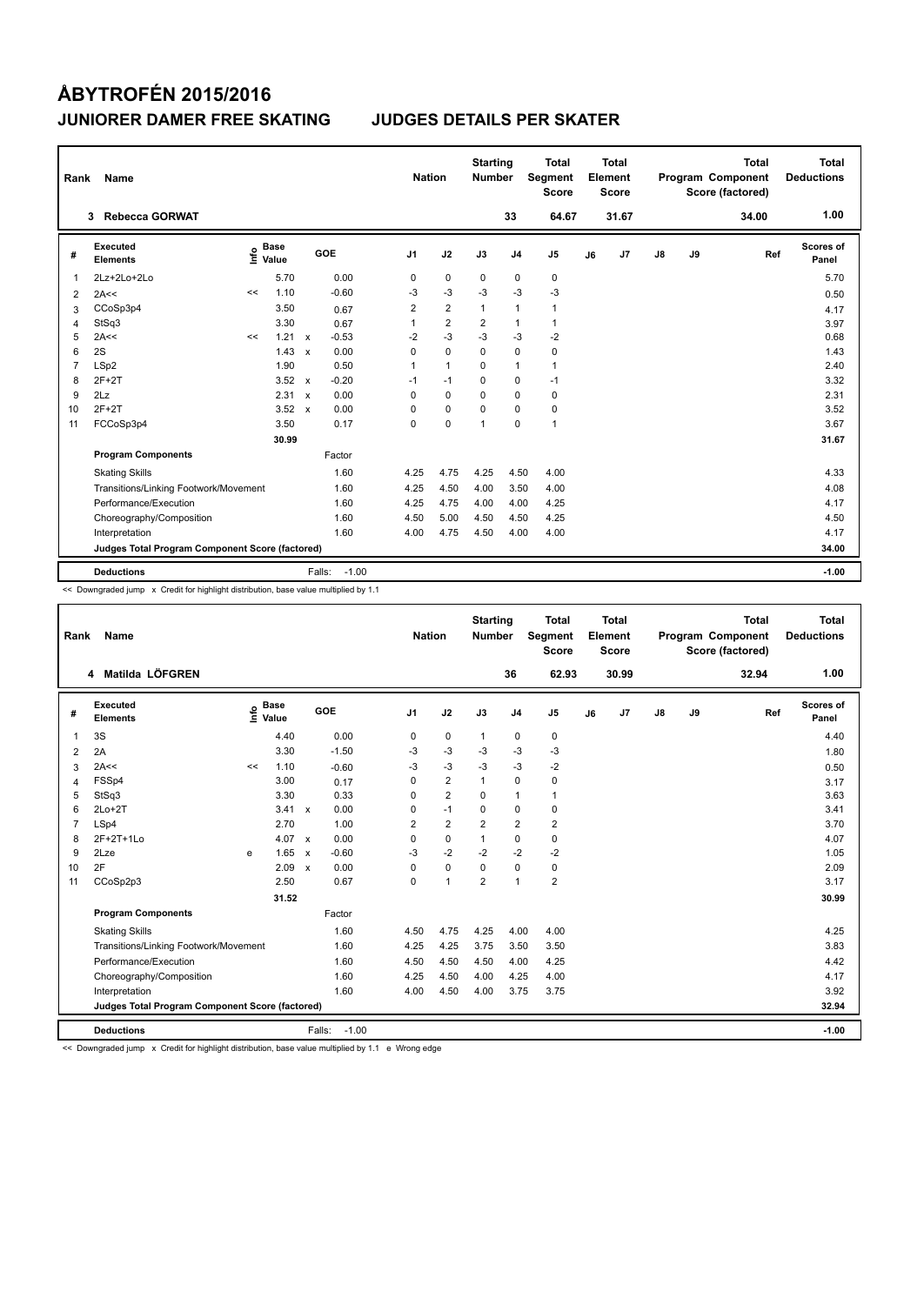| Rank           | Name                                            |      |                      |              |                   | <b>Nation</b>  |                | <b>Starting</b><br><b>Number</b> |                | <b>Total</b><br>Segment<br><b>Score</b> |    | Total<br>Element<br><b>Score</b> |               |    | <b>Total</b><br>Program Component<br>Score (factored) | Total<br><b>Deductions</b> |
|----------------|-------------------------------------------------|------|----------------------|--------------|-------------------|----------------|----------------|----------------------------------|----------------|-----------------------------------------|----|----------------------------------|---------------|----|-------------------------------------------------------|----------------------------|
|                | <b>Rebecca GORWAT</b><br>3                      |      |                      |              |                   |                |                |                                  | 33             | 64.67                                   |    | 31.67                            |               |    | 34.00                                                 | 1.00                       |
| #              | Executed<br><b>Elements</b>                     | ١nf٥ | <b>Base</b><br>Value |              | GOE               | J <sub>1</sub> | J2             | J3                               | J <sub>4</sub> | J <sub>5</sub>                          | J6 | J7                               | $\mathsf{J}8$ | J9 | Ref                                                   | Scores of<br>Panel         |
| 1              | 2Lz+2Lo+2Lo                                     |      | 5.70                 |              | 0.00              | 0              | $\mathbf 0$    | 0                                | 0              | 0                                       |    |                                  |               |    |                                                       | 5.70                       |
| 2              | 2A<<                                            | <<   | 1.10                 |              | $-0.60$           | -3             | $-3$           | $-3$                             | $-3$           | $-3$                                    |    |                                  |               |    |                                                       | 0.50                       |
| 3              | CCoSp3p4                                        |      | 3.50                 |              | 0.67              | 2              | $\overline{2}$ | $\mathbf{1}$                     | $\mathbf{1}$   | $\mathbf{1}$                            |    |                                  |               |    |                                                       | 4.17                       |
| 4              | StSq3                                           |      | 3.30                 |              | 0.67              | 1              | $\overline{2}$ | $\overline{2}$                   | $\mathbf{1}$   | $\mathbf{1}$                            |    |                                  |               |    |                                                       | 3.97                       |
| 5              | 2A<<                                            | <<   | 1.21                 | $\mathsf{x}$ | $-0.53$           | $-2$           | $-3$           | $-3$                             | $-3$           | $-2$                                    |    |                                  |               |    |                                                       | 0.68                       |
| 6              | 2S                                              |      | 1.43                 | $\mathbf{x}$ | 0.00              | 0              | $\Omega$       | $\Omega$                         | $\Omega$       | $\mathbf 0$                             |    |                                  |               |    |                                                       | 1.43                       |
| $\overline{7}$ | LSp2                                            |      | 1.90                 |              | 0.50              | 1              | $\mathbf{1}$   | $\Omega$                         | $\mathbf{1}$   | $\mathbf{1}$                            |    |                                  |               |    |                                                       | 2.40                       |
| 8              | $2F+2T$                                         |      | $3.52 \times$        |              | $-0.20$           | $-1$           | $-1$           | $\Omega$                         | $\mathbf 0$    | $-1$                                    |    |                                  |               |    |                                                       | 3.32                       |
| 9              | 2Lz                                             |      | 2.31                 | $\mathbf{x}$ | 0.00              | 0              | $\mathbf 0$    | $\Omega$                         | $\mathbf 0$    | 0                                       |    |                                  |               |    |                                                       | 2.31                       |
| 10             | $2F+2T$                                         |      | $3.52 \times$        |              | 0.00              | 0              | 0              | $\Omega$                         | $\Omega$       | 0                                       |    |                                  |               |    |                                                       | 3.52                       |
| 11             | FCCoSp3p4                                       |      | 3.50                 |              | 0.17              | 0              | $\mathbf 0$    | $\overline{1}$                   | $\mathbf 0$    | $\mathbf{1}$                            |    |                                  |               |    |                                                       | 3.67                       |
|                |                                                 |      | 30.99                |              |                   |                |                |                                  |                |                                         |    |                                  |               |    |                                                       | 31.67                      |
|                | <b>Program Components</b>                       |      |                      |              | Factor            |                |                |                                  |                |                                         |    |                                  |               |    |                                                       |                            |
|                | <b>Skating Skills</b>                           |      |                      |              | 1.60              | 4.25           | 4.75           | 4.25                             | 4.50           | 4.00                                    |    |                                  |               |    |                                                       | 4.33                       |
|                | Transitions/Linking Footwork/Movement           |      |                      |              | 1.60              | 4.25           | 4.50           | 4.00                             | 3.50           | 4.00                                    |    |                                  |               |    |                                                       | 4.08                       |
|                | Performance/Execution                           |      |                      |              | 1.60              | 4.25           | 4.75           | 4.00                             | 4.00           | 4.25                                    |    |                                  |               |    |                                                       | 4.17                       |
|                | Choreography/Composition                        |      |                      |              | 1.60              | 4.50           | 5.00           | 4.50                             | 4.50           | 4.25                                    |    |                                  |               |    |                                                       | 4.50                       |
|                | Interpretation                                  |      |                      |              | 1.60              | 4.00           | 4.75           | 4.50                             | 4.00           | 4.00                                    |    |                                  |               |    |                                                       | 4.17                       |
|                | Judges Total Program Component Score (factored) |      |                      |              |                   |                |                |                                  |                |                                         |    |                                  |               |    |                                                       | 34.00                      |
|                | <b>Deductions</b>                               |      |                      |              | $-1.00$<br>Falls: |                |                |                                  |                |                                         |    |                                  |               |    |                                                       | $-1.00$                    |

<< Downgraded jump x Credit for highlight distribution, base value multiplied by 1.1

| Rank           | Name                                            |    |                      |              |         |                | <b>Nation</b>  | <b>Starting</b><br><b>Number</b> |                | <b>Total</b><br>Segment<br><b>Score</b> |    | <b>Total</b><br>Element<br><b>Score</b> |               |    | <b>Total</b><br>Program Component<br>Score (factored) | <b>Total</b><br><b>Deductions</b> |
|----------------|-------------------------------------------------|----|----------------------|--------------|---------|----------------|----------------|----------------------------------|----------------|-----------------------------------------|----|-----------------------------------------|---------------|----|-------------------------------------------------------|-----------------------------------|
|                | Matilda LÖFGREN<br>4                            |    |                      |              |         |                |                |                                  | 36             | 62.93                                   |    | 30.99                                   |               |    | 32.94                                                 | 1.00                              |
| #              | Executed<br><b>Elements</b>                     | ۴ů | <b>Base</b><br>Value |              | GOE     | J <sub>1</sub> | J2             | J3                               | J <sub>4</sub> | J <sub>5</sub>                          | J6 | J <sub>7</sub>                          | $\mathsf{J}8$ | J9 | Ref                                                   | Scores of<br>Panel                |
| 1              | 3S                                              |    | 4.40                 |              | 0.00    | 0              | 0              | 1                                | $\mathbf 0$    | 0                                       |    |                                         |               |    |                                                       | 4.40                              |
| $\overline{2}$ | 2A                                              |    | 3.30                 |              | $-1.50$ | $-3$           | $-3$           | $-3$                             | $-3$           | $-3$                                    |    |                                         |               |    |                                                       | 1.80                              |
| 3              | 2A<<                                            | << | 1.10                 |              | $-0.60$ | $-3$           | $-3$           | $-3$                             | $-3$           | $-2$                                    |    |                                         |               |    |                                                       | 0.50                              |
| $\overline{4}$ | FSSp4                                           |    | 3.00                 |              | 0.17    | 0              | $\overline{2}$ | $\mathbf{1}$                     | 0              | 0                                       |    |                                         |               |    |                                                       | 3.17                              |
| 5              | StSq3                                           |    | 3.30                 |              | 0.33    | 0              | $\overline{2}$ | $\Omega$                         | $\mathbf{1}$   | $\mathbf{1}$                            |    |                                         |               |    |                                                       | 3.63                              |
| 6              | $2Lo+2T$                                        |    | 3.41 x               |              | 0.00    | 0              | $-1$           | $\Omega$                         | 0              | 0                                       |    |                                         |               |    |                                                       | 3.41                              |
| 7              | LSp4                                            |    | 2.70                 |              | 1.00    | $\overline{2}$ | $\overline{2}$ | $\overline{2}$                   | $\overline{2}$ | 2                                       |    |                                         |               |    |                                                       | 3.70                              |
| 8              | 2F+2T+1Lo                                       |    | 4.07 $\times$        |              | 0.00    | 0              | 0              | 1                                | 0              | 0                                       |    |                                         |               |    |                                                       | 4.07                              |
| 9              | 2Lze                                            | e  | 1.65                 | $\mathsf{x}$ | $-0.60$ | $-3$           | $-2$           | $-2$                             | $-2$           | $-2$                                    |    |                                         |               |    |                                                       | 1.05                              |
| 10             | 2F                                              |    | 2.09 x               |              | 0.00    | 0              | $\Omega$       | $\Omega$                         | $\Omega$       | 0                                       |    |                                         |               |    |                                                       | 2.09                              |
| 11             | CCoSp2p3                                        |    | 2.50                 |              | 0.67    | 0              | $\mathbf{1}$   | $\overline{2}$                   | $\mathbf{1}$   | 2                                       |    |                                         |               |    |                                                       | 3.17                              |
|                |                                                 |    | 31.52                |              |         |                |                |                                  |                |                                         |    |                                         |               |    |                                                       | 30.99                             |
|                | <b>Program Components</b>                       |    |                      |              | Factor  |                |                |                                  |                |                                         |    |                                         |               |    |                                                       |                                   |
|                | <b>Skating Skills</b>                           |    |                      |              | 1.60    | 4.50           | 4.75           | 4.25                             | 4.00           | 4.00                                    |    |                                         |               |    |                                                       | 4.25                              |
|                | Transitions/Linking Footwork/Movement           |    |                      |              | 1.60    | 4.25           | 4.25           | 3.75                             | 3.50           | 3.50                                    |    |                                         |               |    |                                                       | 3.83                              |
|                | Performance/Execution                           |    |                      |              | 1.60    | 4.50           | 4.50           | 4.50                             | 4.00           | 4.25                                    |    |                                         |               |    |                                                       | 4.42                              |
|                | Choreography/Composition                        |    |                      |              | 1.60    | 4.25           | 4.50           | 4.00                             | 4.25           | 4.00                                    |    |                                         |               |    |                                                       | 4.17                              |
|                | Interpretation                                  |    |                      |              | 1.60    | 4.00           | 4.50           | 4.00                             | 3.75           | 3.75                                    |    |                                         |               |    |                                                       | 3.92                              |
|                | Judges Total Program Component Score (factored) |    |                      |              |         |                |                |                                  |                |                                         |    |                                         |               |    |                                                       | 32.94                             |
|                | <b>Deductions</b>                               |    |                      | Falls:       | $-1.00$ |                |                |                                  |                |                                         |    |                                         |               |    |                                                       | $-1.00$                           |

<< Downgraded jump x Credit for highlight distribution, base value multiplied by 1.1 e Wrong edge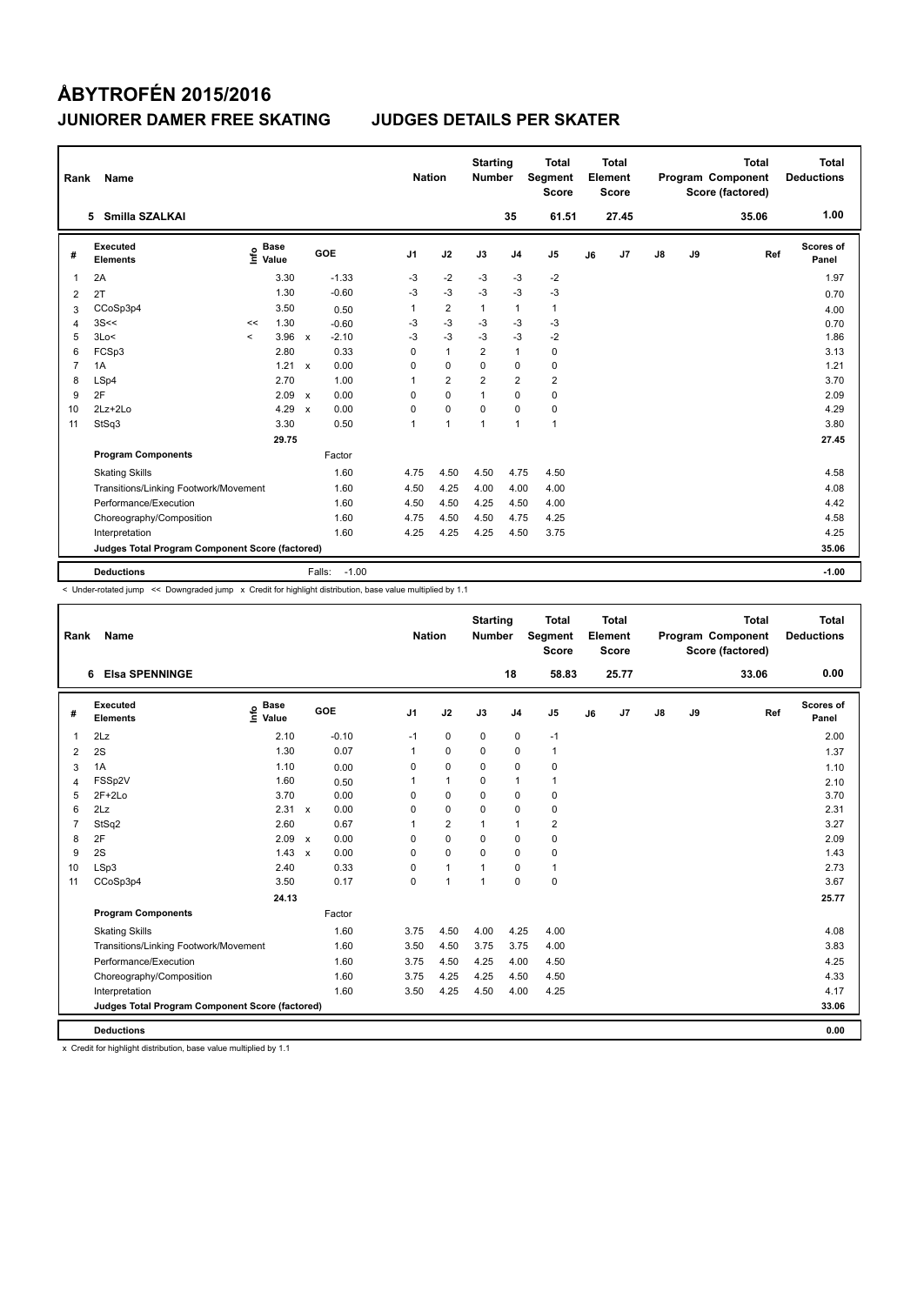| Rank           | Name                                            |         |                      |              |                   | <b>Nation</b>  |                | <b>Starting</b><br><b>Number</b> |                | Total<br>Segment<br><b>Score</b> |    | <b>Total</b><br>Element<br><b>Score</b> |               |    | <b>Total</b><br>Program Component<br>Score (factored) | <b>Total</b><br><b>Deductions</b> |
|----------------|-------------------------------------------------|---------|----------------------|--------------|-------------------|----------------|----------------|----------------------------------|----------------|----------------------------------|----|-----------------------------------------|---------------|----|-------------------------------------------------------|-----------------------------------|
|                | 5 Smilla SZALKAI                                |         |                      |              |                   |                |                |                                  | 35             | 61.51                            |    | 27.45                                   |               |    | 35.06                                                 | 1.00                              |
| #              | Executed<br><b>Elements</b>                     | ١nfo    | <b>Base</b><br>Value |              | GOE               | J <sub>1</sub> | J2             | J3                               | J <sub>4</sub> | J <sub>5</sub>                   | J6 | J7                                      | $\mathsf{J}8$ | J9 | Ref                                                   | Scores of<br>Panel                |
| 1              | 2A                                              |         | 3.30                 |              | $-1.33$           | -3             | $-2$           | $-3$                             | $-3$           | $-2$                             |    |                                         |               |    |                                                       | 1.97                              |
| 2              | 2T                                              |         | 1.30                 |              | $-0.60$           | $-3$           | $-3$           | $-3$                             | $-3$           | $-3$                             |    |                                         |               |    |                                                       | 0.70                              |
| 3              | CCoSp3p4                                        |         | 3.50                 |              | 0.50              | 1              | $\overline{2}$ | $\mathbf{1}$                     | $\mathbf{1}$   | $\mathbf{1}$                     |    |                                         |               |    |                                                       | 4.00                              |
| 4              | 3S<<                                            | <<      | 1.30                 |              | $-0.60$           | $-3$           | $-3$           | $-3$                             | $-3$           | $-3$                             |    |                                         |               |    |                                                       | 0.70                              |
| 5              | 3Lo<                                            | $\prec$ | 3.96                 | $\mathsf{x}$ | $-2.10$           | $-3$           | $-3$           | $-3$                             | $-3$           | $-2$                             |    |                                         |               |    |                                                       | 1.86                              |
| 6              | FCSp3                                           |         | 2.80                 |              | 0.33              | 0              | $\mathbf{1}$   | $\overline{2}$                   | $\mathbf{1}$   | 0                                |    |                                         |               |    |                                                       | 3.13                              |
| $\overline{7}$ | 1A                                              |         | 1.21                 | $\mathbf{x}$ | 0.00              | 0              | $\mathbf 0$    | 0                                | 0              | 0                                |    |                                         |               |    |                                                       | 1.21                              |
| 8              | LSp4                                            |         | 2.70                 |              | 1.00              | 1              | $\overline{2}$ | $\overline{2}$                   | $\overline{2}$ | $\overline{2}$                   |    |                                         |               |    |                                                       | 3.70                              |
| 9              | 2F                                              |         | 2.09                 | $\mathsf{x}$ | 0.00              | 0              | 0              | $\mathbf{1}$                     | 0              | 0                                |    |                                         |               |    |                                                       | 2.09                              |
| 10             | $2Lz+2Lo$                                       |         | 4.29                 | $\mathbf{x}$ | 0.00              | 0              | $\mathbf 0$    | $\Omega$                         | 0              | 0                                |    |                                         |               |    |                                                       | 4.29                              |
| 11             | StSq3                                           |         | 3.30                 |              | 0.50              | 1              | $\overline{1}$ | $\overline{1}$                   | $\mathbf{1}$   | $\mathbf{1}$                     |    |                                         |               |    |                                                       | 3.80                              |
|                |                                                 |         | 29.75                |              |                   |                |                |                                  |                |                                  |    |                                         |               |    |                                                       | 27.45                             |
|                | <b>Program Components</b>                       |         |                      |              | Factor            |                |                |                                  |                |                                  |    |                                         |               |    |                                                       |                                   |
|                | <b>Skating Skills</b>                           |         |                      |              | 1.60              | 4.75           | 4.50           | 4.50                             | 4.75           | 4.50                             |    |                                         |               |    |                                                       | 4.58                              |
|                | Transitions/Linking Footwork/Movement           |         |                      |              | 1.60              | 4.50           | 4.25           | 4.00                             | 4.00           | 4.00                             |    |                                         |               |    |                                                       | 4.08                              |
|                | Performance/Execution                           |         |                      |              | 1.60              | 4.50           | 4.50           | 4.25                             | 4.50           | 4.00                             |    |                                         |               |    |                                                       | 4.42                              |
|                | Choreography/Composition                        |         |                      |              | 1.60              | 4.75           | 4.50           | 4.50                             | 4.75           | 4.25                             |    |                                         |               |    |                                                       | 4.58                              |
|                | Interpretation                                  |         |                      |              | 1.60              | 4.25           | 4.25           | 4.25                             | 4.50           | 3.75                             |    |                                         |               |    |                                                       | 4.25                              |
|                | Judges Total Program Component Score (factored) |         |                      |              |                   |                |                |                                  |                |                                  |    |                                         |               |    |                                                       | 35.06                             |
|                | <b>Deductions</b>                               |         |                      |              | $-1.00$<br>Falls: |                |                |                                  |                |                                  |    |                                         |               |    |                                                       | $-1.00$                           |

< Under-rotated jump << Downgraded jump x Credit for highlight distribution, base value multiplied by 1.1

| Rank         | <b>Name</b>                                     |                                  |                           |         | <b>Nation</b>  |                | <b>Starting</b><br><b>Number</b> |                | <b>Total</b><br>Segment<br><b>Score</b> |    | Total<br>Element<br><b>Score</b> |               |    | <b>Total</b><br>Program Component<br>Score (factored) | Total<br><b>Deductions</b> |
|--------------|-------------------------------------------------|----------------------------------|---------------------------|---------|----------------|----------------|----------------------------------|----------------|-----------------------------------------|----|----------------------------------|---------------|----|-------------------------------------------------------|----------------------------|
|              | <b>Elsa SPENNINGE</b><br>6                      |                                  |                           |         |                |                |                                  | 18             | 58.83                                   |    | 25.77                            |               |    | 33.06                                                 | 0.00                       |
| #            | Executed<br><b>Elements</b>                     | <b>Base</b><br>e Base<br>⊆ Value | GOE                       |         | J <sub>1</sub> | J2             | J3                               | J <sub>4</sub> | J <sub>5</sub>                          | J6 | J7                               | $\mathsf{J}8$ | J9 | Ref                                                   | Scores of<br>Panel         |
| $\mathbf{1}$ | 2Lz                                             | 2.10                             |                           | $-0.10$ | $-1$           | $\pmb{0}$      | 0                                | $\pmb{0}$      | $-1$                                    |    |                                  |               |    |                                                       | 2.00                       |
| 2            | 2S                                              | 1.30                             |                           | 0.07    | $\mathbf{1}$   | $\mathbf 0$    | $\Omega$                         | $\mathbf 0$    | $\mathbf{1}$                            |    |                                  |               |    |                                                       | 1.37                       |
| 3            | 1A                                              | 1.10                             |                           | 0.00    | 0              | $\mathbf 0$    | 0                                | $\mathbf 0$    | 0                                       |    |                                  |               |    |                                                       | 1.10                       |
| 4            | FSSp2V                                          | 1.60                             |                           | 0.50    | 1              | $\mathbf{1}$   | 0                                | $\mathbf{1}$   | 1                                       |    |                                  |               |    |                                                       | 2.10                       |
| 5            | $2F+2Lo$                                        | 3.70                             |                           | 0.00    | $\Omega$       | $\Omega$       | $\Omega$                         | $\Omega$       | 0                                       |    |                                  |               |    |                                                       | 3.70                       |
| 6            | 2Lz                                             | 2.31                             | $\mathbf{x}$              | 0.00    | $\Omega$       | $\mathbf 0$    | $\Omega$                         | $\Omega$       | 0                                       |    |                                  |               |    |                                                       | 2.31                       |
| 7            | StSq2                                           | 2.60                             |                           | 0.67    | 1              | $\overline{2}$ | $\mathbf{1}$                     | $\mathbf{1}$   | $\overline{2}$                          |    |                                  |               |    |                                                       | 3.27                       |
| 8            | 2F                                              | 2.09                             | $\mathbf{x}$              | 0.00    | $\Omega$       | $\mathbf 0$    | $\Omega$                         | $\mathbf 0$    | 0                                       |    |                                  |               |    |                                                       | 2.09                       |
| 9            | 2S                                              | 1.43                             | $\boldsymbol{\mathsf{x}}$ | 0.00    | $\Omega$       | $\mathbf 0$    | $\Omega$                         | $\mathbf 0$    | $\mathbf 0$                             |    |                                  |               |    |                                                       | 1.43                       |
| 10           | LSp3                                            | 2.40                             |                           | 0.33    | 0              | $\mathbf{1}$   | 1                                | 0              | 1                                       |    |                                  |               |    |                                                       | 2.73                       |
| 11           | CCoSp3p4                                        | 3.50                             |                           | 0.17    | 0              | $\mathbf{1}$   | $\mathbf{1}$                     | $\mathbf 0$    | $\mathbf 0$                             |    |                                  |               |    |                                                       | 3.67                       |
|              |                                                 | 24.13                            |                           |         |                |                |                                  |                |                                         |    |                                  |               |    |                                                       | 25.77                      |
|              | <b>Program Components</b>                       |                                  |                           | Factor  |                |                |                                  |                |                                         |    |                                  |               |    |                                                       |                            |
|              | <b>Skating Skills</b>                           |                                  |                           | 1.60    | 3.75           | 4.50           | 4.00                             | 4.25           | 4.00                                    |    |                                  |               |    |                                                       | 4.08                       |
|              | Transitions/Linking Footwork/Movement           |                                  |                           | 1.60    | 3.50           | 4.50           | 3.75                             | 3.75           | 4.00                                    |    |                                  |               |    |                                                       | 3.83                       |
|              | Performance/Execution                           |                                  |                           | 1.60    | 3.75           | 4.50           | 4.25                             | 4.00           | 4.50                                    |    |                                  |               |    |                                                       | 4.25                       |
|              | Choreography/Composition                        |                                  |                           | 1.60    | 3.75           | 4.25           | 4.25                             | 4.50           | 4.50                                    |    |                                  |               |    |                                                       | 4.33                       |
|              | Interpretation                                  |                                  |                           | 1.60    | 3.50           | 4.25           | 4.50                             | 4.00           | 4.25                                    |    |                                  |               |    |                                                       | 4.17                       |
|              | Judges Total Program Component Score (factored) |                                  |                           |         |                |                |                                  |                |                                         |    |                                  |               |    |                                                       | 33.06                      |
|              | <b>Deductions</b>                               |                                  |                           |         |                |                |                                  |                |                                         |    |                                  |               |    |                                                       | 0.00                       |

x Credit for highlight distribution, base value multiplied by 1.1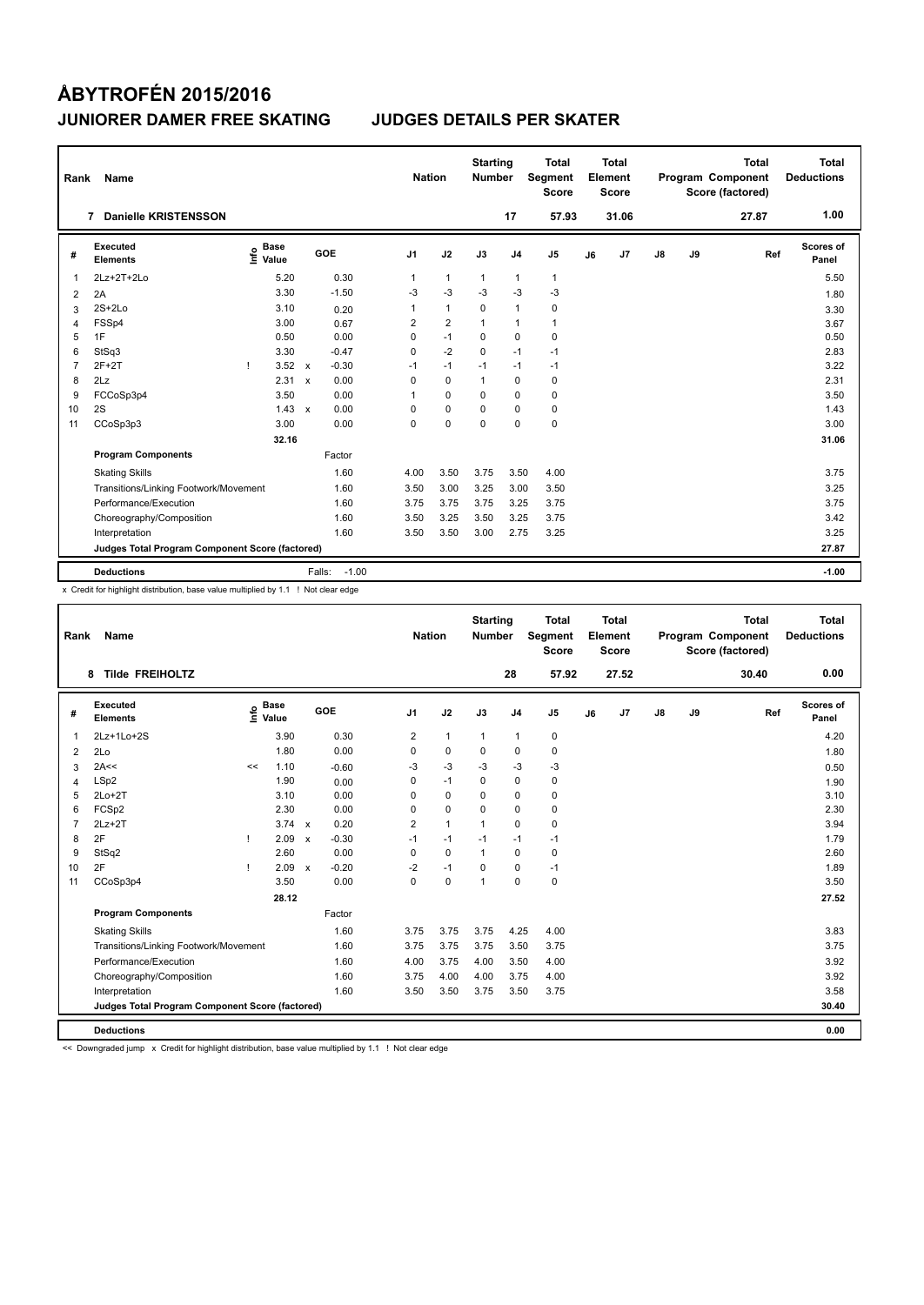| Rank           | Name                                            |      |                      |              |                   |                | <b>Nation</b>  | <b>Starting</b><br><b>Number</b> |                | <b>Total</b><br>Segment<br><b>Score</b> |    | <b>Total</b><br>Element<br><b>Score</b> |               |    | <b>Total</b><br>Program Component<br>Score (factored) | <b>Total</b><br><b>Deductions</b> |
|----------------|-------------------------------------------------|------|----------------------|--------------|-------------------|----------------|----------------|----------------------------------|----------------|-----------------------------------------|----|-----------------------------------------|---------------|----|-------------------------------------------------------|-----------------------------------|
|                | <b>Danielle KRISTENSSON</b><br>7                |      |                      |              |                   |                |                |                                  | 17             | 57.93                                   |    | 31.06                                   |               |    | 27.87                                                 | 1.00                              |
| #              | Executed<br><b>Elements</b>                     | ١nf٥ | <b>Base</b><br>Value |              | GOE               | J <sub>1</sub> | J2             | J3                               | J <sub>4</sub> | J5                                      | J6 | J7                                      | $\mathsf{J}8$ | J9 | Ref                                                   | Scores of<br>Panel                |
| 1              | 2Lz+2T+2Lo                                      |      | 5.20                 |              | 0.30              | $\mathbf{1}$   | $\mathbf{1}$   | $\mathbf{1}$                     | $\mathbf{1}$   | $\mathbf{1}$                            |    |                                         |               |    |                                                       | 5.50                              |
| 2              | 2A                                              |      | 3.30                 |              | $-1.50$           | -3             | $-3$           | $-3$                             | $-3$           | $-3$                                    |    |                                         |               |    |                                                       | 1.80                              |
| 3              | $2S+2Lo$                                        |      | 3.10                 |              | 0.20              | 1              | $\mathbf{1}$   | $\mathbf 0$                      | $\mathbf{1}$   | $\pmb{0}$                               |    |                                         |               |    |                                                       | 3.30                              |
| 4              | FSSp4                                           |      | 3.00                 |              | 0.67              | $\overline{2}$ | $\overline{2}$ | $\overline{1}$                   | $\overline{1}$ | $\mathbf{1}$                            |    |                                         |               |    |                                                       | 3.67                              |
| 5              | 1F                                              |      | 0.50                 |              | 0.00              | 0              | $-1$           | $\mathbf 0$                      | $\mathbf 0$    | $\pmb{0}$                               |    |                                         |               |    |                                                       | 0.50                              |
| 6              | StSq3                                           |      | 3.30                 |              | $-0.47$           | 0              | $-2$           | 0                                | $-1$           | $-1$                                    |    |                                         |               |    |                                                       | 2.83                              |
| $\overline{7}$ | $2F+2T$                                         | Ţ    | 3.52                 | $\mathsf{x}$ | $-0.30$           | $-1$           | $-1$           | $-1$                             | $-1$           | $-1$                                    |    |                                         |               |    |                                                       | 3.22                              |
| 8              | 2Lz                                             |      | 2.31                 | $\mathsf{x}$ | 0.00              | 0              | 0              | 1                                | 0              | 0                                       |    |                                         |               |    |                                                       | 2.31                              |
| 9              | FCCoSp3p4                                       |      | 3.50                 |              | 0.00              | 1              | $\Omega$       | $\Omega$                         | $\Omega$       | 0                                       |    |                                         |               |    |                                                       | 3.50                              |
| 10             | 2S                                              |      | $1.43 \times$        |              | 0.00              | 0              | 0              | 0                                | $\Omega$       | $\pmb{0}$                               |    |                                         |               |    |                                                       | 1.43                              |
| 11             | CCoSp3p3                                        |      | 3.00                 |              | 0.00              | 0              | 0              | 0                                | 0              | $\pmb{0}$                               |    |                                         |               |    |                                                       | 3.00                              |
|                |                                                 |      | 32.16                |              |                   |                |                |                                  |                |                                         |    |                                         |               |    |                                                       | 31.06                             |
|                | <b>Program Components</b>                       |      |                      |              | Factor            |                |                |                                  |                |                                         |    |                                         |               |    |                                                       |                                   |
|                | <b>Skating Skills</b>                           |      |                      |              | 1.60              | 4.00           | 3.50           | 3.75                             | 3.50           | 4.00                                    |    |                                         |               |    |                                                       | 3.75                              |
|                | Transitions/Linking Footwork/Movement           |      |                      |              | 1.60              | 3.50           | 3.00           | 3.25                             | 3.00           | 3.50                                    |    |                                         |               |    |                                                       | 3.25                              |
|                | Performance/Execution                           |      |                      |              | 1.60              | 3.75           | 3.75           | 3.75                             | 3.25           | 3.75                                    |    |                                         |               |    |                                                       | 3.75                              |
|                | Choreography/Composition                        |      |                      |              | 1.60              | 3.50           | 3.25           | 3.50                             | 3.25           | 3.75                                    |    |                                         |               |    |                                                       | 3.42                              |
|                | Interpretation                                  |      |                      |              | 1.60              | 3.50           | 3.50           | 3.00                             | 2.75           | 3.25                                    |    |                                         |               |    |                                                       | 3.25                              |
|                | Judges Total Program Component Score (factored) |      |                      |              |                   |                |                |                                  |                |                                         |    |                                         |               |    |                                                       | 27.87                             |
|                | <b>Deductions</b>                               |      |                      |              | $-1.00$<br>Falls: |                |                |                                  |                |                                         |    |                                         |               |    |                                                       | $-1.00$                           |

x Credit for highlight distribution, base value multiplied by 1.1 ! Not clear edge

| Rank           | Name                                            |    |                                  |                           |         | <b>Nation</b>  |              | <b>Starting</b><br><b>Number</b> |                | <b>Total</b><br>Segment<br><b>Score</b> |    | <b>Total</b><br>Element<br><b>Score</b> |               |    | <b>Total</b><br>Program Component<br>Score (factored) |     | Total<br><b>Deductions</b> |
|----------------|-------------------------------------------------|----|----------------------------------|---------------------------|---------|----------------|--------------|----------------------------------|----------------|-----------------------------------------|----|-----------------------------------------|---------------|----|-------------------------------------------------------|-----|----------------------------|
|                | <b>Tilde FREIHOLTZ</b><br>8                     |    |                                  |                           |         |                |              |                                  | 28             | 57.92                                   |    | 27.52                                   |               |    | 30.40                                                 |     | 0.00                       |
| #              | Executed<br><b>Elements</b>                     |    | <b>Base</b><br>e Base<br>⊆ Value |                           | GOE     | J <sub>1</sub> | J2           | J3                               | J <sub>4</sub> | J <sub>5</sub>                          | J6 | J7                                      | $\mathsf{J}8$ | J9 |                                                       | Ref | <b>Scores of</b><br>Panel  |
| $\mathbf 1$    | 2Lz+1Lo+2S                                      |    | 3.90                             |                           | 0.30    | 2              | $\mathbf{1}$ | $\mathbf{1}$                     | 1              | 0                                       |    |                                         |               |    |                                                       |     | 4.20                       |
| 2              | 2Lo                                             |    | 1.80                             |                           | 0.00    | 0              | $\mathbf 0$  | 0                                | $\mathbf 0$    | $\mathbf 0$                             |    |                                         |               |    |                                                       |     | 1.80                       |
| 3              | 2A<<                                            | << | 1.10                             |                           | $-0.60$ | -3             | $-3$         | $-3$                             | $-3$           | $-3$                                    |    |                                         |               |    |                                                       |     | 0.50                       |
| 4              | LSp2                                            |    | 1.90                             |                           | 0.00    | 0              | $-1$         | 0                                | $\mathbf 0$    | $\mathbf 0$                             |    |                                         |               |    |                                                       |     | 1.90                       |
| 5              | $2Lo+2T$                                        |    | 3.10                             |                           | 0.00    | 0              | $\pmb{0}$    | $\mathbf 0$                      | $\pmb{0}$      | 0                                       |    |                                         |               |    |                                                       |     | 3.10                       |
| 6              | FCSp2                                           |    | 2.30                             |                           | 0.00    | 0              | $\mathbf 0$  | 0                                | $\mathbf 0$    | 0                                       |    |                                         |               |    |                                                       |     | 2.30                       |
| $\overline{7}$ | $2Lz+2T$                                        |    | $3.74 \times$                    |                           | 0.20    | $\overline{2}$ | $\mathbf{1}$ | $\mathbf{1}$                     | $\mathbf 0$    | 0                                       |    |                                         |               |    |                                                       |     | 3.94                       |
| 8              | 2F                                              |    | 2.09                             | $\boldsymbol{\mathsf{x}}$ | $-0.30$ | $-1$           | $-1$         | $-1$                             | $-1$           | $-1$                                    |    |                                         |               |    |                                                       |     | 1.79                       |
| 9              | StSq2                                           |    | 2.60                             |                           | 0.00    | 0              | $\mathbf 0$  | $\mathbf{1}$                     | $\mathbf 0$    | 0                                       |    |                                         |               |    |                                                       |     | 2.60                       |
| 10             | 2F                                              |    | 2.09                             | $\mathbf{x}$              | $-0.20$ | $-2$           | $-1$         | $\Omega$                         | $\mathbf 0$    | $-1$                                    |    |                                         |               |    |                                                       |     | 1.89                       |
| 11             | CCoSp3p4                                        |    | 3.50                             |                           | 0.00    | $\mathbf 0$    | $\pmb{0}$    | $\mathbf{1}$                     | $\mathbf 0$    | 0                                       |    |                                         |               |    |                                                       |     | 3.50                       |
|                |                                                 |    | 28.12                            |                           |         |                |              |                                  |                |                                         |    |                                         |               |    |                                                       |     | 27.52                      |
|                | <b>Program Components</b>                       |    |                                  |                           | Factor  |                |              |                                  |                |                                         |    |                                         |               |    |                                                       |     |                            |
|                | <b>Skating Skills</b>                           |    |                                  |                           | 1.60    | 3.75           | 3.75         | 3.75                             | 4.25           | 4.00                                    |    |                                         |               |    |                                                       |     | 3.83                       |
|                | Transitions/Linking Footwork/Movement           |    |                                  |                           | 1.60    | 3.75           | 3.75         | 3.75                             | 3.50           | 3.75                                    |    |                                         |               |    |                                                       |     | 3.75                       |
|                | Performance/Execution                           |    |                                  |                           | 1.60    | 4.00           | 3.75         | 4.00                             | 3.50           | 4.00                                    |    |                                         |               |    |                                                       |     | 3.92                       |
|                | Choreography/Composition                        |    |                                  |                           | 1.60    | 3.75           | 4.00         | 4.00                             | 3.75           | 4.00                                    |    |                                         |               |    |                                                       |     | 3.92                       |
|                | Interpretation                                  |    |                                  |                           | 1.60    | 3.50           | 3.50         | 3.75                             | 3.50           | 3.75                                    |    |                                         |               |    |                                                       |     | 3.58                       |
|                | Judges Total Program Component Score (factored) |    |                                  |                           |         |                |              |                                  |                |                                         |    |                                         |               |    |                                                       |     | 30.40                      |
|                | <b>Deductions</b>                               |    |                                  |                           |         |                |              |                                  |                |                                         |    |                                         |               |    |                                                       |     | 0.00                       |

<< Downgraded jump x Credit for highlight distribution, base value multiplied by 1.1 ! Not clear edge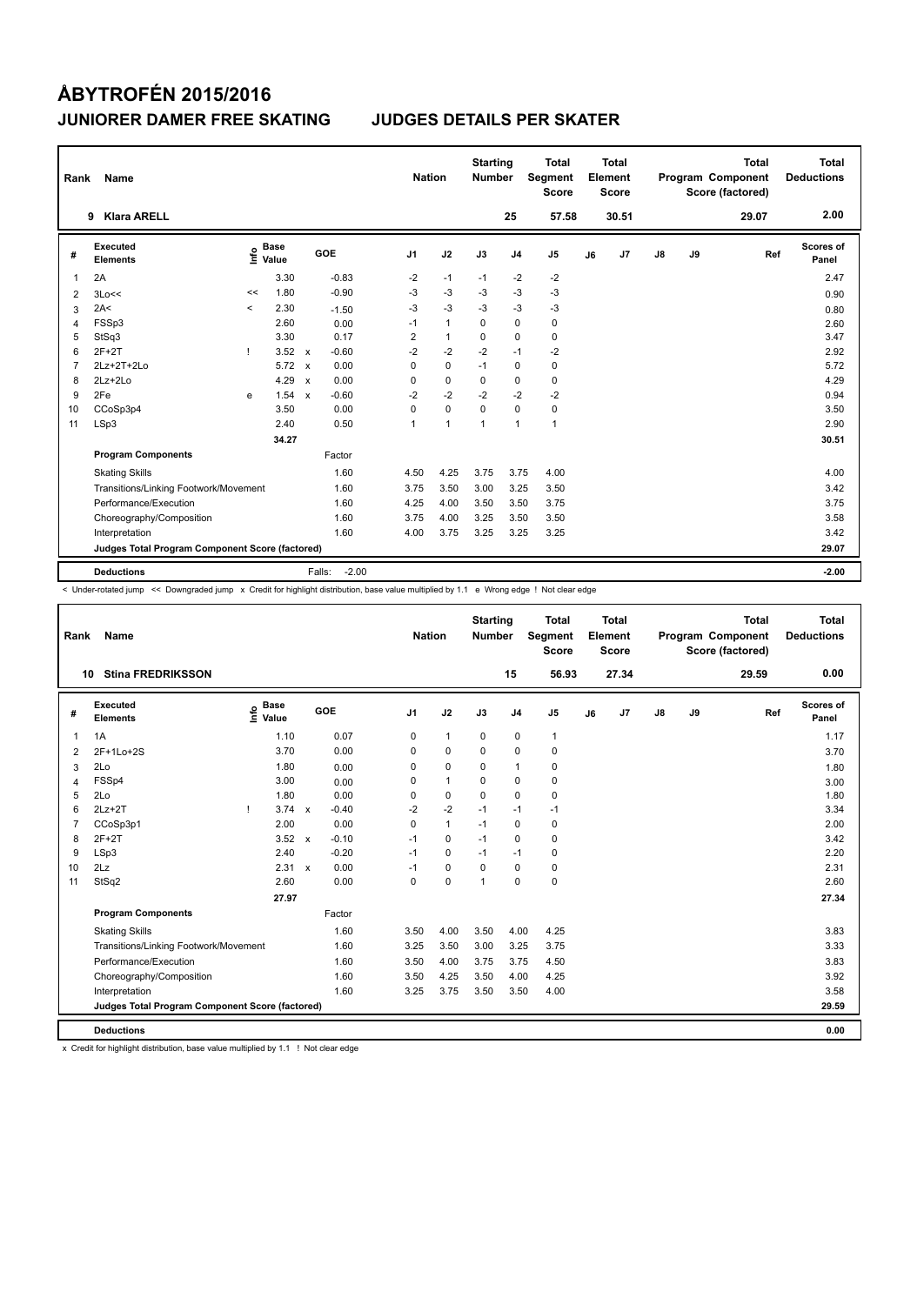| Rank           | Name                                            |         |                      |                           |                   | <b>Nation</b>  |                | <b>Starting</b><br><b>Number</b> |                | <b>Total</b><br>Segment<br><b>Score</b> |    | <b>Total</b><br>Element<br>Score |    |    | <b>Total</b><br><b>Program Component</b><br>Score (factored) | Total<br><b>Deductions</b> |
|----------------|-------------------------------------------------|---------|----------------------|---------------------------|-------------------|----------------|----------------|----------------------------------|----------------|-----------------------------------------|----|----------------------------------|----|----|--------------------------------------------------------------|----------------------------|
|                | <b>Klara ARELL</b><br>9                         |         |                      |                           |                   |                |                |                                  | 25             | 57.58                                   |    | 30.51                            |    |    | 29.07                                                        | 2.00                       |
| #              | <b>Executed</b><br><b>Elements</b>              | ١nf٥    | <b>Base</b><br>Value |                           | <b>GOE</b>        | J <sub>1</sub> | J2             | J3                               | J <sub>4</sub> | J <sub>5</sub>                          | J6 | J7                               | J8 | J9 | Ref                                                          | Scores of<br>Panel         |
| 1              | 2A                                              |         | 3.30                 |                           | $-0.83$           | $-2$           | $-1$           | $-1$                             | $-2$           | $-2$                                    |    |                                  |    |    |                                                              | 2.47                       |
| $\overline{2}$ | 3Lo<<                                           | <<      | 1.80                 |                           | $-0.90$           | $-3$           | $-3$           | $-3$                             | $-3$           | $-3$                                    |    |                                  |    |    |                                                              | 0.90                       |
| 3              | 2A<                                             | $\prec$ | 2.30                 |                           | $-1.50$           | $-3$           | $-3$           | $-3$                             | $-3$           | $-3$                                    |    |                                  |    |    |                                                              | 0.80                       |
| 4              | FSSp3                                           |         | 2.60                 |                           | 0.00              | $-1$           | $\mathbf{1}$   | $\Omega$                         | 0              | 0                                       |    |                                  |    |    |                                                              | 2.60                       |
| 5              | StSq3                                           |         | 3.30                 |                           | 0.17              | 2              | $\mathbf{1}$   | 0                                | 0              | 0                                       |    |                                  |    |    |                                                              | 3.47                       |
| 6              | $2F+2T$                                         | -1      | 3.52                 | $\mathsf{x}$              | $-0.60$           | $-2$           | $-2$           | $-2$                             | $-1$           | $-2$                                    |    |                                  |    |    |                                                              | 2.92                       |
| 7              | 2Lz+2T+2Lo                                      |         | 5.72                 | $\boldsymbol{\mathsf{x}}$ | 0.00              | 0              | $\mathbf 0$    | $-1$                             | 0              | 0                                       |    |                                  |    |    |                                                              | 5.72                       |
| 8              | $2Lz+2Lo$                                       |         | 4.29                 | $\mathbf{x}$              | 0.00              | 0              | $\mathbf 0$    | 0                                | 0              | 0                                       |    |                                  |    |    |                                                              | 4.29                       |
| 9              | 2Fe                                             | e       | 1.54                 | $\mathsf{x}$              | $-0.60$           | $-2$           | $-2$           | $-2$                             | $-2$           | $-2$                                    |    |                                  |    |    |                                                              | 0.94                       |
| 10             | CCoSp3p4                                        |         | 3.50                 |                           | 0.00              | 0              | $\mathbf 0$    | 0                                | 0              | 0                                       |    |                                  |    |    |                                                              | 3.50                       |
| 11             | LSp3                                            |         | 2.40                 |                           | 0.50              | 1              | $\overline{1}$ | $\overline{1}$                   | $\overline{1}$ | $\mathbf{1}$                            |    |                                  |    |    |                                                              | 2.90                       |
|                |                                                 |         | 34.27                |                           |                   |                |                |                                  |                |                                         |    |                                  |    |    |                                                              | 30.51                      |
|                | <b>Program Components</b>                       |         |                      |                           | Factor            |                |                |                                  |                |                                         |    |                                  |    |    |                                                              |                            |
|                | <b>Skating Skills</b>                           |         |                      |                           | 1.60              | 4.50           | 4.25           | 3.75                             | 3.75           | 4.00                                    |    |                                  |    |    |                                                              | 4.00                       |
|                | Transitions/Linking Footwork/Movement           |         |                      |                           | 1.60              | 3.75           | 3.50           | 3.00                             | 3.25           | 3.50                                    |    |                                  |    |    |                                                              | 3.42                       |
|                | Performance/Execution                           |         |                      |                           | 1.60              | 4.25           | 4.00           | 3.50                             | 3.50           | 3.75                                    |    |                                  |    |    |                                                              | 3.75                       |
|                | Choreography/Composition                        |         |                      |                           | 1.60              | 3.75           | 4.00           | 3.25                             | 3.50           | 3.50                                    |    |                                  |    |    |                                                              | 3.58                       |
|                | Interpretation                                  |         |                      |                           | 1.60              | 4.00           | 3.75           | 3.25                             | 3.25           | 3.25                                    |    |                                  |    |    |                                                              | 3.42                       |
|                | Judges Total Program Component Score (factored) |         |                      |                           |                   |                |                |                                  |                |                                         |    |                                  |    |    |                                                              | 29.07                      |
|                | <b>Deductions</b>                               |         |                      |                           | $-2.00$<br>Falls: |                |                |                                  |                |                                         |    |                                  |    |    |                                                              | $-2.00$                    |

< Under-rotated jump << Downgraded jump x Credit for highlight distribution, base value multiplied by 1.1 e Wrong edge ! Not clear edge

| Rank           | Name                                            |      |                      |              |         | <b>Nation</b>  |              | <b>Starting</b><br><b>Number</b> |                | <b>Total</b><br>Segment<br><b>Score</b> |    | <b>Total</b><br>Element<br><b>Score</b> |    |    | <b>Total</b><br>Program Component<br>Score (factored) | <b>Total</b><br><b>Deductions</b> |
|----------------|-------------------------------------------------|------|----------------------|--------------|---------|----------------|--------------|----------------------------------|----------------|-----------------------------------------|----|-----------------------------------------|----|----|-------------------------------------------------------|-----------------------------------|
|                | <b>Stina FREDRIKSSON</b><br>10                  |      |                      |              |         |                |              |                                  | 15             | 56.93                                   |    | 27.34                                   |    |    | 29.59                                                 | 0.00                              |
| #              | Executed<br><b>Elements</b>                     | ١nfo | <b>Base</b><br>Value |              | GOE     | J <sub>1</sub> | J2           | J3                               | J <sub>4</sub> | J <sub>5</sub>                          | J6 | J7                                      | J8 | J9 | Ref                                                   | Scores of<br>Panel                |
| 1              | 1A                                              |      | 1.10                 |              | 0.07    | 0              | $\mathbf{1}$ | $\mathbf 0$                      | $\mathbf 0$    | $\mathbf{1}$                            |    |                                         |    |    |                                                       | 1.17                              |
| 2              | 2F+1Lo+2S                                       |      | 3.70                 |              | 0.00    | 0              | 0            | 0                                | 0              | 0                                       |    |                                         |    |    |                                                       | 3.70                              |
| 3              | 2Lo                                             |      | 1.80                 |              | 0.00    | 0              | $\mathbf 0$  | $\mathbf 0$                      | $\mathbf{1}$   | $\mathbf 0$                             |    |                                         |    |    |                                                       | 1.80                              |
| 4              | FSSp4                                           |      | 3.00                 |              | 0.00    | 0              | $\mathbf{1}$ | $\Omega$                         | 0              | 0                                       |    |                                         |    |    |                                                       | 3.00                              |
| 5              | 2Lo                                             |      | 1.80                 |              | 0.00    | 0              | $\mathbf 0$  | 0                                | $\mathbf 0$    | 0                                       |    |                                         |    |    |                                                       | 1.80                              |
| 6              | $2Lz+2T$                                        | -1   | 3.74                 | $\mathsf{x}$ | $-0.40$ | $-2$           | $-2$         | $-1$                             | $-1$           | $-1$                                    |    |                                         |    |    |                                                       | 3.34                              |
| $\overline{7}$ | CCoSp3p1                                        |      | 2.00                 |              | 0.00    | $\mathbf 0$    | $\mathbf{1}$ | $-1$                             | $\mathbf 0$    | $\pmb{0}$                               |    |                                         |    |    |                                                       | 2.00                              |
| 8              | $2F+2T$                                         |      | 3.52                 | $\mathsf{x}$ | $-0.10$ | $-1$           | $\mathbf 0$  | $-1$                             | $\mathbf 0$    | $\pmb{0}$                               |    |                                         |    |    |                                                       | 3.42                              |
| 9              | LSp3                                            |      | 2.40                 |              | $-0.20$ | $-1$           | 0            | $-1$                             | $-1$           | 0                                       |    |                                         |    |    |                                                       | 2.20                              |
| 10             | 2Lz                                             |      | $2.31 \times$        |              | 0.00    | $-1$           | $\mathbf 0$  | $\mathbf 0$                      | $\mathbf 0$    | $\mathbf 0$                             |    |                                         |    |    |                                                       | 2.31                              |
| 11             | StSq2                                           |      | 2.60                 |              | 0.00    | $\mathbf 0$    | $\pmb{0}$    | 1                                | $\mathbf 0$    | $\pmb{0}$                               |    |                                         |    |    |                                                       | 2.60                              |
|                |                                                 |      | 27.97                |              |         |                |              |                                  |                |                                         |    |                                         |    |    |                                                       | 27.34                             |
|                | <b>Program Components</b>                       |      |                      |              | Factor  |                |              |                                  |                |                                         |    |                                         |    |    |                                                       |                                   |
|                | <b>Skating Skills</b>                           |      |                      |              | 1.60    | 3.50           | 4.00         | 3.50                             | 4.00           | 4.25                                    |    |                                         |    |    |                                                       | 3.83                              |
|                | Transitions/Linking Footwork/Movement           |      |                      |              | 1.60    | 3.25           | 3.50         | 3.00                             | 3.25           | 3.75                                    |    |                                         |    |    |                                                       | 3.33                              |
|                | Performance/Execution                           |      |                      |              | 1.60    | 3.50           | 4.00         | 3.75                             | 3.75           | 4.50                                    |    |                                         |    |    |                                                       | 3.83                              |
|                | Choreography/Composition                        |      |                      |              | 1.60    | 3.50           | 4.25         | 3.50                             | 4.00           | 4.25                                    |    |                                         |    |    |                                                       | 3.92                              |
|                | Interpretation                                  |      |                      |              | 1.60    | 3.25           | 3.75         | 3.50                             | 3.50           | 4.00                                    |    |                                         |    |    |                                                       | 3.58                              |
|                | Judges Total Program Component Score (factored) |      |                      |              |         |                |              |                                  |                |                                         |    |                                         |    |    |                                                       | 29.59                             |
|                | <b>Deductions</b>                               |      |                      |              |         |                |              |                                  |                |                                         |    |                                         |    |    |                                                       | 0.00                              |

x Credit for highlight distribution, base value multiplied by 1.1 ! Not clear edge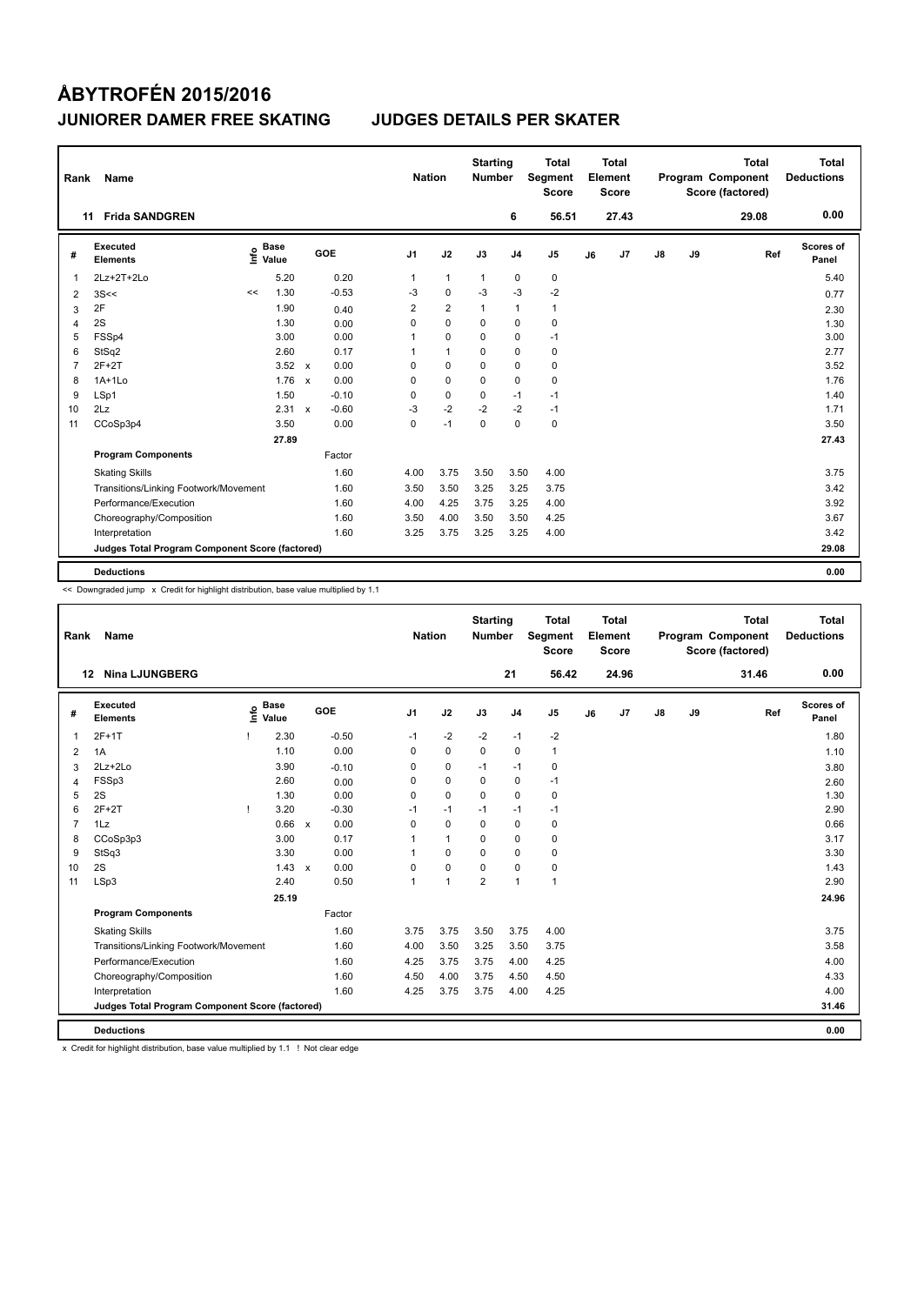| Rank           | Name                                            |    |                      |              |         | <b>Nation</b>  |                | <b>Starting</b><br><b>Number</b> |                | <b>Total</b><br>Segment<br><b>Score</b> |    | <b>Total</b><br>Element<br><b>Score</b> |               |    | <b>Total</b><br>Program Component<br>Score (factored) | <b>Total</b><br><b>Deductions</b> |
|----------------|-------------------------------------------------|----|----------------------|--------------|---------|----------------|----------------|----------------------------------|----------------|-----------------------------------------|----|-----------------------------------------|---------------|----|-------------------------------------------------------|-----------------------------------|
|                | <b>Frida SANDGREN</b><br>11                     |    |                      |              |         |                |                |                                  | 6              | 56.51                                   |    | 27.43                                   |               |    | 29.08                                                 | 0.00                              |
| #              | Executed<br><b>Elements</b>                     | ۴۵ | <b>Base</b><br>Value |              | GOE     | J <sub>1</sub> | J2             | J3                               | J <sub>4</sub> | J <sub>5</sub>                          | J6 | J <sub>7</sub>                          | $\mathsf{J}8$ | J9 | Ref                                                   | Scores of<br>Panel                |
| 1              | 2Lz+2T+2Lo                                      |    | 5.20                 |              | 0.20    | $\mathbf{1}$   | $\mathbf{1}$   | $\mathbf{1}$                     | $\pmb{0}$      | $\pmb{0}$                               |    |                                         |               |    |                                                       | 5.40                              |
| 2              | 3S<<                                            | << | 1.30                 |              | $-0.53$ | $-3$           | $\mathbf 0$    | $-3$                             | $-3$           | $-2$                                    |    |                                         |               |    |                                                       | 0.77                              |
| 3              | 2F                                              |    | 1.90                 |              | 0.40    | $\overline{2}$ | $\overline{2}$ | $\mathbf{1}$                     | $\mathbf{1}$   | $\mathbf{1}$                            |    |                                         |               |    |                                                       | 2.30                              |
| 4              | 2S                                              |    | 1.30                 |              | 0.00    | 0              | $\Omega$       | 0                                | $\pmb{0}$      | $\pmb{0}$                               |    |                                         |               |    |                                                       | 1.30                              |
| 5              | FSSp4                                           |    | 3.00                 |              | 0.00    | 1              | 0              | 0                                | 0              | $-1$                                    |    |                                         |               |    |                                                       | 3.00                              |
| 6              | StSq2                                           |    | 2.60                 |              | 0.17    | 1              | $\mathbf{1}$   | 0                                | $\mathbf 0$    | $\pmb{0}$                               |    |                                         |               |    |                                                       | 2.77                              |
| $\overline{7}$ | $2F+2T$                                         |    | 3.52                 | $\mathbf{x}$ | 0.00    | 0              | $\mathbf 0$    | 0                                | $\mathbf 0$    | $\pmb{0}$                               |    |                                         |               |    |                                                       | 3.52                              |
| 8              | $1A+1Lo$                                        |    | 1.76                 | $\mathsf{x}$ | 0.00    | 0              | $\mathbf 0$    | 0                                | 0              | 0                                       |    |                                         |               |    |                                                       | 1.76                              |
| 9              | LSp1                                            |    | 1.50                 |              | $-0.10$ | 0              | 0              | 0                                | $-1$           | $-1$                                    |    |                                         |               |    |                                                       | 1.40                              |
| 10             | 2Lz                                             |    | 2.31                 | $\mathbf{x}$ | $-0.60$ | $-3$           | $-2$           | $-2$                             | $-2$           | $-1$                                    |    |                                         |               |    |                                                       | 1.71                              |
| 11             | CCoSp3p4                                        |    | 3.50                 |              | 0.00    | 0              | $-1$           | 0                                | $\mathbf 0$    | $\pmb{0}$                               |    |                                         |               |    |                                                       | 3.50                              |
|                |                                                 |    | 27.89                |              |         |                |                |                                  |                |                                         |    |                                         |               |    |                                                       | 27.43                             |
|                | <b>Program Components</b>                       |    |                      |              | Factor  |                |                |                                  |                |                                         |    |                                         |               |    |                                                       |                                   |
|                | <b>Skating Skills</b>                           |    |                      |              | 1.60    | 4.00           | 3.75           | 3.50                             | 3.50           | 4.00                                    |    |                                         |               |    |                                                       | 3.75                              |
|                | Transitions/Linking Footwork/Movement           |    |                      |              | 1.60    | 3.50           | 3.50           | 3.25                             | 3.25           | 3.75                                    |    |                                         |               |    |                                                       | 3.42                              |
|                | Performance/Execution                           |    |                      |              | 1.60    | 4.00           | 4.25           | 3.75                             | 3.25           | 4.00                                    |    |                                         |               |    |                                                       | 3.92                              |
|                | Choreography/Composition                        |    |                      |              | 1.60    | 3.50           | 4.00           | 3.50                             | 3.50           | 4.25                                    |    |                                         |               |    |                                                       | 3.67                              |
|                | Interpretation                                  |    |                      |              | 1.60    | 3.25           | 3.75           | 3.25                             | 3.25           | 4.00                                    |    |                                         |               |    |                                                       | 3.42                              |
|                | Judges Total Program Component Score (factored) |    |                      |              |         |                |                |                                  |                |                                         |    |                                         |               |    |                                                       | 29.08                             |
|                | <b>Deductions</b>                               |    |                      |              |         |                |                |                                  |                |                                         |    |                                         |               |    |                                                       | 0.00                              |

<< Downgraded jump x Credit for highlight distribution, base value multiplied by 1.1

| Rank           | Name                                            |   |                      |            | <b>Nation</b> |              | <b>Starting</b><br><b>Number</b> |                | Total<br><b>Segment</b><br><b>Score</b> |    | <b>Total</b><br>Element<br><b>Score</b> |    |    | <b>Total</b><br>Program Component<br>Score (factored) | <b>Total</b><br><b>Deductions</b> |
|----------------|-------------------------------------------------|---|----------------------|------------|---------------|--------------|----------------------------------|----------------|-----------------------------------------|----|-----------------------------------------|----|----|-------------------------------------------------------|-----------------------------------|
| 12             | <b>Nina LJUNGBERG</b>                           |   |                      |            |               |              |                                  | 21             | 56.42                                   |    | 24.96                                   |    |    | 31.46                                                 | 0.00                              |
| #              | Executed<br><b>Elements</b>                     | e | <b>Base</b><br>Value | <b>GOE</b> | J1            | J2           | J3                               | J <sub>4</sub> | J <sub>5</sub>                          | J6 | J <sub>7</sub>                          | J8 | J9 | Ref                                                   | Scores of<br>Panel                |
| 1              | $2F+1T$                                         |   | 2.30                 | $-0.50$    | $-1$          | $-2$         | $-2$                             | $-1$           | $-2$                                    |    |                                         |    |    |                                                       | 1.80                              |
| 2              | 1A                                              |   | 1.10                 | 0.00       | $\Omega$      | 0            | $\mathbf 0$                      | 0              | 1                                       |    |                                         |    |    |                                                       | 1.10                              |
| 3              | 2Lz+2Lo                                         |   | 3.90                 | $-0.10$    | $\Omega$      | 0            | $-1$                             | $-1$           | 0                                       |    |                                         |    |    |                                                       | 3.80                              |
| 4              | FSSp3                                           |   | 2.60                 | 0.00       | $\Omega$      | 0            | 0                                | 0              | $-1$                                    |    |                                         |    |    |                                                       | 2.60                              |
| 5              | 2S                                              |   | 1.30                 | 0.00       | $\Omega$      | $\mathbf 0$  | $\Omega$                         | 0              | 0                                       |    |                                         |    |    |                                                       | 1.30                              |
| 6              | $2F+2T$                                         |   | 3.20                 | $-0.30$    | $-1$          | $-1$         | $-1$                             | $-1$           | $-1$                                    |    |                                         |    |    |                                                       | 2.90                              |
| $\overline{7}$ | 1Lz                                             |   | 0.66 x               | 0.00       | $\Omega$      | $\mathbf 0$  | $\Omega$                         | 0              | 0                                       |    |                                         |    |    |                                                       | 0.66                              |
| 8              | CCoSp3p3                                        |   | 3.00                 | 0.17       |               | $\mathbf{1}$ | 0                                | 0              | 0                                       |    |                                         |    |    |                                                       | 3.17                              |
| 9              | StSq3                                           |   | 3.30                 | 0.00       |               | $\Omega$     | 0                                | $\Omega$       | 0                                       |    |                                         |    |    |                                                       | 3.30                              |
| 10             | 2S                                              |   | $1.43 \times$        | 0.00       | $\Omega$      | 0            | $\Omega$                         | 0              | 0                                       |    |                                         |    |    |                                                       | 1.43                              |
| 11             | LSp3                                            |   | 2.40                 | 0.50       | 1             | $\mathbf{1}$ | $\overline{2}$                   | $\mathbf{1}$   | $\mathbf{1}$                            |    |                                         |    |    |                                                       | 2.90                              |
|                |                                                 |   | 25.19                |            |               |              |                                  |                |                                         |    |                                         |    |    |                                                       | 24.96                             |
|                | <b>Program Components</b>                       |   |                      | Factor     |               |              |                                  |                |                                         |    |                                         |    |    |                                                       |                                   |
|                | <b>Skating Skills</b>                           |   |                      | 1.60       | 3.75          | 3.75         | 3.50                             | 3.75           | 4.00                                    |    |                                         |    |    |                                                       | 3.75                              |
|                | Transitions/Linking Footwork/Movement           |   |                      | 1.60       | 4.00          | 3.50         | 3.25                             | 3.50           | 3.75                                    |    |                                         |    |    |                                                       | 3.58                              |
|                | Performance/Execution                           |   |                      | 1.60       | 4.25          | 3.75         | 3.75                             | 4.00           | 4.25                                    |    |                                         |    |    |                                                       | 4.00                              |
|                | Choreography/Composition                        |   |                      | 1.60       | 4.50          | 4.00         | 3.75                             | 4.50           | 4.50                                    |    |                                         |    |    |                                                       | 4.33                              |
|                | Interpretation                                  |   |                      | 1.60       | 4.25          | 3.75         | 3.75                             | 4.00           | 4.25                                    |    |                                         |    |    |                                                       | 4.00                              |
|                | Judges Total Program Component Score (factored) |   |                      |            |               |              |                                  |                |                                         |    |                                         |    |    |                                                       | 31.46                             |
|                | <b>Deductions</b>                               |   |                      |            |               |              |                                  |                |                                         |    |                                         |    |    |                                                       | 0.00                              |

x Credit for highlight distribution, base value multiplied by 1.1 ! Not clear edge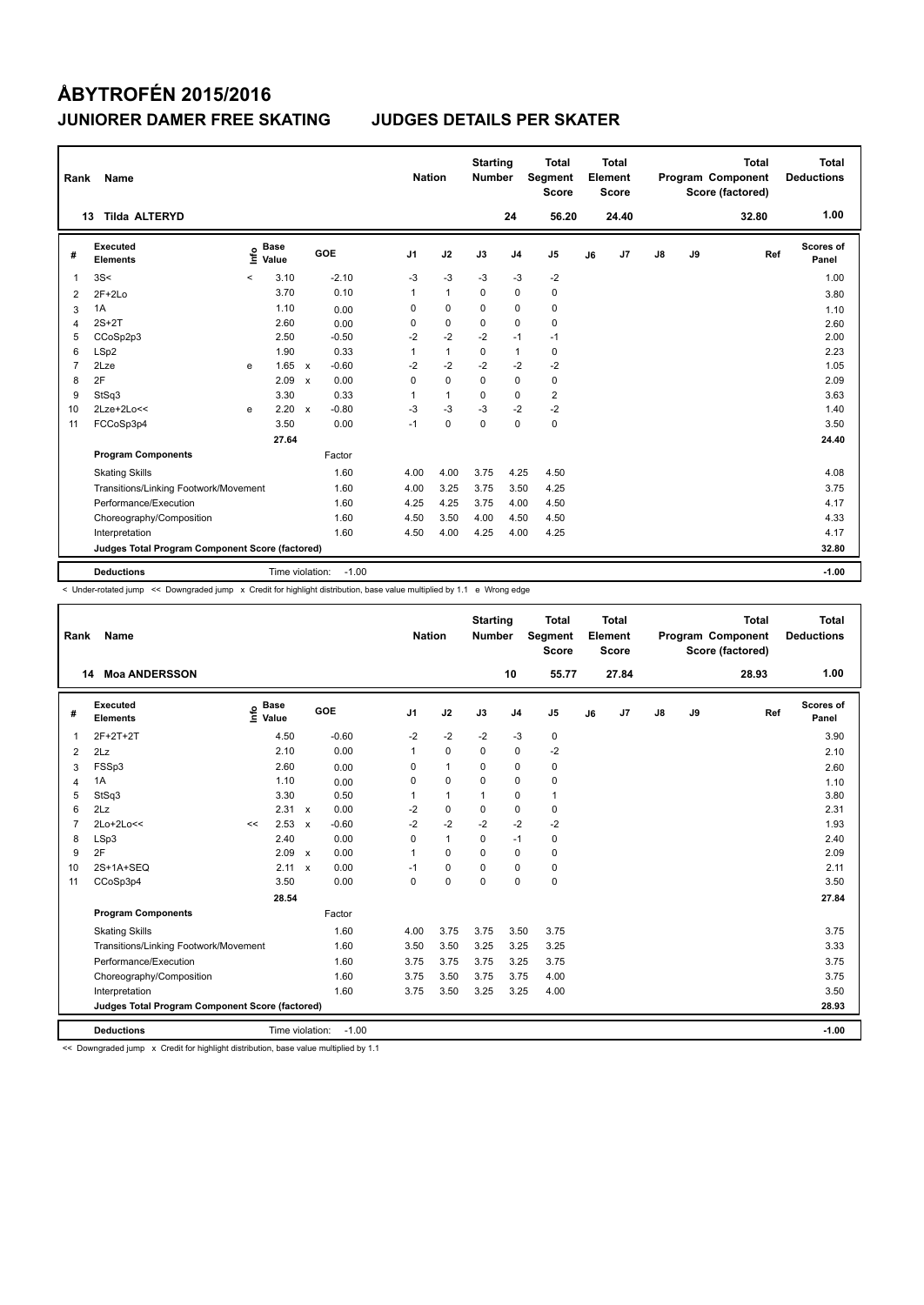| Rank | Name                                            |         |                      |              |         | <b>Nation</b>  |              | <b>Starting</b><br><b>Number</b> |                | <b>Total</b><br>Segment<br><b>Score</b> |    | <b>Total</b><br>Element<br><b>Score</b> |               |    | <b>Total</b><br>Program Component<br>Score (factored) | <b>Total</b><br><b>Deductions</b> |
|------|-------------------------------------------------|---------|----------------------|--------------|---------|----------------|--------------|----------------------------------|----------------|-----------------------------------------|----|-----------------------------------------|---------------|----|-------------------------------------------------------|-----------------------------------|
|      | <b>Tilda ALTERYD</b><br>13                      |         |                      |              |         |                |              |                                  | 24             | 56.20                                   |    | 24.40                                   |               |    | 32.80                                                 | 1.00                              |
| #    | Executed<br><b>Elements</b>                     | e       | <b>Base</b><br>Value |              | GOE     | J <sub>1</sub> | J2           | J3                               | J <sub>4</sub> | J <sub>5</sub>                          | J6 | J <sub>7</sub>                          | $\mathsf{J}8$ | J9 | Ref                                                   | Scores of<br>Panel                |
| 1    | 3S<                                             | $\prec$ | 3.10                 |              | $-2.10$ | $-3$           | $-3$         | $-3$                             | $-3$           | $-2$                                    |    |                                         |               |    |                                                       | 1.00                              |
| 2    | $2F+2Lo$                                        |         | 3.70                 |              | 0.10    | 1              | $\mathbf{1}$ | $\Omega$                         | $\mathbf 0$    | $\pmb{0}$                               |    |                                         |               |    |                                                       | 3.80                              |
| 3    | 1A                                              |         | 1.10                 |              | 0.00    | 0              | $\mathbf 0$  | 0                                | $\mathbf 0$    | $\pmb{0}$                               |    |                                         |               |    |                                                       | 1.10                              |
| 4    | $2S+2T$                                         |         | 2.60                 |              | 0.00    | 0              | $\mathbf 0$  | $\mathbf 0$                      | $\mathbf 0$    | $\pmb{0}$                               |    |                                         |               |    |                                                       | 2.60                              |
| 5    | CCoSp2p3                                        |         | 2.50                 |              | $-0.50$ | $-2$           | $-2$         | $-2$                             | $-1$           | $-1$                                    |    |                                         |               |    |                                                       | 2.00                              |
| 6    | LSp2                                            |         | 1.90                 |              | 0.33    | 1              | $\mathbf{1}$ | 0                                | $\mathbf{1}$   | $\mathbf 0$                             |    |                                         |               |    |                                                       | 2.23                              |
| 7    | 2Lze                                            | e       | 1.65                 | $\mathsf{x}$ | $-0.60$ | $-2$           | $-2$         | $-2$                             | $-2$           | $-2$                                    |    |                                         |               |    |                                                       | 1.05                              |
| 8    | 2F                                              |         | 2.09                 | $\mathsf{x}$ | 0.00    | 0              | $\mathbf 0$  | 0                                | 0              | 0                                       |    |                                         |               |    |                                                       | 2.09                              |
| 9    | StSq3                                           |         | 3.30                 |              | 0.33    | 1              | $\mathbf{1}$ | 0                                | 0              | $\overline{2}$                          |    |                                         |               |    |                                                       | 3.63                              |
| 10   | 2Lze+2Lo<<                                      | e       | 2.20                 | $\mathbf x$  | $-0.80$ | $-3$           | $-3$         | $-3$                             | $-2$           | $-2$                                    |    |                                         |               |    |                                                       | 1.40                              |
| 11   | FCCoSp3p4                                       |         | 3.50                 |              | 0.00    | $-1$           | 0            | $\mathbf 0$                      | $\mathbf 0$    | $\pmb{0}$                               |    |                                         |               |    |                                                       | 3.50                              |
|      |                                                 |         | 27.64                |              |         |                |              |                                  |                |                                         |    |                                         |               |    |                                                       | 24.40                             |
|      | <b>Program Components</b>                       |         |                      |              | Factor  |                |              |                                  |                |                                         |    |                                         |               |    |                                                       |                                   |
|      | <b>Skating Skills</b>                           |         |                      |              | 1.60    | 4.00           | 4.00         | 3.75                             | 4.25           | 4.50                                    |    |                                         |               |    |                                                       | 4.08                              |
|      | Transitions/Linking Footwork/Movement           |         |                      |              | 1.60    | 4.00           | 3.25         | 3.75                             | 3.50           | 4.25                                    |    |                                         |               |    |                                                       | 3.75                              |
|      | Performance/Execution                           |         |                      |              | 1.60    | 4.25           | 4.25         | 3.75                             | 4.00           | 4.50                                    |    |                                         |               |    |                                                       | 4.17                              |
|      | Choreography/Composition                        |         |                      |              | 1.60    | 4.50           | 3.50         | 4.00                             | 4.50           | 4.50                                    |    |                                         |               |    |                                                       | 4.33                              |
|      | Interpretation                                  |         |                      |              | 1.60    | 4.50           | 4.00         | 4.25                             | 4.00           | 4.25                                    |    |                                         |               |    |                                                       | 4.17                              |
|      | Judges Total Program Component Score (factored) |         |                      |              |         |                |              |                                  |                |                                         |    |                                         |               |    |                                                       | 32.80                             |
|      | <b>Deductions</b>                               |         | Time violation:      |              | $-1.00$ |                |              |                                  |                |                                         |    |                                         |               |    |                                                       | $-1.00$                           |

< Under-rotated jump << Downgraded jump x Credit for highlight distribution, base value multiplied by 1.1 e Wrong edge

| Rank           | <b>Name</b>                                     |                    |               |         | <b>Nation</b>  |              | <b>Starting</b><br><b>Number</b> |                | <b>Total</b><br>Segment<br><b>Score</b> |    | <b>Total</b><br>Element<br><b>Score</b> |               |    | <b>Total</b><br>Program Component<br>Score (factored) | <b>Total</b><br><b>Deductions</b> |
|----------------|-------------------------------------------------|--------------------|---------------|---------|----------------|--------------|----------------------------------|----------------|-----------------------------------------|----|-----------------------------------------|---------------|----|-------------------------------------------------------|-----------------------------------|
|                | <b>Moa ANDERSSON</b><br>14                      |                    |               |         |                |              |                                  | 10             | 55.77                                   |    | 27.84                                   |               |    | 28.93                                                 | 1.00                              |
| #              | Executed<br><b>Elements</b>                     | $\frac{e}{E}$ Base |               | GOE     | J <sub>1</sub> | J2           | J3                               | J <sub>4</sub> | J5                                      | J6 | J <sub>7</sub>                          | $\mathsf{J}8$ | J9 | Ref                                                   | Scores of<br>Panel                |
| $\mathbf{1}$   | 2F+2T+2T                                        | 4.50               |               | $-0.60$ | $-2$           | $-2$         | $-2$                             | $-3$           | 0                                       |    |                                         |               |    |                                                       | 3.90                              |
| 2              | 2Lz                                             | 2.10               |               | 0.00    | 1              | $\mathbf 0$  | $\Omega$                         | $\mathbf 0$    | $-2$                                    |    |                                         |               |    |                                                       | 2.10                              |
| 3              | FSSp3                                           | 2.60               |               | 0.00    | 0              | $\mathbf{1}$ | 0                                | $\mathbf 0$    | 0                                       |    |                                         |               |    |                                                       | 2.60                              |
| $\overline{4}$ | 1A                                              | 1.10               |               | 0.00    | 0              | $\mathbf 0$  | $\mathbf 0$                      | $\mathbf 0$    | $\mathbf 0$                             |    |                                         |               |    |                                                       | 1.10                              |
| 5              | StSq3                                           | 3.30               |               | 0.50    |                | $\mathbf{1}$ | 1                                | 0              | 1                                       |    |                                         |               |    |                                                       | 3.80                              |
| 6              | 2Lz                                             |                    | $2.31 \times$ | 0.00    | $-2$           | $\mathbf 0$  | $\Omega$                         | $\pmb{0}$      | 0                                       |    |                                         |               |    |                                                       | 2.31                              |
| $\overline{7}$ | 2Lo+2Lo<<                                       | 2.53<br><<         | $\mathbf{x}$  | $-0.60$ | $-2$           | $-2$         | $-2$                             | $-2$           | $-2$                                    |    |                                         |               |    |                                                       | 1.93                              |
| 8              | LSp3                                            | 2.40               |               | 0.00    | 0              | $\mathbf{1}$ | $\Omega$                         | $-1$           | $\mathbf 0$                             |    |                                         |               |    |                                                       | 2.40                              |
| 9              | 2F                                              | 2.09               | $\mathsf{x}$  | 0.00    | 1              | $\mathbf 0$  | $\mathbf 0$                      | $\mathbf 0$    | 0                                       |    |                                         |               |    |                                                       | 2.09                              |
| 10             | 2S+1A+SEQ                                       |                    | $2.11 \times$ | 0.00    | $-1$           | $\mathbf 0$  | 0                                | $\mathbf 0$    | 0                                       |    |                                         |               |    |                                                       | 2.11                              |
| 11             | CCoSp3p4                                        | 3.50               |               | 0.00    | 0              | $\mathbf 0$  | $\mathbf 0$                      | $\mathbf 0$    | 0                                       |    |                                         |               |    |                                                       | 3.50                              |
|                |                                                 | 28.54              |               |         |                |              |                                  |                |                                         |    |                                         |               |    |                                                       | 27.84                             |
|                | <b>Program Components</b>                       |                    |               | Factor  |                |              |                                  |                |                                         |    |                                         |               |    |                                                       |                                   |
|                | <b>Skating Skills</b>                           |                    |               | 1.60    | 4.00           | 3.75         | 3.75                             | 3.50           | 3.75                                    |    |                                         |               |    |                                                       | 3.75                              |
|                | Transitions/Linking Footwork/Movement           |                    |               | 1.60    | 3.50           | 3.50         | 3.25                             | 3.25           | 3.25                                    |    |                                         |               |    |                                                       | 3.33                              |
|                | Performance/Execution                           |                    |               | 1.60    | 3.75           | 3.75         | 3.75                             | 3.25           | 3.75                                    |    |                                         |               |    |                                                       | 3.75                              |
|                | Choreography/Composition                        |                    |               | 1.60    | 3.75           | 3.50         | 3.75                             | 3.75           | 4.00                                    |    |                                         |               |    |                                                       | 3.75                              |
|                | Interpretation                                  |                    |               | 1.60    | 3.75           | 3.50         | 3.25                             | 3.25           | 4.00                                    |    |                                         |               |    |                                                       | 3.50                              |
|                | Judges Total Program Component Score (factored) |                    |               |         |                |              |                                  |                |                                         |    |                                         |               |    |                                                       | 28.93                             |
|                | <b>Deductions</b>                               | Time violation:    |               | $-1.00$ |                |              |                                  |                |                                         |    |                                         |               |    |                                                       | $-1.00$                           |

<< Downgraded jump x Credit for highlight distribution, base value multiplied by 1.1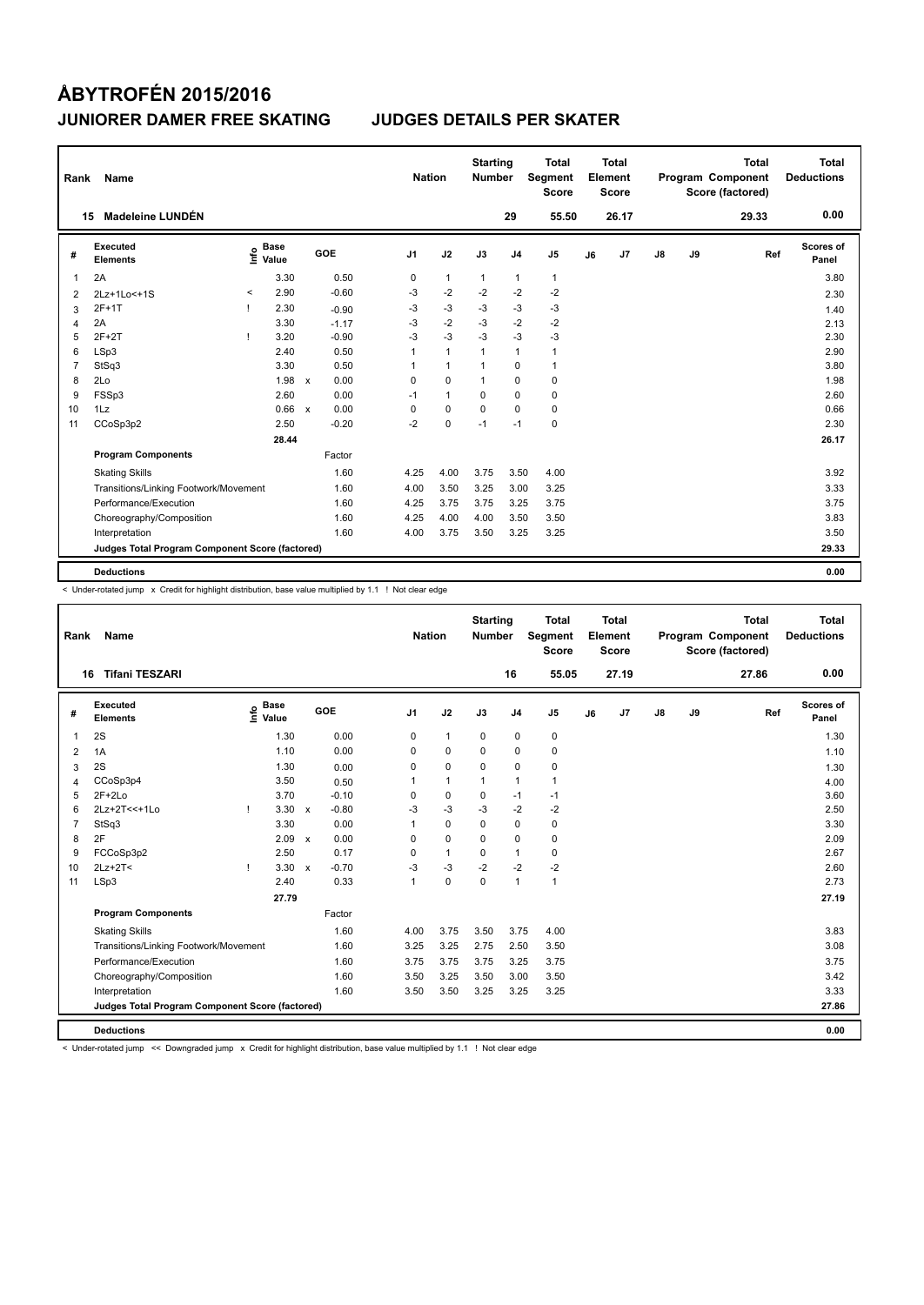| Rank           | Name                                            |       |                      |              |         | <b>Nation</b>  |                | <b>Starting</b><br><b>Number</b> |                | Total<br>Segment<br><b>Score</b> |    | <b>Total</b><br>Element<br><b>Score</b> |               |    | <b>Total</b><br>Program Component<br>Score (factored) | Total<br><b>Deductions</b> |
|----------------|-------------------------------------------------|-------|----------------------|--------------|---------|----------------|----------------|----------------------------------|----------------|----------------------------------|----|-----------------------------------------|---------------|----|-------------------------------------------------------|----------------------------|
|                | <b>Madeleine LUNDÉN</b><br>15                   |       |                      |              |         |                |                |                                  | 29             | 55.50                            |    | 26.17                                   |               |    | 29.33                                                 | 0.00                       |
| #              | <b>Executed</b><br><b>Elements</b>              | ١nf٥  | <b>Base</b><br>Value |              | GOE     | J <sub>1</sub> | J2             | J3                               | J <sub>4</sub> | J <sub>5</sub>                   | J6 | J <sub>7</sub>                          | $\mathsf{J}8$ | J9 | Ref                                                   | Scores of<br>Panel         |
| 1              | 2A                                              |       | 3.30                 |              | 0.50    | 0              | $\mathbf{1}$   | $\mathbf{1}$                     | $\mathbf{1}$   | $\mathbf{1}$                     |    |                                         |               |    |                                                       | 3.80                       |
| 2              | 2Lz+1Lo<+1S                                     | $\,<$ | 2.90                 |              | $-0.60$ | -3             | $-2$           | $-2$                             | $-2$           | $-2$                             |    |                                         |               |    |                                                       | 2.30                       |
| 3              | $2F+1T$                                         |       | 2.30                 |              | $-0.90$ | -3             | $-3$           | -3                               | $-3$           | $-3$                             |    |                                         |               |    |                                                       | 1.40                       |
| 4              | 2A                                              |       | 3.30                 |              | $-1.17$ | $-3$           | $-2$           | $-3$                             | $-2$           | $-2$                             |    |                                         |               |    |                                                       | 2.13                       |
| 5              | $2F+2T$                                         |       | 3.20                 |              | $-0.90$ | $-3$           | $-3$           | $-3$                             | $-3$           | $-3$                             |    |                                         |               |    |                                                       | 2.30                       |
| 6              | LSp3                                            |       | 2.40                 |              | 0.50    | 1              | $\overline{1}$ | $\overline{1}$                   | $\mathbf{1}$   | $\mathbf{1}$                     |    |                                         |               |    |                                                       | 2.90                       |
| $\overline{7}$ | StSq3                                           |       | 3.30                 |              | 0.50    | 1              | $\overline{1}$ | $\overline{1}$                   | $\mathbf 0$    | $\mathbf{1}$                     |    |                                         |               |    |                                                       | 3.80                       |
| 8              | 2Lo                                             |       | 1.98                 | $\mathsf{x}$ | 0.00    | $\Omega$       | $\Omega$       | $\overline{1}$                   | $\Omega$       | $\mathbf 0$                      |    |                                         |               |    |                                                       | 1.98                       |
| 9              | FSSp3                                           |       | 2.60                 |              | 0.00    | $-1$           | $\mathbf{1}$   | 0                                | $\mathbf 0$    | 0                                |    |                                         |               |    |                                                       | 2.60                       |
| 10             | 1Lz                                             |       | 0.66 x               |              | 0.00    | 0              | 0              | $\Omega$                         | 0              | $\mathbf 0$                      |    |                                         |               |    |                                                       | 0.66                       |
| 11             | CCoSp3p2                                        |       | 2.50                 |              | $-0.20$ | $-2$           | $\mathbf 0$    | $-1$                             | $-1$           | $\mathbf 0$                      |    |                                         |               |    |                                                       | 2.30                       |
|                |                                                 |       | 28.44                |              |         |                |                |                                  |                |                                  |    |                                         |               |    |                                                       | 26.17                      |
|                | <b>Program Components</b>                       |       |                      |              | Factor  |                |                |                                  |                |                                  |    |                                         |               |    |                                                       |                            |
|                | <b>Skating Skills</b>                           |       |                      |              | 1.60    | 4.25           | 4.00           | 3.75                             | 3.50           | 4.00                             |    |                                         |               |    |                                                       | 3.92                       |
|                | Transitions/Linking Footwork/Movement           |       |                      |              | 1.60    | 4.00           | 3.50           | 3.25                             | 3.00           | 3.25                             |    |                                         |               |    |                                                       | 3.33                       |
|                | Performance/Execution                           |       |                      |              | 1.60    | 4.25           | 3.75           | 3.75                             | 3.25           | 3.75                             |    |                                         |               |    |                                                       | 3.75                       |
|                | Choreography/Composition                        |       |                      |              | 1.60    | 4.25           | 4.00           | 4.00                             | 3.50           | 3.50                             |    |                                         |               |    |                                                       | 3.83                       |
|                | Interpretation                                  |       |                      |              | 1.60    | 4.00           | 3.75           | 3.50                             | 3.25           | 3.25                             |    |                                         |               |    |                                                       | 3.50                       |
|                | Judges Total Program Component Score (factored) |       |                      |              |         |                |                |                                  |                |                                  |    |                                         |               |    |                                                       | 29.33                      |
|                | <b>Deductions</b>                               |       |                      |              |         |                |                |                                  |                |                                  |    |                                         |               |    |                                                       | 0.00                       |

< Under-rotated jump x Credit for highlight distribution, base value multiplied by 1.1 ! Not clear edge

| Rank | <b>Name</b>                                     |                                                    |         |                | <b>Nation</b> | <b>Starting</b><br><b>Number</b> |                | <b>Total</b><br>Segment<br><b>Score</b> |    | <b>Total</b><br>Element<br><b>Score</b> |               |    | <b>Total</b><br>Program Component<br>Score (factored) | <b>Total</b><br><b>Deductions</b> |
|------|-------------------------------------------------|----------------------------------------------------|---------|----------------|---------------|----------------------------------|----------------|-----------------------------------------|----|-----------------------------------------|---------------|----|-------------------------------------------------------|-----------------------------------|
| 16   | <b>Tifani TESZARI</b>                           |                                                    |         |                |               |                                  | 16             | 55.05                                   |    | 27.19                                   |               |    | 27.86                                                 | 0.00                              |
| #    | Executed<br><b>Elements</b>                     | $\frac{e}{E}$ Base<br>$\frac{E}{E}$ Value<br>Value | GOE     | J <sub>1</sub> | J2            | J3                               | J <sub>4</sub> | J <sub>5</sub>                          | J6 | J <sub>7</sub>                          | $\mathsf{J}8$ | J9 | Ref                                                   | Scores of<br>Panel                |
| 1    | 2S                                              | 1.30                                               | 0.00    | 0              | $\mathbf{1}$  | 0                                | $\mathbf 0$    | 0                                       |    |                                         |               |    |                                                       | 1.30                              |
| 2    | 1A                                              | 1.10                                               | 0.00    | 0              | 0             | $\Omega$                         | 0              | 0                                       |    |                                         |               |    |                                                       | 1.10                              |
| 3    | 2S                                              | 1.30                                               | 0.00    | 0              | 0             | $\Omega$                         | 0              | 0                                       |    |                                         |               |    |                                                       | 1.30                              |
| 4    | CCoSp3p4                                        | 3.50                                               | 0.50    |                | $\mathbf{1}$  | $\mathbf{1}$                     | $\mathbf{1}$   | 1                                       |    |                                         |               |    |                                                       | 4.00                              |
| 5    | $2F+2Lo$                                        | 3.70                                               | $-0.10$ | 0              | 0             | $\mathbf 0$                      | $-1$           | $-1$                                    |    |                                         |               |    |                                                       | 3.60                              |
| 6    | 2Lz+2T<<+1Lo                                    | $3.30 \times$                                      | $-0.80$ | -3             | $-3$          | $-3$                             | $-2$           | $-2$                                    |    |                                         |               |    |                                                       | 2.50                              |
| 7    | StSq3                                           | 3.30                                               | 0.00    |                | 0             | $\Omega$                         | 0              | 0                                       |    |                                         |               |    |                                                       | 3.30                              |
| 8    | 2F                                              | 2.09 x                                             | 0.00    | $\Omega$       | 0             | $\Omega$                         | 0              | 0                                       |    |                                         |               |    |                                                       | 2.09                              |
| 9    | FCCoSp3p2                                       | 2.50                                               | 0.17    | 0              | 1             | $\mathbf 0$                      | $\mathbf{1}$   | 0                                       |    |                                         |               |    |                                                       | 2.67                              |
| 10   | $2Lz+2T<$                                       | $3.30 \times$                                      | $-0.70$ | $-3$           | $-3$          | $-2$                             | $-2$           | $-2$                                    |    |                                         |               |    |                                                       | 2.60                              |
| 11   | LSp3                                            | 2.40                                               | 0.33    | 1              | 0             | $\mathbf 0$                      | $\overline{1}$ | $\mathbf{1}$                            |    |                                         |               |    |                                                       | 2.73                              |
|      |                                                 | 27.79                                              |         |                |               |                                  |                |                                         |    |                                         |               |    |                                                       | 27.19                             |
|      | <b>Program Components</b>                       |                                                    | Factor  |                |               |                                  |                |                                         |    |                                         |               |    |                                                       |                                   |
|      | <b>Skating Skills</b>                           |                                                    | 1.60    | 4.00           | 3.75          | 3.50                             | 3.75           | 4.00                                    |    |                                         |               |    |                                                       | 3.83                              |
|      | Transitions/Linking Footwork/Movement           |                                                    | 1.60    | 3.25           | 3.25          | 2.75                             | 2.50           | 3.50                                    |    |                                         |               |    |                                                       | 3.08                              |
|      | Performance/Execution                           |                                                    | 1.60    | 3.75           | 3.75          | 3.75                             | 3.25           | 3.75                                    |    |                                         |               |    |                                                       | 3.75                              |
|      | Choreography/Composition                        |                                                    | 1.60    | 3.50           | 3.25          | 3.50                             | 3.00           | 3.50                                    |    |                                         |               |    |                                                       | 3.42                              |
|      | Interpretation                                  |                                                    | 1.60    | 3.50           | 3.50          | 3.25                             | 3.25           | 3.25                                    |    |                                         |               |    |                                                       | 3.33                              |
|      | Judges Total Program Component Score (factored) |                                                    |         |                |               |                                  |                |                                         |    |                                         |               |    |                                                       | 27.86                             |
|      | <b>Deductions</b>                               |                                                    |         |                |               |                                  |                |                                         |    |                                         |               |    |                                                       | 0.00                              |

< Under-rotated jump << Downgraded jump x Credit for highlight distribution, base value multiplied by 1.1 ! Not clear edge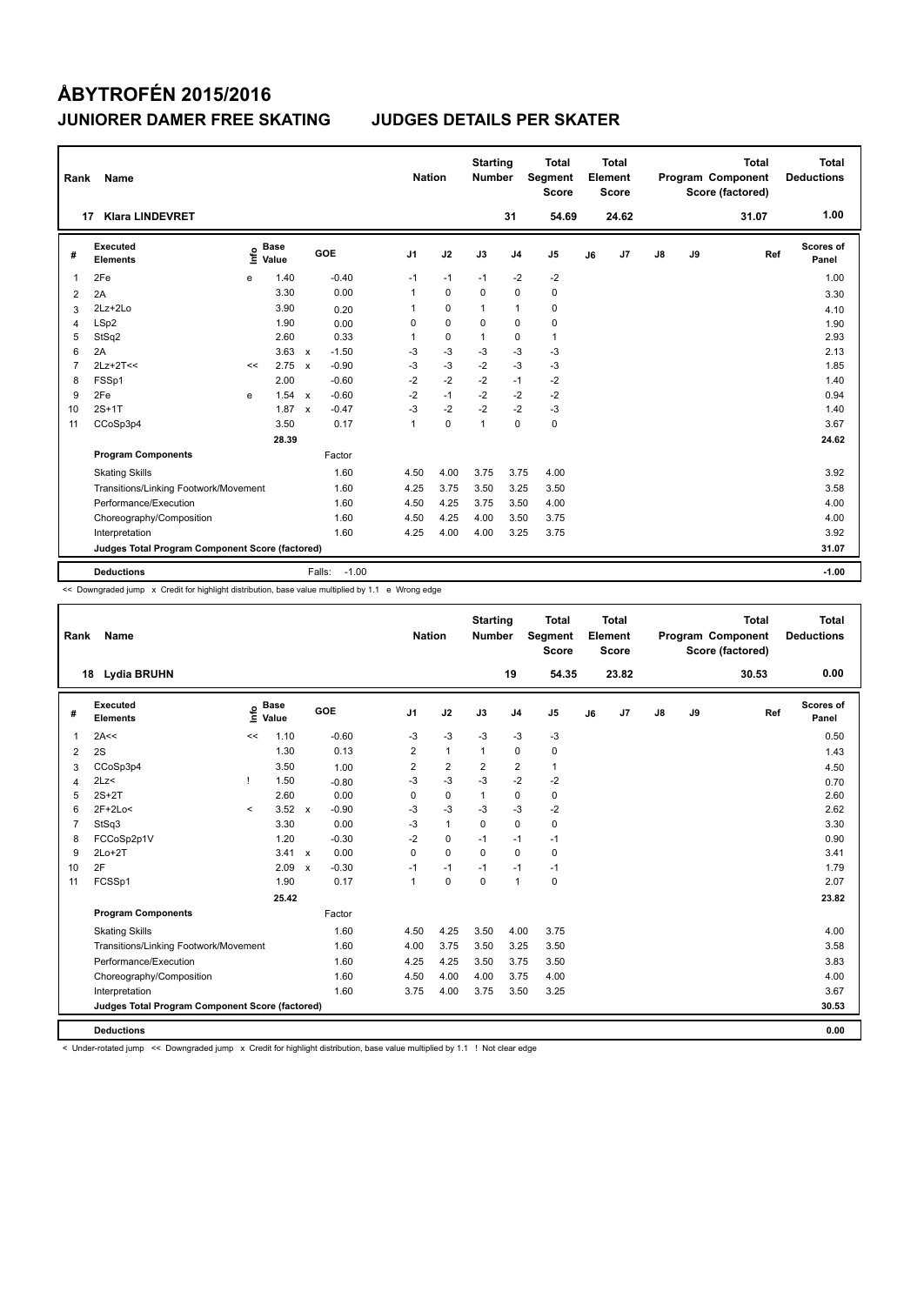| Rank           | Name                                            |      |                      |                           |                   | <b>Nation</b>  |             | <b>Starting</b><br>Number |                | <b>Total</b><br>Segment<br><b>Score</b> |    | <b>Total</b><br>Element<br>Score |    |    | <b>Total</b><br>Program Component<br>Score (factored) | Total<br><b>Deductions</b> |
|----------------|-------------------------------------------------|------|----------------------|---------------------------|-------------------|----------------|-------------|---------------------------|----------------|-----------------------------------------|----|----------------------------------|----|----|-------------------------------------------------------|----------------------------|
| 17             | <b>Klara LINDEVRET</b>                          |      |                      |                           |                   |                |             |                           | 31             | 54.69                                   |    | 24.62                            |    |    | 31.07                                                 | 1.00                       |
| #              | Executed<br><b>Elements</b>                     | ١nf٥ | <b>Base</b><br>Value |                           | GOE               | J <sub>1</sub> | J2          | J3                        | J <sub>4</sub> | J <sub>5</sub>                          | J6 | J7                               | J8 | J9 | Ref                                                   | Scores of<br>Panel         |
| 1              | 2Fe                                             | e    | 1.40                 |                           | $-0.40$           | $-1$           | $-1$        | $-1$                      | $-2$           | $-2$                                    |    |                                  |    |    |                                                       | 1.00                       |
| 2              | 2A                                              |      | 3.30                 |                           | 0.00              | 1              | $\mathbf 0$ | $\Omega$                  | $\mathbf 0$    | 0                                       |    |                                  |    |    |                                                       | 3.30                       |
| 3              | $2Lz+2Lo$                                       |      | 3.90                 |                           | 0.20              | 1              | 0           | $\mathbf{1}$              | $\mathbf{1}$   | 0                                       |    |                                  |    |    |                                                       | 4.10                       |
| 4              | LSp2                                            |      | 1.90                 |                           | 0.00              | 0              | $\mathbf 0$ | $\Omega$                  | $\mathbf 0$    | 0                                       |    |                                  |    |    |                                                       | 1.90                       |
| 5              | StSq2                                           |      | 2.60                 |                           | 0.33              | 1              | 0           | $\mathbf{1}$              | 0              | $\mathbf{1}$                            |    |                                  |    |    |                                                       | 2.93                       |
| 6              | 2A                                              |      | 3.63                 | $\mathbf{x}$              | $-1.50$           | $-3$           | $-3$        | $-3$                      | $-3$           | $-3$                                    |    |                                  |    |    |                                                       | 2.13                       |
| $\overline{7}$ | $2Lz+2T<<$                                      | <<   | 2.75                 | $\boldsymbol{\mathsf{x}}$ | $-0.90$           | $-3$           | $-3$        | $-2$                      | $-3$           | $-3$                                    |    |                                  |    |    |                                                       | 1.85                       |
| 8              | FSSp1                                           |      | 2.00                 |                           | $-0.60$           | $-2$           | $-2$        | $-2$                      | $-1$           | $-2$                                    |    |                                  |    |    |                                                       | 1.40                       |
| 9              | 2Fe                                             | e    | 1.54                 | $\mathbf{x}$              | $-0.60$           | $-2$           | $-1$        | $-2$                      | $-2$           | $-2$                                    |    |                                  |    |    |                                                       | 0.94                       |
| 10             | $2S+1T$                                         |      | 1.87                 | $\mathbf{x}$              | $-0.47$           | $-3$           | -2          | $-2$                      | $-2$           | -3                                      |    |                                  |    |    |                                                       | 1.40                       |
| 11             | CCoSp3p4                                        |      | 3.50                 |                           | 0.17              | $\mathbf{1}$   | $\mathbf 0$ | $\overline{1}$            | $\mathbf 0$    | $\mathbf 0$                             |    |                                  |    |    |                                                       | 3.67                       |
|                |                                                 |      | 28.39                |                           |                   |                |             |                           |                |                                         |    |                                  |    |    |                                                       | 24.62                      |
|                | <b>Program Components</b>                       |      |                      |                           | Factor            |                |             |                           |                |                                         |    |                                  |    |    |                                                       |                            |
|                | <b>Skating Skills</b>                           |      |                      |                           | 1.60              | 4.50           | 4.00        | 3.75                      | 3.75           | 4.00                                    |    |                                  |    |    |                                                       | 3.92                       |
|                | Transitions/Linking Footwork/Movement           |      |                      |                           | 1.60              | 4.25           | 3.75        | 3.50                      | 3.25           | 3.50                                    |    |                                  |    |    |                                                       | 3.58                       |
|                | Performance/Execution                           |      |                      |                           | 1.60              | 4.50           | 4.25        | 3.75                      | 3.50           | 4.00                                    |    |                                  |    |    |                                                       | 4.00                       |
|                | Choreography/Composition                        |      |                      |                           | 1.60              | 4.50           | 4.25        | 4.00                      | 3.50           | 3.75                                    |    |                                  |    |    |                                                       | 4.00                       |
|                | Interpretation                                  |      |                      |                           | 1.60              | 4.25           | 4.00        | 4.00                      | 3.25           | 3.75                                    |    |                                  |    |    |                                                       | 3.92                       |
|                | Judges Total Program Component Score (factored) |      |                      |                           |                   |                |             |                           |                |                                         |    |                                  |    |    |                                                       | 31.07                      |
|                | <b>Deductions</b>                               |      |                      |                           | $-1.00$<br>Falls: |                |             |                           |                |                                         |    |                                  |    |    |                                                       | $-1.00$                    |

<< Downgraded jump x Credit for highlight distribution, base value multiplied by 1.1 e Wrong edge

| Rank           | Name                                            |                                  |                      |                           |         | <b>Nation</b>  |                | <b>Starting</b><br><b>Number</b> |                | <b>Total</b><br>Segment<br><b>Score</b> |    | <b>Total</b><br>Element<br><b>Score</b> |               |    | <b>Total</b><br>Program Component<br>Score (factored) | <b>Total</b><br><b>Deductions</b> |
|----------------|-------------------------------------------------|----------------------------------|----------------------|---------------------------|---------|----------------|----------------|----------------------------------|----------------|-----------------------------------------|----|-----------------------------------------|---------------|----|-------------------------------------------------------|-----------------------------------|
|                | Lydia BRUHN<br>18                               |                                  |                      |                           |         |                |                |                                  | 19             | 54.35                                   |    | 23.82                                   |               |    | 30.53                                                 | 0.00                              |
| #              | Executed<br><b>Elements</b>                     | $\mathop{\mathsf{Irr}}\nolimits$ | <b>Base</b><br>Value |                           | GOE     | J <sub>1</sub> | J2             | J3                               | J <sub>4</sub> | J5                                      | J6 | J <sub>7</sub>                          | $\mathsf{J}8$ | J9 | Ref                                                   | <b>Scores of</b><br>Panel         |
| $\mathbf{1}$   | 2A<<                                            | <<                               | 1.10                 |                           | $-0.60$ | $-3$           | $-3$           | $-3$                             | $-3$           | $-3$                                    |    |                                         |               |    |                                                       | 0.50                              |
| 2              | 2S                                              |                                  | 1.30                 |                           | 0.13    | 2              | $\mathbf{1}$   | $\mathbf{1}$                     | $\Omega$       | 0                                       |    |                                         |               |    |                                                       | 1.43                              |
| 3              | CCoSp3p4                                        |                                  | 3.50                 |                           | 1.00    | $\overline{2}$ | $\overline{2}$ | $\overline{2}$                   | $\overline{2}$ | $\mathbf{1}$                            |    |                                         |               |    |                                                       | 4.50                              |
| $\overline{4}$ | 2Lz<                                            |                                  | 1.50                 |                           | $-0.80$ | $-3$           | $-3$           | $-3$                             | $-2$           | $-2$                                    |    |                                         |               |    |                                                       | 0.70                              |
| 5              | $2S+2T$                                         |                                  | 2.60                 |                           | 0.00    | $\mathbf 0$    | $\mathbf 0$    | $\mathbf{1}$                     | 0              | 0                                       |    |                                         |               |    |                                                       | 2.60                              |
| 6              | $2F+2Lo<$                                       | $\prec$                          | $3.52 \times$        |                           | $-0.90$ | -3             | $-3$           | $-3$                             | $-3$           | $-2$                                    |    |                                         |               |    |                                                       | 2.62                              |
| $\overline{7}$ | StSq3                                           |                                  | 3.30                 |                           | 0.00    | $-3$           | $\mathbf{1}$   | 0                                | 0              | 0                                       |    |                                         |               |    |                                                       | 3.30                              |
| 8              | FCCoSp2p1V                                      |                                  | 1.20                 |                           | $-0.30$ | $-2$           | $\mathbf 0$    | $-1$                             | $-1$           | $-1$                                    |    |                                         |               |    |                                                       | 0.90                              |
| 9              | $2Lo+2T$                                        |                                  | $3.41 \times$        |                           | 0.00    | $\Omega$       | $\Omega$       | $\Omega$                         | $\Omega$       | 0                                       |    |                                         |               |    |                                                       | 3.41                              |
| 10             | 2F                                              |                                  | 2.09                 | $\boldsymbol{\mathsf{x}}$ | $-0.30$ | $-1$           | $-1$           | $-1$                             | $-1$           | $-1$                                    |    |                                         |               |    |                                                       | 1.79                              |
| 11             | FCSSp1                                          |                                  | 1.90                 |                           | 0.17    | 1              | $\mathbf 0$    | $\mathbf 0$                      | $\mathbf{1}$   | 0                                       |    |                                         |               |    |                                                       | 2.07                              |
|                |                                                 |                                  | 25.42                |                           |         |                |                |                                  |                |                                         |    |                                         |               |    |                                                       | 23.82                             |
|                | <b>Program Components</b>                       |                                  |                      |                           | Factor  |                |                |                                  |                |                                         |    |                                         |               |    |                                                       |                                   |
|                | <b>Skating Skills</b>                           |                                  |                      |                           | 1.60    | 4.50           | 4.25           | 3.50                             | 4.00           | 3.75                                    |    |                                         |               |    |                                                       | 4.00                              |
|                | Transitions/Linking Footwork/Movement           |                                  |                      |                           | 1.60    | 4.00           | 3.75           | 3.50                             | 3.25           | 3.50                                    |    |                                         |               |    |                                                       | 3.58                              |
|                | Performance/Execution                           |                                  |                      |                           | 1.60    | 4.25           | 4.25           | 3.50                             | 3.75           | 3.50                                    |    |                                         |               |    |                                                       | 3.83                              |
|                | Choreography/Composition                        |                                  |                      |                           | 1.60    | 4.50           | 4.00           | 4.00                             | 3.75           | 4.00                                    |    |                                         |               |    |                                                       | 4.00                              |
|                | Interpretation                                  |                                  |                      |                           | 1.60    | 3.75           | 4.00           | 3.75                             | 3.50           | 3.25                                    |    |                                         |               |    |                                                       | 3.67                              |
|                | Judges Total Program Component Score (factored) |                                  |                      |                           |         |                |                |                                  |                |                                         |    |                                         |               |    |                                                       | 30.53                             |
|                | <b>Deductions</b>                               |                                  |                      |                           |         |                |                |                                  |                |                                         |    |                                         |               |    |                                                       | 0.00                              |

< Under-rotated jump << Downgraded jump x Credit for highlight distribution, base value multiplied by 1.1 ! Not clear edge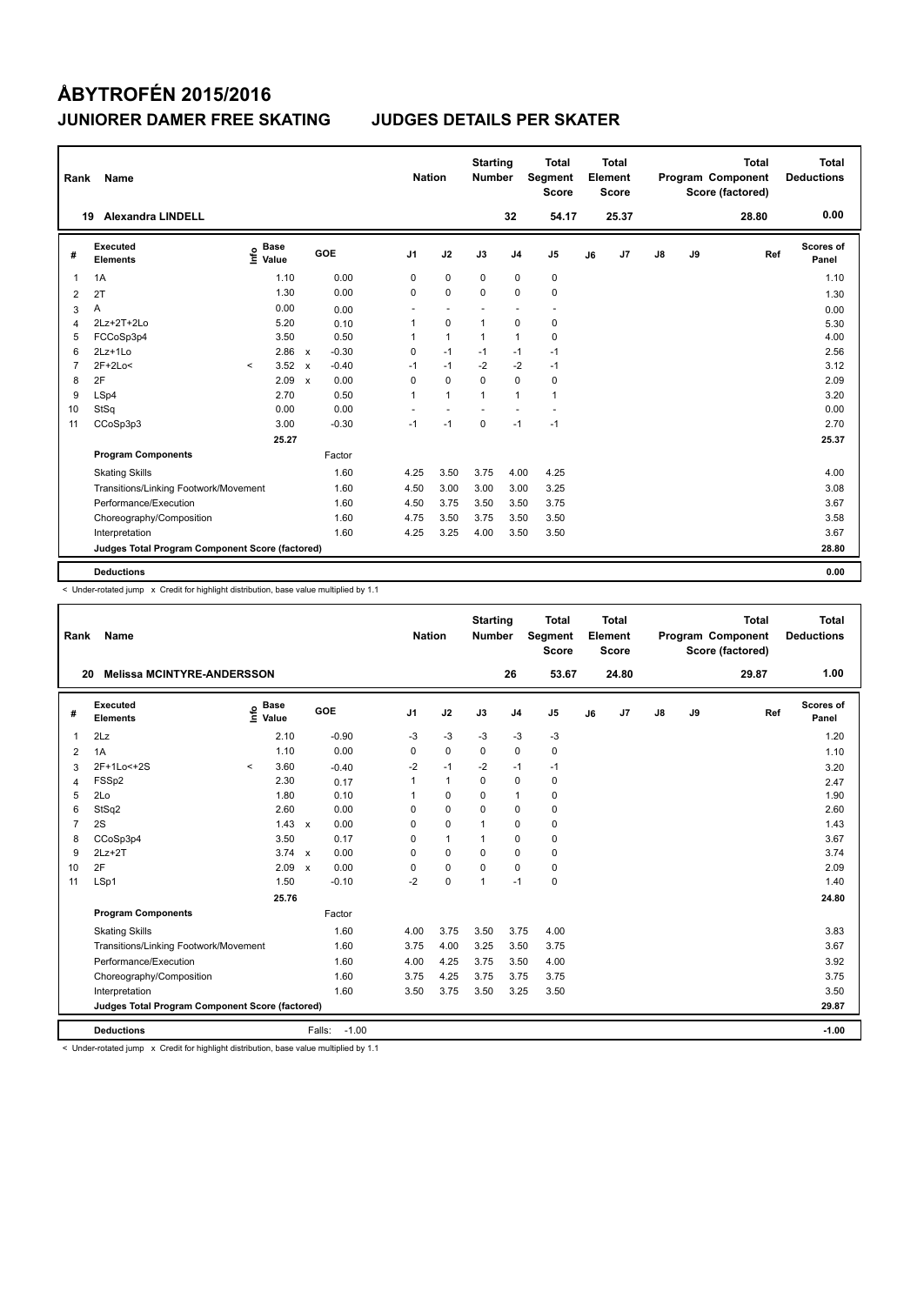| Rank           | Name                                            |                              |                         |                | <b>Nation</b>  | <b>Starting</b><br><b>Number</b> |                | Total<br>Segment<br><b>Score</b> |    | <b>Total</b><br>Element<br><b>Score</b> |               |    | <b>Total</b><br>Program Component<br>Score (factored) | <b>Total</b><br><b>Deductions</b> |
|----------------|-------------------------------------------------|------------------------------|-------------------------|----------------|----------------|----------------------------------|----------------|----------------------------------|----|-----------------------------------------|---------------|----|-------------------------------------------------------|-----------------------------------|
|                | <b>Alexandra LINDELL</b><br>19                  |                              |                         |                |                |                                  | 32             | 54.17                            |    | 25.37                                   |               |    | 28.80                                                 | 0.00                              |
| #              | Executed<br><b>Elements</b>                     | <b>Base</b><br>١nfo<br>Value | GOE                     | J <sub>1</sub> | J2             | J3                               | J <sub>4</sub> | J <sub>5</sub>                   | J6 | J7                                      | $\mathsf{J}8$ | J9 | Ref                                                   | Scores of<br>Panel                |
| 1              | 1A                                              | 1.10                         | 0.00                    | 0              | $\mathbf 0$    | $\mathbf 0$                      | $\mathbf 0$    | 0                                |    |                                         |               |    |                                                       | 1.10                              |
| 2              | 2T                                              | 1.30                         | 0.00                    | $\Omega$       | $\mathbf 0$    | $\Omega$                         | $\mathbf 0$    | $\mathbf 0$                      |    |                                         |               |    |                                                       | 1.30                              |
| 3              | Α                                               | 0.00                         | 0.00                    | ٠              | $\overline{a}$ |                                  | ٠              | $\sim$                           |    |                                         |               |    |                                                       | 0.00                              |
| 4              | 2Lz+2T+2Lo                                      | 5.20                         | 0.10                    | 1              | $\mathbf 0$    | $\mathbf{1}$                     | $\mathbf 0$    | 0                                |    |                                         |               |    |                                                       | 5.30                              |
| 5              | FCCoSp3p4                                       | 3.50                         | 0.50                    | 1              | $\mathbf{1}$   | $\mathbf{1}$                     | $\mathbf{1}$   | $\mathbf 0$                      |    |                                         |               |    |                                                       | 4.00                              |
| 6              | $2Lz+1Lo$                                       | 2.86                         | $-0.30$<br>$\mathsf{x}$ | 0              | $-1$           | $-1$                             | $-1$           | $-1$                             |    |                                         |               |    |                                                       | 2.56                              |
| $\overline{7}$ | $2F+2Lo<$                                       | 3.52<br>$\prec$              | $-0.40$<br>$\mathbf{x}$ | $-1$           | $-1$           | $-2$                             | $-2$           | $-1$                             |    |                                         |               |    |                                                       | 3.12                              |
| 8              | 2F                                              | 2.09                         | 0.00<br>$\mathsf{x}$    | $\Omega$       | $\mathbf 0$    | $\Omega$                         | $\Omega$       | 0                                |    |                                         |               |    |                                                       | 2.09                              |
| 9              | LSp4                                            | 2.70                         | 0.50                    | 1              | $\overline{1}$ | $\mathbf{1}$                     | $\mathbf{1}$   | 1                                |    |                                         |               |    |                                                       | 3.20                              |
| 10             | StSq                                            | 0.00                         | 0.00                    |                |                |                                  |                |                                  |    |                                         |               |    |                                                       | 0.00                              |
| 11             | CCoSp3p3                                        | 3.00                         | $-0.30$                 | $-1$           | $-1$           | $\mathbf 0$                      | $-1$           | $-1$                             |    |                                         |               |    |                                                       | 2.70                              |
|                |                                                 | 25.27                        |                         |                |                |                                  |                |                                  |    |                                         |               |    |                                                       | 25.37                             |
|                | <b>Program Components</b>                       |                              | Factor                  |                |                |                                  |                |                                  |    |                                         |               |    |                                                       |                                   |
|                | <b>Skating Skills</b>                           |                              | 1.60                    | 4.25           | 3.50           | 3.75                             | 4.00           | 4.25                             |    |                                         |               |    |                                                       | 4.00                              |
|                | Transitions/Linking Footwork/Movement           |                              | 1.60                    | 4.50           | 3.00           | 3.00                             | 3.00           | 3.25                             |    |                                         |               |    |                                                       | 3.08                              |
|                | Performance/Execution                           |                              | 1.60                    | 4.50           | 3.75           | 3.50                             | 3.50           | 3.75                             |    |                                         |               |    |                                                       | 3.67                              |
|                | Choreography/Composition                        |                              | 1.60                    | 4.75           | 3.50           | 3.75                             | 3.50           | 3.50                             |    |                                         |               |    |                                                       | 3.58                              |
|                | Interpretation                                  |                              | 1.60                    | 4.25           | 3.25           | 4.00                             | 3.50           | 3.50                             |    |                                         |               |    |                                                       | 3.67                              |
|                | Judges Total Program Component Score (factored) |                              |                         |                |                |                                  |                |                                  |    |                                         |               |    |                                                       | 28.80                             |
|                | <b>Deductions</b>                               |                              |                         |                |                |                                  |                |                                  |    |                                         |               |    |                                                       | 0.00                              |

< Under-rotated jump x Credit for highlight distribution, base value multiplied by 1.1

| Rank           | Name                                            |         |                      |                      |         | <b>Nation</b>  |              | <b>Starting</b><br><b>Number</b> |                | <b>Total</b><br>Segment<br><b>Score</b> |    | <b>Total</b><br>Element<br><b>Score</b> |               |    | <b>Total</b><br>Program Component<br>Score (factored) |     | <b>Total</b><br><b>Deductions</b> |
|----------------|-------------------------------------------------|---------|----------------------|----------------------|---------|----------------|--------------|----------------------------------|----------------|-----------------------------------------|----|-----------------------------------------|---------------|----|-------------------------------------------------------|-----|-----------------------------------|
| 20             | <b>Melissa MCINTYRE-ANDERSSON</b>               |         |                      |                      |         |                |              |                                  | 26             | 53.67                                   |    | 24.80                                   |               |    | 29.87                                                 |     | 1.00                              |
| #              | Executed<br><b>Elements</b>                     | lnfo    | <b>Base</b><br>Value | GOE                  |         | J <sub>1</sub> | J2           | J3                               | J <sub>4</sub> | J5                                      | J6 | J7                                      | $\mathsf{J}8$ | J9 |                                                       | Ref | Scores of<br>Panel                |
| 1              | 2Lz                                             |         | 2.10                 | $-0.90$              |         | $-3$           | $-3$         | $-3$                             | $-3$           | $-3$                                    |    |                                         |               |    |                                                       |     | 1.20                              |
| $\overline{2}$ | 1A                                              |         | 1.10                 | 0.00                 |         | $\Omega$       | $\mathbf 0$  | $\Omega$                         | $\Omega$       | 0                                       |    |                                         |               |    |                                                       |     | 1.10                              |
| 3              | 2F+1Lo<+2S                                      | $\prec$ | 3.60                 | $-0.40$              |         | $-2$           | $-1$         | $-2$                             | $-1$           | $-1$                                    |    |                                         |               |    |                                                       |     | 3.20                              |
| $\overline{4}$ | FSSp2                                           |         | 2.30                 | 0.17                 |         | 1              | $\mathbf{1}$ | 0                                | 0              | 0                                       |    |                                         |               |    |                                                       |     | 2.47                              |
| 5              | 2Lo                                             |         | 1.80                 | 0.10                 |         | 1              | $\mathbf 0$  | $\Omega$                         | $\mathbf{1}$   | 0                                       |    |                                         |               |    |                                                       |     | 1.90                              |
| 6              | StSq2                                           |         | 2.60                 | 0.00                 |         | $\Omega$       | 0            | 0                                | 0              | 0                                       |    |                                         |               |    |                                                       |     | 2.60                              |
| $\overline{7}$ | 2S                                              |         | $1.43 \times$        | 0.00                 |         | $\Omega$       | $\mathbf 0$  | $\mathbf 1$                      | 0              | 0                                       |    |                                         |               |    |                                                       |     | 1.43                              |
| 8              | CCoSp3p4                                        |         | 3.50                 | 0.17                 |         | $\Omega$       | $\mathbf{1}$ | 1                                | 0              | 0                                       |    |                                         |               |    |                                                       |     | 3.67                              |
| 9              | $2Lz + 2T$                                      |         | $3.74 \times$        | 0.00                 |         | $\Omega$       | $\Omega$     | $\Omega$                         | $\Omega$       | 0                                       |    |                                         |               |    |                                                       |     | 3.74                              |
| 10             | 2F                                              |         | 2.09                 | 0.00<br>$\mathsf{x}$ |         | $\Omega$       | 0            | $\Omega$                         | 0              | 0                                       |    |                                         |               |    |                                                       |     | 2.09                              |
| 11             | LSp1                                            |         | 1.50                 | $-0.10$              |         | $-2$           | $\mathbf 0$  | $\overline{1}$                   | $-1$           | 0                                       |    |                                         |               |    |                                                       |     | 1.40                              |
|                |                                                 |         | 25.76                |                      |         |                |              |                                  |                |                                         |    |                                         |               |    |                                                       |     | 24.80                             |
|                | <b>Program Components</b>                       |         |                      | Factor               |         |                |              |                                  |                |                                         |    |                                         |               |    |                                                       |     |                                   |
|                | <b>Skating Skills</b>                           |         |                      | 1.60                 |         | 4.00           | 3.75         | 3.50                             | 3.75           | 4.00                                    |    |                                         |               |    |                                                       |     | 3.83                              |
|                | Transitions/Linking Footwork/Movement           |         |                      | 1.60                 |         | 3.75           | 4.00         | 3.25                             | 3.50           | 3.75                                    |    |                                         |               |    |                                                       |     | 3.67                              |
|                | Performance/Execution                           |         |                      | 1.60                 |         | 4.00           | 4.25         | 3.75                             | 3.50           | 4.00                                    |    |                                         |               |    |                                                       |     | 3.92                              |
|                | Choreography/Composition                        |         |                      | 1.60                 |         | 3.75           | 4.25         | 3.75                             | 3.75           | 3.75                                    |    |                                         |               |    |                                                       |     | 3.75                              |
|                | Interpretation                                  |         |                      | 1.60                 |         | 3.50           | 3.75         | 3.50                             | 3.25           | 3.50                                    |    |                                         |               |    |                                                       |     | 3.50                              |
|                | Judges Total Program Component Score (factored) |         |                      |                      |         |                |              |                                  |                |                                         |    |                                         |               |    |                                                       |     | 29.87                             |
|                | <b>Deductions</b>                               |         |                      | Falls:               | $-1.00$ |                |              |                                  |                |                                         |    |                                         |               |    |                                                       |     | $-1.00$                           |

< Under-rotated jump x Credit for highlight distribution, base value multiplied by 1.1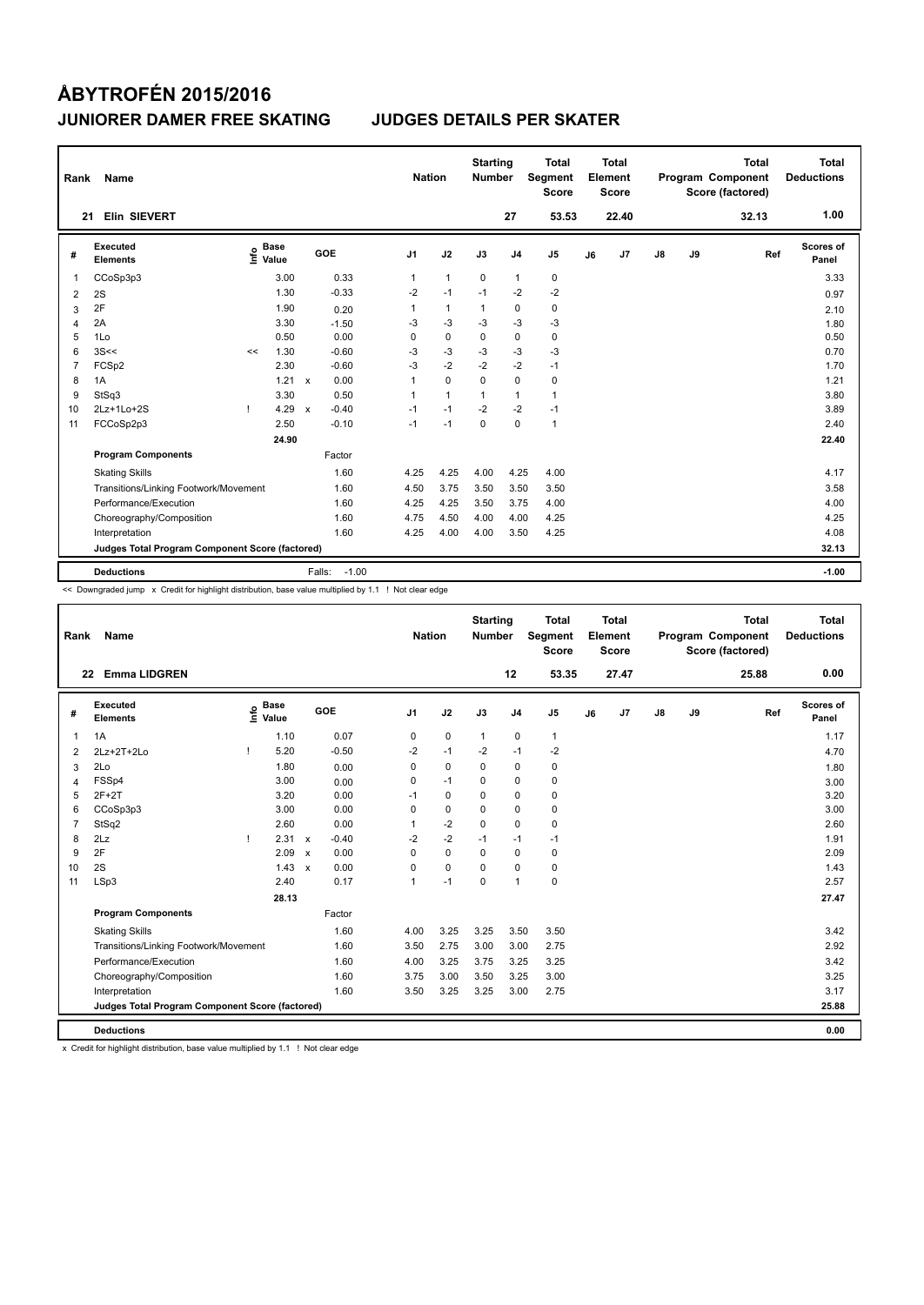| Rank           | Name                                            |      |                      |              |                   | <b>Nation</b>  |                | <b>Starting</b><br><b>Number</b> |                | Total<br>Segment<br><b>Score</b> |    | <b>Total</b><br>Element<br><b>Score</b> |               |    | <b>Total</b><br>Program Component<br>Score (factored) | <b>Total</b><br><b>Deductions</b> |
|----------------|-------------------------------------------------|------|----------------------|--------------|-------------------|----------------|----------------|----------------------------------|----------------|----------------------------------|----|-----------------------------------------|---------------|----|-------------------------------------------------------|-----------------------------------|
| 21             | Elin SIEVERT                                    |      |                      |              |                   |                |                |                                  | 27             | 53.53                            |    | 22.40                                   |               |    | 32.13                                                 | 1.00                              |
| #              | Executed<br><b>Elements</b>                     | ١nfo | <b>Base</b><br>Value |              | GOE               | J <sub>1</sub> | J2             | J3                               | J <sub>4</sub> | J <sub>5</sub>                   | J6 | J7                                      | $\mathsf{J}8$ | J9 | Ref                                                   | Scores of<br>Panel                |
| 1              | CCoSp3p3                                        |      | 3.00                 |              | 0.33              | 1              | $\mathbf{1}$   | $\mathbf 0$                      | $\mathbf{1}$   | 0                                |    |                                         |               |    |                                                       | 3.33                              |
| 2              | 2S                                              |      | 1.30                 |              | $-0.33$           | $-2$           | $-1$           | $-1$                             | $-2$           | $-2$                             |    |                                         |               |    |                                                       | 0.97                              |
| 3              | 2F                                              |      | 1.90                 |              | 0.20              | 1              | $\mathbf{1}$   | 1                                | $\pmb{0}$      | 0                                |    |                                         |               |    |                                                       | 2.10                              |
| 4              | 2A                                              |      | 3.30                 |              | $-1.50$           | $-3$           | $-3$           | $-3$                             | $-3$           | $-3$                             |    |                                         |               |    |                                                       | 1.80                              |
| 5              | 1Lo                                             |      | 0.50                 |              | 0.00              | 0              | 0              | 0                                | 0              | $\mathbf 0$                      |    |                                         |               |    |                                                       | 0.50                              |
| 6              | 3S<<                                            | <<   | 1.30                 |              | $-0.60$           | $-3$           | $-3$           | $-3$                             | $-3$           | $-3$                             |    |                                         |               |    |                                                       | 0.70                              |
| $\overline{7}$ | FCSp2                                           |      | 2.30                 |              | $-0.60$           | $-3$           | $-2$           | $-2$                             | $-2$           | $-1$                             |    |                                         |               |    |                                                       | 1.70                              |
| 8              | 1A                                              |      | 1.21                 | $\mathsf{x}$ | 0.00              | 1              | $\mathbf 0$    | $\Omega$                         | $\mathbf 0$    | 0                                |    |                                         |               |    |                                                       | 1.21                              |
| 9              | StSq3                                           |      | 3.30                 |              | 0.50              | 1              | $\overline{1}$ | $\mathbf{1}$                     | $\mathbf{1}$   | $\mathbf{1}$                     |    |                                         |               |    |                                                       | 3.80                              |
| 10             | 2Lz+1Lo+2S                                      |      | 4.29                 | $\mathbf{x}$ | $-0.40$           | $-1$           | $-1$           | $-2$                             | $-2$           | $-1$                             |    |                                         |               |    |                                                       | 3.89                              |
| 11             | FCCoSp2p3                                       |      | 2.50                 |              | $-0.10$           | $-1$           | $-1$           | $\mathbf 0$                      | $\mathbf 0$    | $\mathbf{1}$                     |    |                                         |               |    |                                                       | 2.40                              |
|                |                                                 |      | 24.90                |              |                   |                |                |                                  |                |                                  |    |                                         |               |    |                                                       | 22.40                             |
|                | <b>Program Components</b>                       |      |                      |              | Factor            |                |                |                                  |                |                                  |    |                                         |               |    |                                                       |                                   |
|                | <b>Skating Skills</b>                           |      |                      |              | 1.60              | 4.25           | 4.25           | 4.00                             | 4.25           | 4.00                             |    |                                         |               |    |                                                       | 4.17                              |
|                | Transitions/Linking Footwork/Movement           |      |                      |              | 1.60              | 4.50           | 3.75           | 3.50                             | 3.50           | 3.50                             |    |                                         |               |    |                                                       | 3.58                              |
|                | Performance/Execution                           |      |                      |              | 1.60              | 4.25           | 4.25           | 3.50                             | 3.75           | 4.00                             |    |                                         |               |    |                                                       | 4.00                              |
|                | Choreography/Composition                        |      |                      |              | 1.60              | 4.75           | 4.50           | 4.00                             | 4.00           | 4.25                             |    |                                         |               |    |                                                       | 4.25                              |
|                | Interpretation                                  |      |                      |              | 1.60              | 4.25           | 4.00           | 4.00                             | 3.50           | 4.25                             |    |                                         |               |    |                                                       | 4.08                              |
|                | Judges Total Program Component Score (factored) |      |                      |              |                   |                |                |                                  |                |                                  |    |                                         |               |    |                                                       | 32.13                             |
|                | <b>Deductions</b>                               |      |                      |              | $-1.00$<br>Falls: |                |                |                                  |                |                                  |    |                                         |               |    |                                                       | $-1.00$                           |

<< Downgraded jump x Credit for highlight distribution, base value multiplied by 1.1 ! Not clear edge

| Rank           | Name                                            |      |                      |              |         |                | <b>Nation</b> |             | <b>Starting</b><br><b>Number</b> |                | <b>Total</b><br>Segment<br><b>Score</b> |    | <b>Total</b><br>Element<br><b>Score</b> |               |    | <b>Total</b><br>Program Component<br>Score (factored) | <b>Total</b><br><b>Deductions</b> |  |
|----------------|-------------------------------------------------|------|----------------------|--------------|---------|----------------|---------------|-------------|----------------------------------|----------------|-----------------------------------------|----|-----------------------------------------|---------------|----|-------------------------------------------------------|-----------------------------------|--|
|                | <b>Emma LIDGREN</b><br>22                       |      |                      |              |         |                |               |             |                                  | 12             | 53.35                                   |    | 27.47                                   |               |    | 25.88                                                 | 0.00                              |  |
| #              | Executed<br><b>Elements</b>                     | lnfo | <b>Base</b><br>Value |              | GOE     | J <sub>1</sub> |               | J2          | J3                               | J <sub>4</sub> | $\mathsf{J}5$                           | J6 | J7                                      | $\mathsf{J}8$ | J9 | Ref                                                   | Scores of<br>Panel                |  |
| 1              | 1A                                              |      | 1.10                 |              | 0.07    |                | 0             | $\mathbf 0$ | $\mathbf{1}$                     | 0              | $\mathbf{1}$                            |    |                                         |               |    |                                                       | 1.17                              |  |
| 2              | 2Lz+2T+2Lo                                      | ı    | 5.20                 |              | $-0.50$ |                | $-2$          | $-1$        | $-2$                             | $-1$           | $-2$                                    |    |                                         |               |    |                                                       | 4.70                              |  |
| 3              | 2Lo                                             |      | 1.80                 |              | 0.00    |                | $\Omega$      | 0           | $\Omega$                         | $\mathbf 0$    | 0                                       |    |                                         |               |    |                                                       | 1.80                              |  |
| $\overline{4}$ | FSSp4                                           |      | 3.00                 |              | 0.00    |                | 0             | $-1$        | $\Omega$                         | 0              | 0                                       |    |                                         |               |    |                                                       | 3.00                              |  |
| 5              | $2F+2T$                                         |      | 3.20                 |              | 0.00    |                | $-1$          | $\Omega$    | $\Omega$                         | 0              | 0                                       |    |                                         |               |    |                                                       | 3.20                              |  |
| 6              | CCoSp3p3                                        |      | 3.00                 |              | 0.00    |                | $\Omega$      | 0           | 0                                | 0              | 0                                       |    |                                         |               |    |                                                       | 3.00                              |  |
| $\overline{7}$ | StSq2                                           |      | 2.60                 |              | 0.00    |                | 1             | $-2$        | $\Omega$                         | 0              | 0                                       |    |                                         |               |    |                                                       | 2.60                              |  |
| 8              | 2Lz                                             |      | 2.31                 | $\mathsf{x}$ | $-0.40$ |                | $-2$          | $-2$        | $-1$                             | $-1$           | $-1$                                    |    |                                         |               |    |                                                       | 1.91                              |  |
| 9              | 2F                                              |      | 2.09                 | $\mathbf{x}$ | 0.00    |                | $\Omega$      | $\Omega$    | $\Omega$                         | $\mathbf 0$    | 0                                       |    |                                         |               |    |                                                       | 2.09                              |  |
| 10             | 2S                                              |      | $1.43 \times$        |              | 0.00    |                | $\Omega$      | $\mathbf 0$ | $\Omega$                         | 0              | 0                                       |    |                                         |               |    |                                                       | 1.43                              |  |
| 11             | LSp3                                            |      | 2.40                 |              | 0.17    |                | 1             | $-1$        | $\Omega$                         | $\mathbf{1}$   | 0                                       |    |                                         |               |    |                                                       | 2.57                              |  |
|                |                                                 |      | 28.13                |              |         |                |               |             |                                  |                |                                         |    |                                         |               |    |                                                       | 27.47                             |  |
|                | <b>Program Components</b>                       |      |                      |              | Factor  |                |               |             |                                  |                |                                         |    |                                         |               |    |                                                       |                                   |  |
|                | <b>Skating Skills</b>                           |      |                      |              | 1.60    |                | 4.00          | 3.25        | 3.25                             | 3.50           | 3.50                                    |    |                                         |               |    |                                                       | 3.42                              |  |
|                | Transitions/Linking Footwork/Movement           |      |                      |              | 1.60    |                | 3.50          | 2.75        | 3.00                             | 3.00           | 2.75                                    |    |                                         |               |    |                                                       | 2.92                              |  |
|                | Performance/Execution                           |      |                      |              | 1.60    |                | 4.00          | 3.25        | 3.75                             | 3.25           | 3.25                                    |    |                                         |               |    |                                                       | 3.42                              |  |
|                | Choreography/Composition                        |      |                      |              | 1.60    |                | 3.75          | 3.00        | 3.50                             | 3.25           | 3.00                                    |    |                                         |               |    |                                                       | 3.25                              |  |
|                | Interpretation                                  |      |                      |              | 1.60    |                | 3.50          | 3.25        | 3.25                             | 3.00           | 2.75                                    |    |                                         |               |    |                                                       | 3.17                              |  |
|                | Judges Total Program Component Score (factored) |      |                      |              |         |                |               |             |                                  |                |                                         |    |                                         |               |    |                                                       | 25.88                             |  |
|                | <b>Deductions</b>                               |      |                      |              |         |                |               |             |                                  |                |                                         |    |                                         |               |    |                                                       | 0.00                              |  |

x Credit for highlight distribution, base value multiplied by 1.1 ! Not clear edge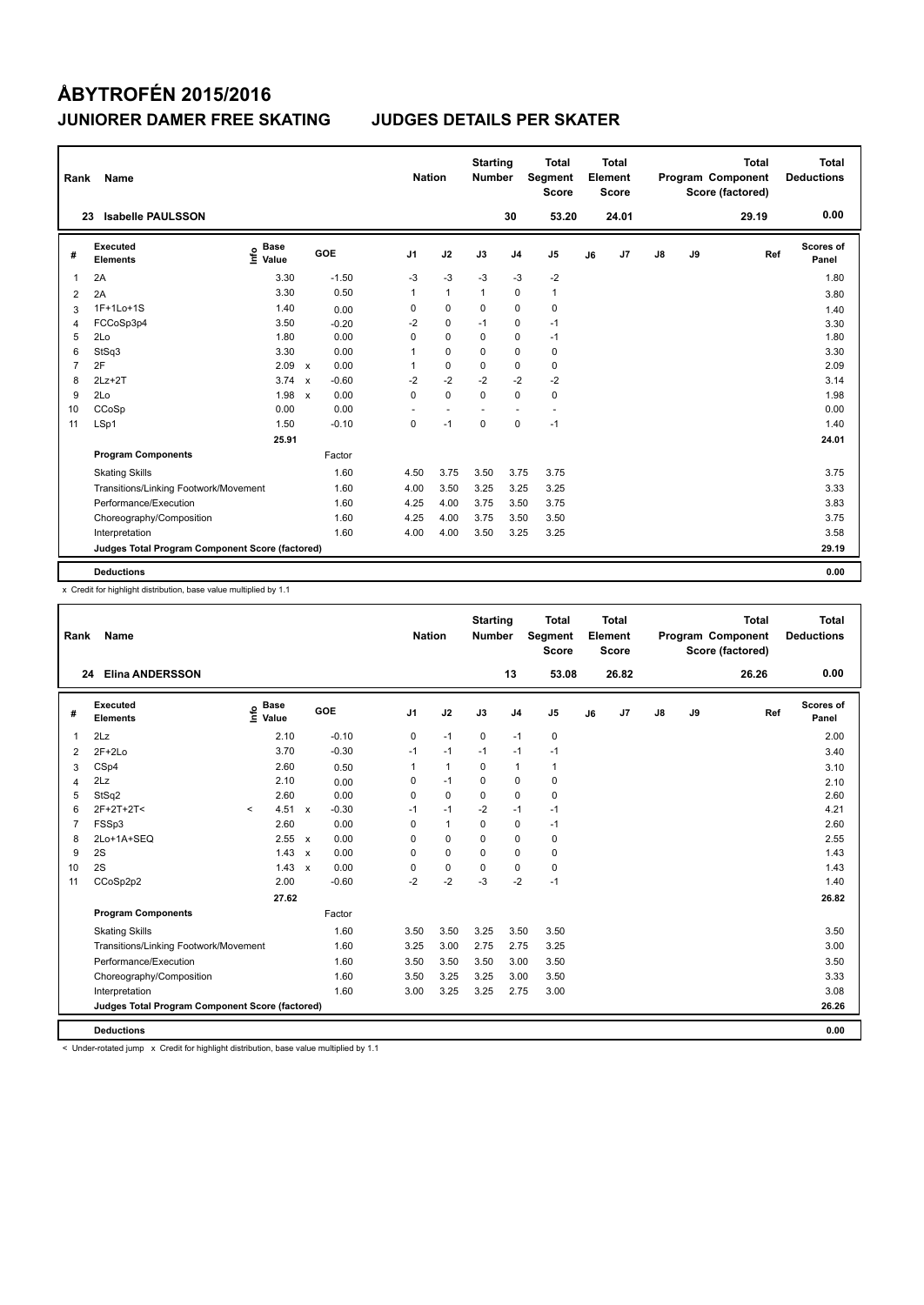| Rank           | Name                                            |                              |                           |         |                | <b>Nation</b> |                | <b>Starting</b><br><b>Number</b> |                | Total<br>Segment<br><b>Score</b> |    | <b>Total</b><br>Element<br><b>Score</b> |               |    | <b>Total</b><br>Program Component<br>Score (factored) | <b>Total</b><br><b>Deductions</b> |
|----------------|-------------------------------------------------|------------------------------|---------------------------|---------|----------------|---------------|----------------|----------------------------------|----------------|----------------------------------|----|-----------------------------------------|---------------|----|-------------------------------------------------------|-----------------------------------|
| 23             | <b>Isabelle PAULSSON</b>                        |                              |                           |         |                |               |                |                                  | 30             | 53.20                            |    | 24.01                                   |               |    | 29.19                                                 | 0.00                              |
| #              | Executed<br><b>Elements</b>                     | <b>Base</b><br>١nfo<br>Value |                           | GOE     | J <sub>1</sub> |               | J2             | J3                               | J <sub>4</sub> | J <sub>5</sub>                   | J6 | J7                                      | $\mathsf{J}8$ | J9 | Ref                                                   | Scores of<br>Panel                |
| 1              | 2A                                              | 3.30                         |                           | $-1.50$ |                | -3            | $-3$           | $-3$                             | $-3$           | $-2$                             |    |                                         |               |    |                                                       | 1.80                              |
| 2              | 2A                                              | 3.30                         |                           | 0.50    |                | 1             | $\overline{1}$ | $\mathbf{1}$                     | $\Omega$       | $\mathbf{1}$                     |    |                                         |               |    |                                                       | 3.80                              |
| 3              | $1F+1Lo+1S$                                     | 1.40                         |                           | 0.00    |                | 0             | 0              | 0                                | $\mathbf 0$    | 0                                |    |                                         |               |    |                                                       | 1.40                              |
| 4              | FCCoSp3p4                                       | 3.50                         |                           | $-0.20$ |                | $-2$          | $\mathbf 0$    | $-1$                             | $\pmb{0}$      | $-1$                             |    |                                         |               |    |                                                       | 3.30                              |
| 5              | 2Lo                                             | 1.80                         |                           | 0.00    |                | 0             | $\mathbf 0$    | 0                                | $\mathbf 0$    | $-1$                             |    |                                         |               |    |                                                       | 1.80                              |
| 6              | StSq3                                           | 3.30                         |                           | 0.00    | 1              |               | $\mathbf 0$    | $\Omega$                         | $\mathbf 0$    | 0                                |    |                                         |               |    |                                                       | 3.30                              |
| $\overline{7}$ | 2F                                              | 2.09                         | $\boldsymbol{\mathsf{x}}$ | 0.00    |                | 1             | 0              | $\Omega$                         | 0              | 0                                |    |                                         |               |    |                                                       | 2.09                              |
| 8              | $2Lz+2T$                                        | 3.74                         | $\mathsf{x}$              | $-0.60$ |                | $-2$          | $-2$           | $-2$                             | $-2$           | $-2$                             |    |                                         |               |    |                                                       | 3.14                              |
| 9              | 2Lo                                             | 1.98                         | $\boldsymbol{\mathsf{x}}$ | 0.00    |                | 0             | $\mathbf 0$    | $\Omega$                         | $\mathbf 0$    | 0                                |    |                                         |               |    |                                                       | 1.98                              |
| 10             | CCoSp                                           | 0.00                         |                           | 0.00    |                |               |                |                                  |                |                                  |    |                                         |               |    |                                                       | 0.00                              |
| 11             | LSp1                                            | 1.50                         |                           | $-0.10$ |                | 0             | $-1$           | $\mathbf 0$                      | $\mathbf 0$    | $-1$                             |    |                                         |               |    |                                                       | 1.40                              |
|                |                                                 | 25.91                        |                           |         |                |               |                |                                  |                |                                  |    |                                         |               |    |                                                       | 24.01                             |
|                | <b>Program Components</b>                       |                              |                           | Factor  |                |               |                |                                  |                |                                  |    |                                         |               |    |                                                       |                                   |
|                | <b>Skating Skills</b>                           |                              |                           | 1.60    |                | 4.50          | 3.75           | 3.50                             | 3.75           | 3.75                             |    |                                         |               |    |                                                       | 3.75                              |
|                | Transitions/Linking Footwork/Movement           |                              |                           | 1.60    |                | 4.00          | 3.50           | 3.25                             | 3.25           | 3.25                             |    |                                         |               |    |                                                       | 3.33                              |
|                | Performance/Execution                           |                              |                           | 1.60    |                | 4.25          | 4.00           | 3.75                             | 3.50           | 3.75                             |    |                                         |               |    |                                                       | 3.83                              |
|                | Choreography/Composition                        |                              |                           | 1.60    |                | 4.25          | 4.00           | 3.75                             | 3.50           | 3.50                             |    |                                         |               |    |                                                       | 3.75                              |
|                | Interpretation                                  |                              |                           | 1.60    |                | 4.00          | 4.00           | 3.50                             | 3.25           | 3.25                             |    |                                         |               |    |                                                       | 3.58                              |
|                | Judges Total Program Component Score (factored) |                              |                           |         |                |               |                |                                  |                |                                  |    |                                         |               |    |                                                       | 29.19                             |
|                | <b>Deductions</b>                               |                              |                           |         |                |               |                |                                  |                |                                  |    |                                         |               |    |                                                       | 0.00                              |

x Credit for highlight distribution, base value multiplied by 1.1

| Rank | <b>Name</b>                                     |         |                                  |                           |            |                | <b>Nation</b> |              | <b>Starting</b><br><b>Number</b> |                | <b>Total</b><br>Segment<br><b>Score</b> |    | <b>Total</b><br>Element<br><b>Score</b> |               |    | <b>Total</b><br>Program Component<br>Score (factored) |     | <b>Total</b><br><b>Deductions</b> |
|------|-------------------------------------------------|---------|----------------------------------|---------------------------|------------|----------------|---------------|--------------|----------------------------------|----------------|-----------------------------------------|----|-----------------------------------------|---------------|----|-------------------------------------------------------|-----|-----------------------------------|
| 24   | <b>Elina ANDERSSON</b>                          |         |                                  |                           |            |                |               |              |                                  | 13             | 53.08                                   |    | 26.82                                   |               |    | 26.26                                                 |     | 0.00                              |
| #    | Executed<br><b>Elements</b>                     |         | <b>Base</b><br>e Base<br>⊆ Value |                           | <b>GOE</b> | J <sub>1</sub> |               | J2           | J3                               | J <sub>4</sub> | J5                                      | J6 | J7                                      | $\mathsf{J}8$ | J9 |                                                       | Ref | Scores of<br>Panel                |
| 1    | 2Lz                                             |         | 2.10                             |                           | $-0.10$    |                | 0             | $-1$         | 0                                | $-1$           | 0                                       |    |                                         |               |    |                                                       |     | 2.00                              |
| 2    | $2F+2Lo$                                        |         | 3.70                             |                           | $-0.30$    |                | $-1$          | $-1$         | $-1$                             | $-1$           | $-1$                                    |    |                                         |               |    |                                                       |     | 3.40                              |
| 3    | CSp4                                            |         | 2.60                             |                           | 0.50       |                | 1             | $\mathbf{1}$ | 0                                | $\mathbf{1}$   | $\mathbf{1}$                            |    |                                         |               |    |                                                       |     | 3.10                              |
| 4    | 2Lz                                             |         | 2.10                             |                           | 0.00       |                | 0             | $-1$         | 0                                | 0              | 0                                       |    |                                         |               |    |                                                       |     | 2.10                              |
| 5    | StSq2                                           |         | 2.60                             |                           | 0.00       |                | $\Omega$      | $\Omega$     | $\Omega$                         | $\mathbf 0$    | 0                                       |    |                                         |               |    |                                                       |     | 2.60                              |
| 6    | $2F+2T+2T<$                                     | $\prec$ | 4.51                             | $\boldsymbol{\mathsf{x}}$ | $-0.30$    |                | $-1$          | $-1$         | $-2$                             | $-1$           | $-1$                                    |    |                                         |               |    |                                                       |     | 4.21                              |
| 7    | FSSp3                                           |         | 2.60                             |                           | 0.00       |                | $\Omega$      | $\mathbf{1}$ | 0                                | 0              | $-1$                                    |    |                                         |               |    |                                                       |     | 2.60                              |
| 8    | 2Lo+1A+SEQ                                      |         | 2.55 x                           |                           | 0.00       |                | 0             | 0            | 0                                | 0              | 0                                       |    |                                         |               |    |                                                       |     | 2.55                              |
| 9    | 2S                                              |         | $1.43 \times$                    |                           | 0.00       |                | $\Omega$      | $\mathbf 0$  | $\Omega$                         | 0              | 0                                       |    |                                         |               |    |                                                       |     | 1.43                              |
| 10   | 2S                                              |         | $1.43 \times$                    |                           | 0.00       |                | 0             | $\pmb{0}$    | $\mathbf 0$                      | 0              | 0                                       |    |                                         |               |    |                                                       |     | 1.43                              |
| 11   | CCoSp2p2                                        |         | 2.00                             |                           | $-0.60$    |                | $-2$          | $-2$         | $-3$                             | $-2$           | $-1$                                    |    |                                         |               |    |                                                       |     | 1.40                              |
|      |                                                 |         | 27.62                            |                           |            |                |               |              |                                  |                |                                         |    |                                         |               |    |                                                       |     | 26.82                             |
|      | <b>Program Components</b>                       |         |                                  |                           | Factor     |                |               |              |                                  |                |                                         |    |                                         |               |    |                                                       |     |                                   |
|      | <b>Skating Skills</b>                           |         |                                  |                           | 1.60       |                | 3.50          | 3.50         | 3.25                             | 3.50           | 3.50                                    |    |                                         |               |    |                                                       |     | 3.50                              |
|      | Transitions/Linking Footwork/Movement           |         |                                  |                           | 1.60       |                | 3.25          | 3.00         | 2.75                             | 2.75           | 3.25                                    |    |                                         |               |    |                                                       |     | 3.00                              |
|      | Performance/Execution                           |         |                                  |                           | 1.60       |                | 3.50          | 3.50         | 3.50                             | 3.00           | 3.50                                    |    |                                         |               |    |                                                       |     | 3.50                              |
|      | Choreography/Composition                        |         |                                  |                           | 1.60       |                | 3.50          | 3.25         | 3.25                             | 3.00           | 3.50                                    |    |                                         |               |    |                                                       |     | 3.33                              |
|      | Interpretation                                  |         |                                  |                           | 1.60       |                | 3.00          | 3.25         | 3.25                             | 2.75           | 3.00                                    |    |                                         |               |    |                                                       |     | 3.08                              |
|      | Judges Total Program Component Score (factored) |         |                                  |                           |            |                |               |              |                                  |                |                                         |    |                                         |               |    |                                                       |     | 26.26                             |
|      | <b>Deductions</b>                               |         |                                  |                           |            |                |               |              |                                  |                |                                         |    |                                         |               |    |                                                       |     | 0.00                              |

< Under-rotated jump x Credit for highlight distribution, base value multiplied by 1.1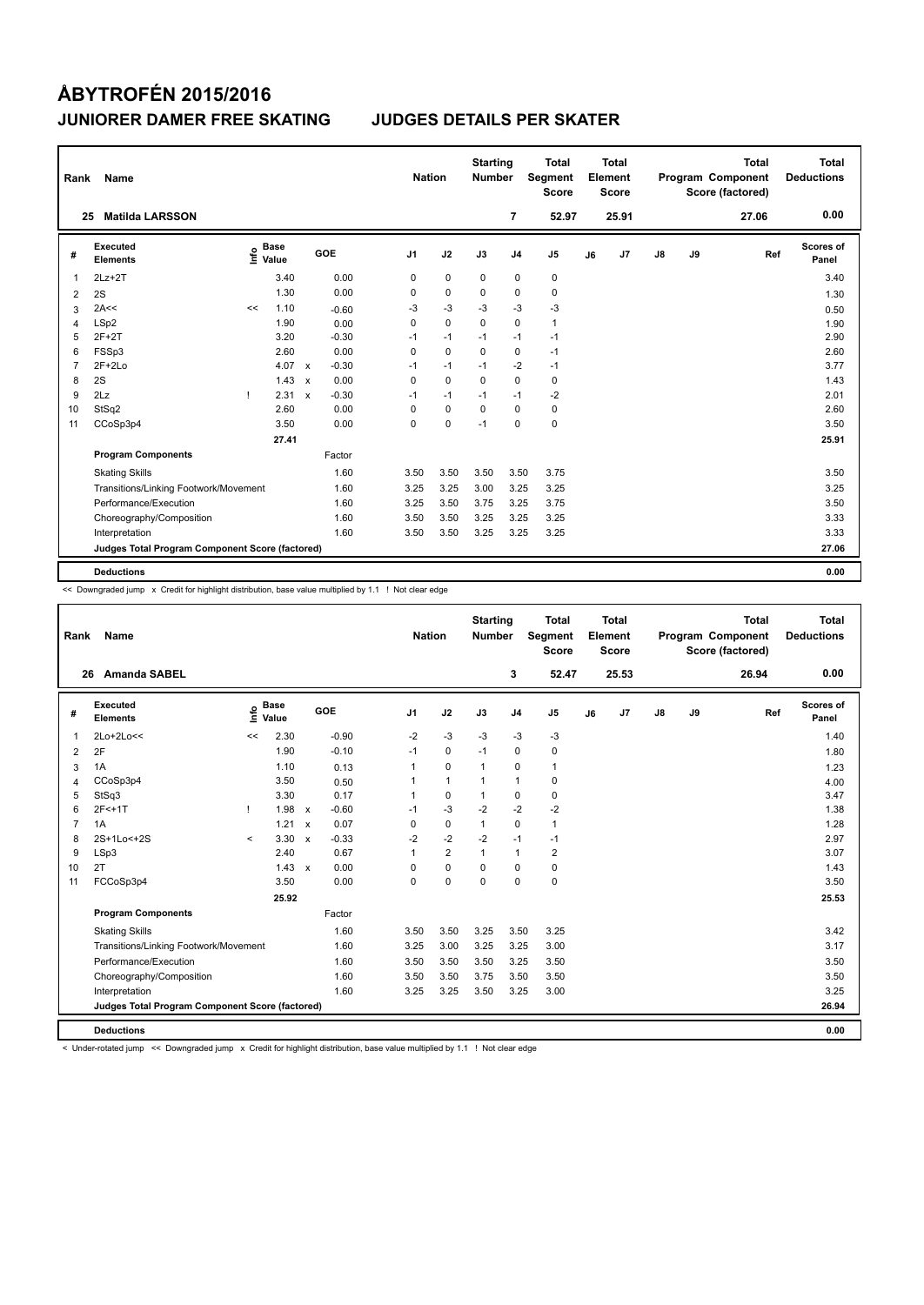| Rank           | Name                                            |      |                      |              |         | <b>Nation</b>  |             | <b>Starting</b><br><b>Number</b> |                | Total<br>Segment<br><b>Score</b> |    | <b>Total</b><br>Element<br><b>Score</b> |               |    | <b>Total</b><br>Program Component<br>Score (factored) |     | Total<br><b>Deductions</b> |
|----------------|-------------------------------------------------|------|----------------------|--------------|---------|----------------|-------------|----------------------------------|----------------|----------------------------------|----|-----------------------------------------|---------------|----|-------------------------------------------------------|-----|----------------------------|
|                | <b>Matilda LARSSON</b><br>25                    |      |                      |              |         |                |             |                                  | $\overline{7}$ | 52.97                            |    | 25.91                                   |               |    | 27.06                                                 |     | 0.00                       |
| #              | Executed<br><b>Elements</b>                     | ١nf٥ | <b>Base</b><br>Value |              | GOE     | J <sub>1</sub> | J2          | J3                               | J <sub>4</sub> | J <sub>5</sub>                   | J6 | J <sub>7</sub>                          | $\mathsf{J}8$ | J9 |                                                       | Ref | Scores of<br>Panel         |
| 1              | $2Lz+2T$                                        |      | 3.40                 |              | 0.00    | 0              | $\mathbf 0$ | 0                                | 0              | 0                                |    |                                         |               |    |                                                       |     | 3.40                       |
| 2              | 2S                                              |      | 1.30                 |              | 0.00    | 0              | $\mathbf 0$ | $\Omega$                         | 0              | $\mathbf 0$                      |    |                                         |               |    |                                                       |     | 1.30                       |
| 3              | 2A<<                                            | <<   | 1.10                 |              | $-0.60$ | $-3$           | $-3$        | $-3$                             | $-3$           | $-3$                             |    |                                         |               |    |                                                       |     | 0.50                       |
| 4              | LSp2                                            |      | 1.90                 |              | 0.00    | 0              | $\mathbf 0$ | $\mathbf 0$                      | $\mathbf 0$    | $\mathbf{1}$                     |    |                                         |               |    |                                                       |     | 1.90                       |
| 5              | $2F+2T$                                         |      | 3.20                 |              | $-0.30$ | $-1$           | $-1$        | $-1$                             | $-1$           | $-1$                             |    |                                         |               |    |                                                       |     | 2.90                       |
| 6              | FSSp3                                           |      | 2.60                 |              | 0.00    | 0              | $\mathbf 0$ | $\Omega$                         | $\mathbf 0$    | $-1$                             |    |                                         |               |    |                                                       |     | 2.60                       |
| $\overline{7}$ | $2F+2Lo$                                        |      | 4.07                 | $\mathsf{x}$ | $-0.30$ | $-1$           | $-1$        | $-1$                             | $-2$           | $-1$                             |    |                                         |               |    |                                                       |     | 3.77                       |
| 8              | 2S                                              |      | 1.43                 | $\mathsf{x}$ | 0.00    | $\Omega$       | $\Omega$    | $\Omega$                         | $\Omega$       | $\mathbf 0$                      |    |                                         |               |    |                                                       |     | 1.43                       |
| 9              | 2Lz                                             |      | 2.31                 | $\mathsf{x}$ | $-0.30$ | $-1$           | $-1$        | $-1$                             | $-1$           | $-2$                             |    |                                         |               |    |                                                       |     | 2.01                       |
| 10             | StSq2                                           |      | 2.60                 |              | 0.00    | 0              | $\Omega$    | $\Omega$                         | $\Omega$       | 0                                |    |                                         |               |    |                                                       |     | 2.60                       |
| 11             | CCoSp3p4                                        |      | 3.50                 |              | 0.00    | 0              | $\mathbf 0$ | $-1$                             | $\mathbf 0$    | $\mathbf 0$                      |    |                                         |               |    |                                                       |     | 3.50                       |
|                |                                                 |      | 27.41                |              |         |                |             |                                  |                |                                  |    |                                         |               |    |                                                       |     | 25.91                      |
|                | <b>Program Components</b>                       |      |                      |              | Factor  |                |             |                                  |                |                                  |    |                                         |               |    |                                                       |     |                            |
|                | <b>Skating Skills</b>                           |      |                      |              | 1.60    | 3.50           | 3.50        | 3.50                             | 3.50           | 3.75                             |    |                                         |               |    |                                                       |     | 3.50                       |
|                | Transitions/Linking Footwork/Movement           |      |                      |              | 1.60    | 3.25           | 3.25        | 3.00                             | 3.25           | 3.25                             |    |                                         |               |    |                                                       |     | 3.25                       |
|                | Performance/Execution                           |      |                      |              | 1.60    | 3.25           | 3.50        | 3.75                             | 3.25           | 3.75                             |    |                                         |               |    |                                                       |     | 3.50                       |
|                | Choreography/Composition                        |      |                      |              | 1.60    | 3.50           | 3.50        | 3.25                             | 3.25           | 3.25                             |    |                                         |               |    |                                                       |     | 3.33                       |
|                | Interpretation                                  |      |                      |              | 1.60    | 3.50           | 3.50        | 3.25                             | 3.25           | 3.25                             |    |                                         |               |    |                                                       |     | 3.33                       |
|                | Judges Total Program Component Score (factored) |      |                      |              |         |                |             |                                  |                |                                  |    |                                         |               |    |                                                       |     | 27.06                      |
|                | <b>Deductions</b>                               |      |                      |              |         |                |             |                                  |                |                                  |    |                                         |               |    |                                                       |     | 0.00                       |

<< Downgraded jump x Credit for highlight distribution, base value multiplied by 1.1 ! Not clear edge

| Rank           | <b>Name</b>                                     |         |                      |              |         |                | <b>Nation</b> |                | <b>Starting</b><br><b>Number</b> |                | <b>Total</b><br>Segment<br><b>Score</b> |    | Total<br>Element<br><b>Score</b> |               |    | <b>Total</b><br>Program Component<br>Score (factored) | Total<br><b>Deductions</b> |
|----------------|-------------------------------------------------|---------|----------------------|--------------|---------|----------------|---------------|----------------|----------------------------------|----------------|-----------------------------------------|----|----------------------------------|---------------|----|-------------------------------------------------------|----------------------------|
| 26             | <b>Amanda SABEL</b>                             |         |                      |              |         |                |               |                |                                  | 3              | 52.47                                   |    | 25.53                            |               |    | 26.94                                                 | 0.00                       |
| #              | Executed<br><b>Elements</b>                     | ١nfo    | <b>Base</b><br>Value |              | GOE     | J <sub>1</sub> |               | J2             | J3                               | J <sub>4</sub> | J <sub>5</sub>                          | J6 | J7                               | $\mathsf{J}8$ | J9 | Ref                                                   | Scores of<br>Panel         |
| $\mathbf 1$    | 2Lo+2Lo<<                                       | <<      | 2.30                 |              | $-0.90$ | $-2$           |               | $-3$           | $-3$                             | $-3$           | $-3$                                    |    |                                  |               |    |                                                       | 1.40                       |
| 2              | 2F                                              |         | 1.90                 |              | $-0.10$ | $-1$           |               | $\mathbf 0$    | $-1$                             | $\mathbf 0$    | $\mathbf 0$                             |    |                                  |               |    |                                                       | 1.80                       |
| 3              | 1A                                              |         | 1.10                 |              | 0.13    | 1              |               | $\mathbf 0$    | $\mathbf{1}$                     | $\mathbf 0$    | 1                                       |    |                                  |               |    |                                                       | 1.23                       |
| 4              | CCoSp3p4                                        |         | 3.50                 |              | 0.50    |                |               | $\mathbf{1}$   | $\mathbf{1}$                     | $\mathbf{1}$   | $\mathbf 0$                             |    |                                  |               |    |                                                       | 4.00                       |
| 5              | StSq3                                           |         | 3.30                 |              | 0.17    |                |               | $\mathbf 0$    | $\mathbf{1}$                     | $\mathbf 0$    | $\mathbf 0$                             |    |                                  |               |    |                                                       | 3.47                       |
| 6              | $2F<+1T$                                        |         | 1.98                 | $\mathsf{x}$ | $-0.60$ | $-1$           |               | $-3$           | $-2$                             | $-2$           | $-2$                                    |    |                                  |               |    |                                                       | 1.38                       |
| $\overline{7}$ | 1A                                              |         | 1.21                 | $\mathbf{x}$ | 0.07    | $\Omega$       |               | $\mathbf 0$    | $\mathbf{1}$                     | $\mathbf 0$    | $\mathbf{1}$                            |    |                                  |               |    |                                                       | 1.28                       |
| 8              | $2S+1Lo < +2S$                                  | $\prec$ | 3.30                 | $\mathbf{x}$ | $-0.33$ | $-2$           |               | $-2$           | $-2$                             | $-1$           | $-1$                                    |    |                                  |               |    |                                                       | 2.97                       |
| 9              | LSp3                                            |         | 2.40                 |              | 0.67    |                |               | $\overline{2}$ | $\mathbf{1}$                     | $\mathbf{1}$   | $\overline{2}$                          |    |                                  |               |    |                                                       | 3.07                       |
| 10             | 2T                                              |         | $1.43 \times$        |              | 0.00    | $\Omega$       |               | $\mathbf 0$    | $\Omega$                         | 0              | $\mathbf 0$                             |    |                                  |               |    |                                                       | 1.43                       |
| 11             | FCCoSp3p4                                       |         | 3.50                 |              | 0.00    | 0              |               | $\mathbf 0$    | $\mathbf 0$                      | $\mathbf 0$    | $\mathbf 0$                             |    |                                  |               |    |                                                       | 3.50                       |
|                |                                                 |         | 25.92                |              |         |                |               |                |                                  |                |                                         |    |                                  |               |    |                                                       | 25.53                      |
|                | <b>Program Components</b>                       |         |                      |              | Factor  |                |               |                |                                  |                |                                         |    |                                  |               |    |                                                       |                            |
|                | <b>Skating Skills</b>                           |         |                      |              | 1.60    | 3.50           |               | 3.50           | 3.25                             | 3.50           | 3.25                                    |    |                                  |               |    |                                                       | 3.42                       |
|                | Transitions/Linking Footwork/Movement           |         |                      |              | 1.60    | 3.25           |               | 3.00           | 3.25                             | 3.25           | 3.00                                    |    |                                  |               |    |                                                       | 3.17                       |
|                | Performance/Execution                           |         |                      |              | 1.60    | 3.50           |               | 3.50           | 3.50                             | 3.25           | 3.50                                    |    |                                  |               |    |                                                       | 3.50                       |
|                | Choreography/Composition                        |         |                      |              | 1.60    | 3.50           |               | 3.50           | 3.75                             | 3.50           | 3.50                                    |    |                                  |               |    |                                                       | 3.50                       |
|                | Interpretation                                  |         |                      |              | 1.60    | 3.25           |               | 3.25           | 3.50                             | 3.25           | 3.00                                    |    |                                  |               |    |                                                       | 3.25                       |
|                | Judges Total Program Component Score (factored) |         |                      |              |         |                |               |                |                                  |                |                                         |    |                                  |               |    |                                                       | 26.94                      |
|                | <b>Deductions</b>                               |         |                      |              |         |                |               |                |                                  |                |                                         |    |                                  |               |    |                                                       | 0.00                       |

< Under-rotated jump << Downgraded jump x Credit for highlight distribution, base value multiplied by 1.1 ! Not clear edge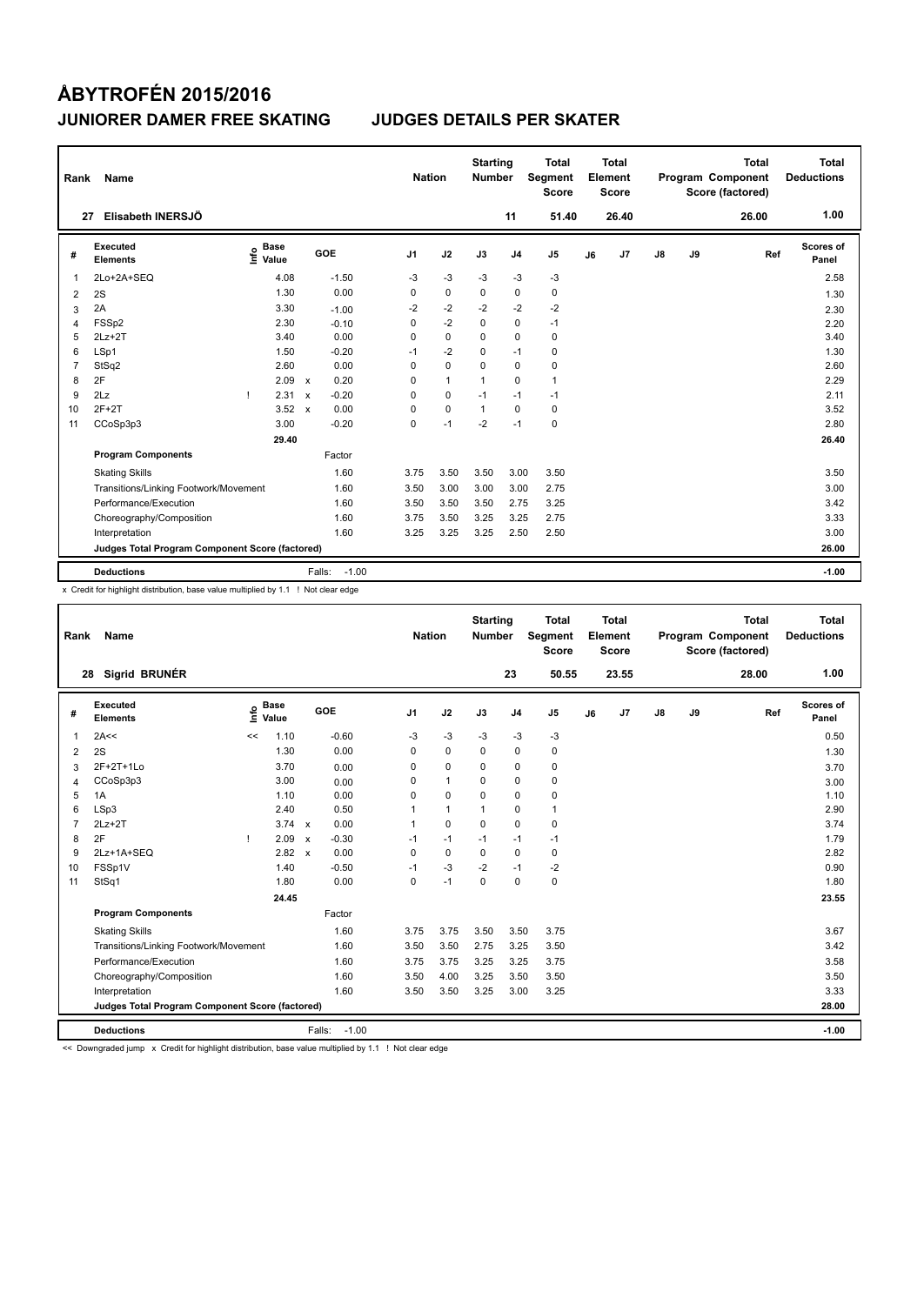| Rank | Name                                            |      |                      |              |                   | <b>Nation</b>  |              | <b>Starting</b><br><b>Number</b> |                | <b>Total</b><br>Segment<br><b>Score</b> |    | <b>Total</b><br>Element<br><b>Score</b> |               |    | <b>Total</b><br>Program Component<br>Score (factored) |     | <b>Total</b><br><b>Deductions</b> |
|------|-------------------------------------------------|------|----------------------|--------------|-------------------|----------------|--------------|----------------------------------|----------------|-----------------------------------------|----|-----------------------------------------|---------------|----|-------------------------------------------------------|-----|-----------------------------------|
| 27   | Elisabeth INERSJÖ                               |      |                      |              |                   |                |              |                                  | 11             | 51.40                                   |    | 26.40                                   |               |    | 26.00                                                 |     | 1.00                              |
| #    | Executed<br><b>Elements</b>                     | ١nf٥ | <b>Base</b><br>Value |              | GOE               | J <sub>1</sub> | J2           | J3                               | J <sub>4</sub> | J <sub>5</sub>                          | J6 | J7                                      | $\mathsf{J}8$ | J9 |                                                       | Ref | Scores of<br>Panel                |
| 1    | 2Lo+2A+SEQ                                      |      | 4.08                 |              | $-1.50$           | -3             | $-3$         | $-3$                             | $-3$           | $-3$                                    |    |                                         |               |    |                                                       |     | 2.58                              |
| 2    | 2S                                              |      | 1.30                 |              | 0.00              | 0              | $\mathbf 0$  | 0                                | 0              | 0                                       |    |                                         |               |    |                                                       |     | 1.30                              |
| 3    | 2A                                              |      | 3.30                 |              | $-1.00$           | $-2$           | $-2$         | $-2$                             | $-2$           | $-2$                                    |    |                                         |               |    |                                                       |     | 2.30                              |
| 4    | FSSp2                                           |      | 2.30                 |              | $-0.10$           | 0              | $-2$         | $\mathbf 0$                      | 0              | $-1$                                    |    |                                         |               |    |                                                       |     | 2.20                              |
| 5    | $2Lz+2T$                                        |      | 3.40                 |              | 0.00              | 0              | $\mathbf 0$  | $\mathbf 0$                      | $\mathbf 0$    | $\pmb{0}$                               |    |                                         |               |    |                                                       |     | 3.40                              |
| 6    | LSp1                                            |      | 1.50                 |              | $-0.20$           | $-1$           | $-2$         | $\Omega$                         | $-1$           | 0                                       |    |                                         |               |    |                                                       |     | 1.30                              |
| 7    | StSq2                                           |      | 2.60                 |              | 0.00              | $\Omega$       | $\mathbf 0$  | $\Omega$                         | $\mathbf 0$    | 0                                       |    |                                         |               |    |                                                       |     | 2.60                              |
| 8    | 2F                                              |      | 2.09                 | $\mathsf{x}$ | 0.20              | 0              | $\mathbf{1}$ | 1                                | $\Omega$       | $\mathbf{1}$                            |    |                                         |               |    |                                                       |     | 2.29                              |
| 9    | 2Lz                                             | Τ.   | 2.31                 | $\mathsf{x}$ | $-0.20$           | $\Omega$       | 0            | $-1$                             | $-1$           | $-1$                                    |    |                                         |               |    |                                                       |     | 2.11                              |
| 10   | $2F+2T$                                         |      | 3.52                 | $\mathbf{x}$ | 0.00              | 0              | $\mathbf 0$  | $\mathbf{1}$                     | $\Omega$       | 0                                       |    |                                         |               |    |                                                       |     | 3.52                              |
| 11   | CCoSp3p3                                        |      | 3.00                 |              | $-0.20$           | 0              | $-1$         | $-2$                             | $-1$           | $\mathbf 0$                             |    |                                         |               |    |                                                       |     | 2.80                              |
|      |                                                 |      | 29.40                |              |                   |                |              |                                  |                |                                         |    |                                         |               |    |                                                       |     | 26.40                             |
|      | <b>Program Components</b>                       |      |                      |              | Factor            |                |              |                                  |                |                                         |    |                                         |               |    |                                                       |     |                                   |
|      | <b>Skating Skills</b>                           |      |                      |              | 1.60              | 3.75           | 3.50         | 3.50                             | 3.00           | 3.50                                    |    |                                         |               |    |                                                       |     | 3.50                              |
|      | Transitions/Linking Footwork/Movement           |      |                      |              | 1.60              | 3.50           | 3.00         | 3.00                             | 3.00           | 2.75                                    |    |                                         |               |    |                                                       |     | 3.00                              |
|      | Performance/Execution                           |      |                      |              | 1.60              | 3.50           | 3.50         | 3.50                             | 2.75           | 3.25                                    |    |                                         |               |    |                                                       |     | 3.42                              |
|      | Choreography/Composition                        |      |                      |              | 1.60              | 3.75           | 3.50         | 3.25                             | 3.25           | 2.75                                    |    |                                         |               |    |                                                       |     | 3.33                              |
|      | Interpretation                                  |      |                      |              | 1.60              | 3.25           | 3.25         | 3.25                             | 2.50           | 2.50                                    |    |                                         |               |    |                                                       |     | 3.00                              |
|      | Judges Total Program Component Score (factored) |      |                      |              |                   |                |              |                                  |                |                                         |    |                                         |               |    |                                                       |     | 26.00                             |
|      | <b>Deductions</b>                               |      |                      |              | $-1.00$<br>Falls: |                |              |                                  |                |                                         |    |                                         |               |    |                                                       |     | $-1.00$                           |

x Credit for highlight distribution, base value multiplied by 1.1 ! Not clear edge

| Rank           | <b>Name</b>                                     |    |                      |                           |                   | <b>Nation</b>  |              | <b>Starting</b><br><b>Number</b> |                | <b>Total</b><br>Segment<br><b>Score</b> |    | <b>Total</b><br>Element<br><b>Score</b> |               |    | <b>Total</b><br>Program Component<br>Score (factored) | <b>Total</b><br><b>Deductions</b> |
|----------------|-------------------------------------------------|----|----------------------|---------------------------|-------------------|----------------|--------------|----------------------------------|----------------|-----------------------------------------|----|-----------------------------------------|---------------|----|-------------------------------------------------------|-----------------------------------|
|                | Sigrid BRUNÉR<br>28                             |    |                      |                           |                   |                |              |                                  | 23             | 50.55                                   |    | 23.55                                   |               |    | 28.00                                                 | 1.00                              |
| #              | Executed<br><b>Elements</b>                     | ۴ů | <b>Base</b><br>Value |                           | GOE               | J <sub>1</sub> | J2           | J3                               | J <sub>4</sub> | J <sub>5</sub>                          | J6 | J7                                      | $\mathsf{J}8$ | J9 | Ref                                                   | Scores of<br>Panel                |
| 1              | 2A<<                                            | << | 1.10                 |                           | $-0.60$           | -3             | $-3$         | -3                               | $-3$           | $-3$                                    |    |                                         |               |    |                                                       | 0.50                              |
| 2              | 2S                                              |    | 1.30                 |                           | 0.00              | 0              | $\mathbf 0$  | $\Omega$                         | $\mathbf 0$    | 0                                       |    |                                         |               |    |                                                       | 1.30                              |
| 3              | 2F+2T+1Lo                                       |    | 3.70                 |                           | 0.00              | 0              | $\mathbf 0$  | $\Omega$                         | 0              | 0                                       |    |                                         |               |    |                                                       | 3.70                              |
| 4              | CCoSp3p3                                        |    | 3.00                 |                           | 0.00              | 0              | $\mathbf{1}$ | $\Omega$                         | $\mathbf 0$    | 0                                       |    |                                         |               |    |                                                       | 3.00                              |
| 5              | 1A                                              |    | 1.10                 |                           | 0.00              | 0              | $\mathbf 0$  | $\Omega$                         | $\mathbf 0$    | $\mathbf 0$                             |    |                                         |               |    |                                                       | 1.10                              |
| 6              | LSp3                                            |    | 2.40                 |                           | 0.50              |                | $\mathbf{1}$ | 1                                | $\mathbf 0$    | 1                                       |    |                                         |               |    |                                                       | 2.90                              |
| $\overline{7}$ | $2Lz+2T$                                        |    | $3.74 \times$        |                           | 0.00              |                | $\mathbf 0$  | $\mathbf 0$                      | $\mathbf 0$    | $\mathbf 0$                             |    |                                         |               |    |                                                       | 3.74                              |
| 8              | 2F                                              |    | 2.09                 | $\boldsymbol{\mathsf{x}}$ | $-0.30$           | $-1$           | $-1$         | $-1$                             | $-1$           | $-1$                                    |    |                                         |               |    |                                                       | 1.79                              |
| 9              | 2Lz+1A+SEQ                                      |    | $2.82 \times$        |                           | 0.00              | $\Omega$       | $\Omega$     | $\Omega$                         | $\mathbf 0$    | $\mathbf 0$                             |    |                                         |               |    |                                                       | 2.82                              |
| 10             | FSSp1V                                          |    | 1.40                 |                           | $-0.50$           | $-1$           | $-3$         | $-2$                             | $-1$           | $-2$                                    |    |                                         |               |    |                                                       | 0.90                              |
| 11             | StSq1                                           |    | 1.80                 |                           | 0.00              | 0              | $-1$         | $\Omega$                         | $\mathbf 0$    | $\pmb{0}$                               |    |                                         |               |    |                                                       | 1.80                              |
|                |                                                 |    | 24.45                |                           |                   |                |              |                                  |                |                                         |    |                                         |               |    |                                                       | 23.55                             |
|                | <b>Program Components</b>                       |    |                      |                           | Factor            |                |              |                                  |                |                                         |    |                                         |               |    |                                                       |                                   |
|                | <b>Skating Skills</b>                           |    |                      |                           | 1.60              | 3.75           | 3.75         | 3.50                             | 3.50           | 3.75                                    |    |                                         |               |    |                                                       | 3.67                              |
|                | Transitions/Linking Footwork/Movement           |    |                      |                           | 1.60              | 3.50           | 3.50         | 2.75                             | 3.25           | 3.50                                    |    |                                         |               |    |                                                       | 3.42                              |
|                | Performance/Execution                           |    |                      |                           | 1.60              | 3.75           | 3.75         | 3.25                             | 3.25           | 3.75                                    |    |                                         |               |    |                                                       | 3.58                              |
|                | Choreography/Composition                        |    |                      |                           | 1.60              | 3.50           | 4.00         | 3.25                             | 3.50           | 3.50                                    |    |                                         |               |    |                                                       | 3.50                              |
|                | Interpretation                                  |    |                      |                           | 1.60              | 3.50           | 3.50         | 3.25                             | 3.00           | 3.25                                    |    |                                         |               |    |                                                       | 3.33                              |
|                | Judges Total Program Component Score (factored) |    |                      |                           |                   |                |              |                                  |                |                                         |    |                                         |               |    |                                                       | 28.00                             |
|                | <b>Deductions</b>                               |    |                      |                           | $-1.00$<br>Falls: |                |              |                                  |                |                                         |    |                                         |               |    |                                                       | $-1.00$                           |

<< Downgraded jump x Credit for highlight distribution, base value multiplied by 1.1 ! Not clear edge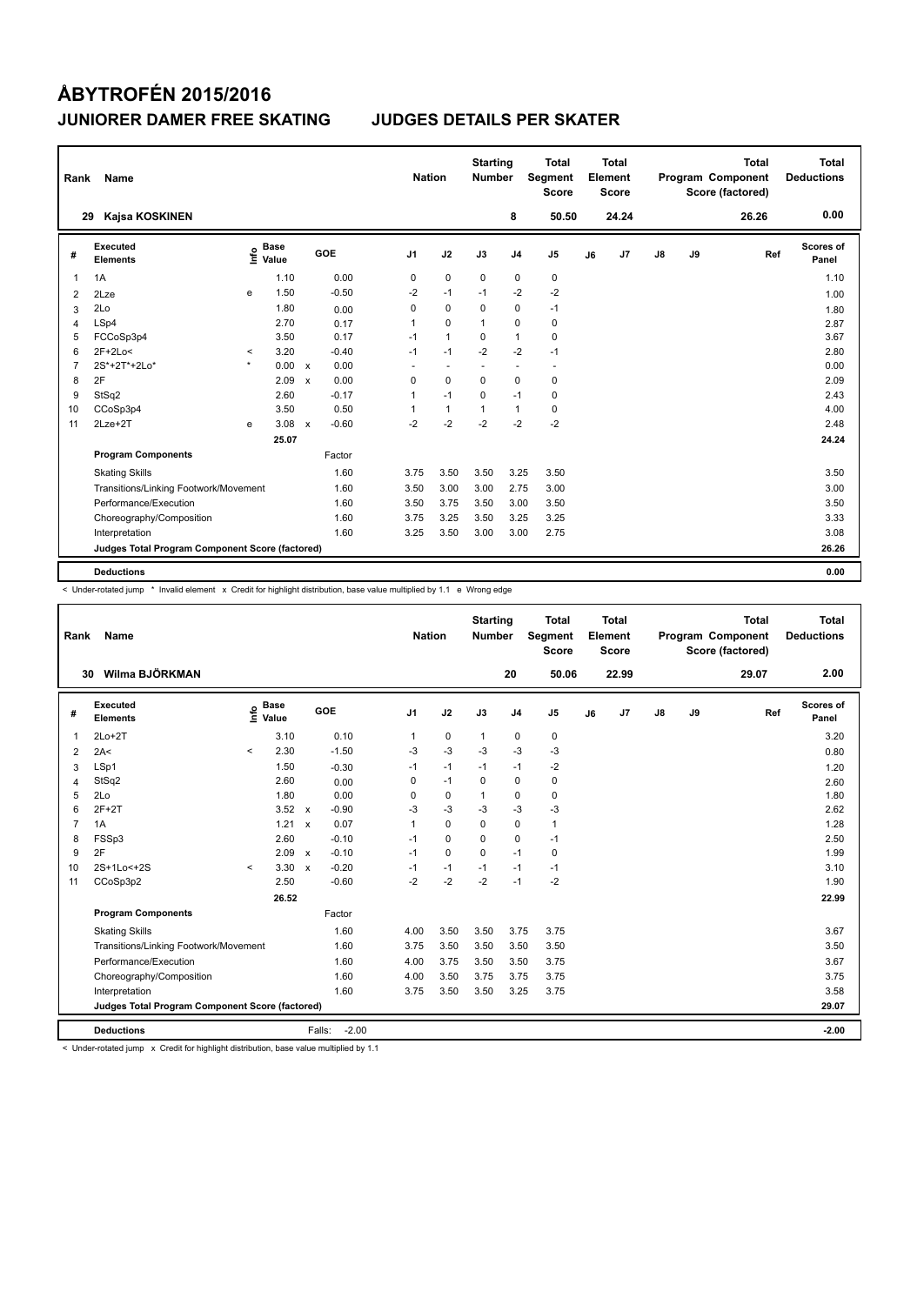| Rank           | Name                                            |         |                      |              |         |                | <b>Nation</b> |                | <b>Starting</b><br><b>Number</b> |                          | Total<br>Segment<br><b>Score</b> |    | <b>Total</b><br>Element<br><b>Score</b> |               |    | <b>Total</b><br>Program Component<br>Score (factored) | <b>Total</b><br><b>Deductions</b> |
|----------------|-------------------------------------------------|---------|----------------------|--------------|---------|----------------|---------------|----------------|----------------------------------|--------------------------|----------------------------------|----|-----------------------------------------|---------------|----|-------------------------------------------------------|-----------------------------------|
|                | Kajsa KOSKINEN<br>29                            |         |                      |              |         |                |               |                |                                  | 8                        | 50.50                            |    | 24.24                                   |               |    | 26.26                                                 | 0.00                              |
| #              | Executed<br><b>Elements</b>                     | ١nfo    | <b>Base</b><br>Value |              | GOE     | J <sub>1</sub> |               | J2             | J3                               | J <sub>4</sub>           | J <sub>5</sub>                   | J6 | J7                                      | $\mathsf{J}8$ | J9 | Ref                                                   | Scores of<br>Panel                |
| 1              | 1A                                              |         | 1.10                 |              | 0.00    |                | 0             | $\mathbf 0$    | $\mathbf 0$                      | $\mathbf 0$              | 0                                |    |                                         |               |    |                                                       | 1.10                              |
| 2              | 2Lze                                            | e       | 1.50                 |              | $-0.50$ |                | $-2$          | $-1$           | $-1$                             | $-2$                     | $-2$                             |    |                                         |               |    |                                                       | 1.00                              |
| 3              | 2Lo                                             |         | 1.80                 |              | 0.00    |                | 0             | 0              | 0                                | $\pmb{0}$                | $-1$                             |    |                                         |               |    |                                                       | 1.80                              |
| 4              | LSp4                                            |         | 2.70                 |              | 0.17    |                | $\mathbf{1}$  | $\Omega$       | $\mathbf{1}$                     | $\mathbf 0$              | 0                                |    |                                         |               |    |                                                       | 2.87                              |
| 5              | FCCoSp3p4                                       |         | 3.50                 |              | 0.17    |                | $-1$          | $\mathbf{1}$   | 0                                | $\mathbf{1}$             | $\mathbf 0$                      |    |                                         |               |    |                                                       | 3.67                              |
| 6              | $2F+2Lo<$                                       | $\prec$ | 3.20                 |              | $-0.40$ |                | $-1$          | $-1$           | $-2$                             | $-2$                     | $-1$                             |    |                                         |               |    |                                                       | 2.80                              |
| $\overline{7}$ | 2S*+2T*+2Lo*                                    | $\star$ | 0.00                 | $\mathsf{x}$ | 0.00    |                | ٠             | $\overline{a}$ | $\overline{\phantom{a}}$         | $\overline{\phantom{a}}$ | $\sim$                           |    |                                         |               |    |                                                       | 0.00                              |
| 8              | 2F                                              |         | 2.09                 | $\mathsf{x}$ | 0.00    |                | 0             | $\Omega$       | $\Omega$                         | $\mathbf 0$              | $\mathbf 0$                      |    |                                         |               |    |                                                       | 2.09                              |
| 9              | StSq2                                           |         | 2.60                 |              | $-0.17$ |                | 1             | $-1$           | 0                                | $-1$                     | 0                                |    |                                         |               |    |                                                       | 2.43                              |
| 10             | CCoSp3p4                                        |         | 3.50                 |              | 0.50    |                | 1             | $\mathbf{1}$   | $\mathbf{1}$                     | $\mathbf{1}$             | 0                                |    |                                         |               |    |                                                       | 4.00                              |
| 11             | $2Lze+2T$                                       | e       | 3.08                 | $\mathsf{x}$ | $-0.60$ |                | $-2$          | $-2$           | $-2$                             | $-2$                     | $-2$                             |    |                                         |               |    |                                                       | 2.48                              |
|                |                                                 |         | 25.07                |              |         |                |               |                |                                  |                          |                                  |    |                                         |               |    |                                                       | 24.24                             |
|                | <b>Program Components</b>                       |         |                      |              | Factor  |                |               |                |                                  |                          |                                  |    |                                         |               |    |                                                       |                                   |
|                | <b>Skating Skills</b>                           |         |                      |              | 1.60    |                | 3.75          | 3.50           | 3.50                             | 3.25                     | 3.50                             |    |                                         |               |    |                                                       | 3.50                              |
|                | Transitions/Linking Footwork/Movement           |         |                      |              | 1.60    |                | 3.50          | 3.00           | 3.00                             | 2.75                     | 3.00                             |    |                                         |               |    |                                                       | 3.00                              |
|                | Performance/Execution                           |         |                      |              | 1.60    |                | 3.50          | 3.75           | 3.50                             | 3.00                     | 3.50                             |    |                                         |               |    |                                                       | 3.50                              |
|                | Choreography/Composition                        |         |                      |              | 1.60    |                | 3.75          | 3.25           | 3.50                             | 3.25                     | 3.25                             |    |                                         |               |    |                                                       | 3.33                              |
|                | Interpretation                                  |         |                      |              | 1.60    |                | 3.25          | 3.50           | 3.00                             | 3.00                     | 2.75                             |    |                                         |               |    |                                                       | 3.08                              |
|                | Judges Total Program Component Score (factored) |         |                      |              |         |                |               |                |                                  |                          |                                  |    |                                         |               |    |                                                       | 26.26                             |
|                | <b>Deductions</b>                               |         |                      |              |         |                |               |                |                                  |                          |                                  |    |                                         |               |    |                                                       | 0.00                              |

< Under-rotated jump \* Invalid element x Credit for highlight distribution, base value multiplied by 1.1 e Wrong edge

| Rank           | Name                                            |         |                      |                           |                   | <b>Nation</b>  |             | <b>Starting</b><br><b>Number</b> |                | <b>Total</b><br>Segment<br><b>Score</b> |    | Total<br>Element<br><b>Score</b> |               |    | <b>Total</b><br>Program Component<br>Score (factored) | Total<br><b>Deductions</b> |
|----------------|-------------------------------------------------|---------|----------------------|---------------------------|-------------------|----------------|-------------|----------------------------------|----------------|-----------------------------------------|----|----------------------------------|---------------|----|-------------------------------------------------------|----------------------------|
|                | Wilma BJÖRKMAN<br>30                            |         |                      |                           |                   |                |             |                                  | 20             | 50.06                                   |    | 22.99                            |               |    | 29.07                                                 | 2.00                       |
| #              | <b>Executed</b><br><b>Elements</b>              | e       | <b>Base</b><br>Value |                           | GOE               | J <sub>1</sub> | J2          | J3                               | J <sub>4</sub> | J <sub>5</sub>                          | J6 | J <sub>7</sub>                   | $\mathsf{J}8$ | J9 | Ref                                                   | Scores of<br>Panel         |
| 1              | $2Lo+2T$                                        |         | 3.10                 |                           | 0.10              | 1              | $\mathbf 0$ | $\mathbf{1}$                     | $\mathbf 0$    | $\pmb{0}$                               |    |                                  |               |    |                                                       | 3.20                       |
| $\overline{2}$ | 2A<                                             | $\prec$ | 2.30                 |                           | $-1.50$           | $-3$           | $-3$        | $-3$                             | -3             | $-3$                                    |    |                                  |               |    |                                                       | 0.80                       |
| 3              | LSp1                                            |         | 1.50                 |                           | $-0.30$           | $-1$           | $-1$        | $-1$                             | $-1$           | $-2$                                    |    |                                  |               |    |                                                       | 1.20                       |
| 4              | StSq2                                           |         | 2.60                 |                           | 0.00              | 0              | $-1$        | 0                                | $\mathbf 0$    | $\pmb{0}$                               |    |                                  |               |    |                                                       | 2.60                       |
| 5              | 2Lo                                             |         | 1.80                 |                           | 0.00              | 0              | $\mathbf 0$ | $\mathbf{1}$                     | 0              | $\mathbf 0$                             |    |                                  |               |    |                                                       | 1.80                       |
| 6              | $2F+2T$                                         |         | 3.52                 | $\mathsf{x}$              | $-0.90$           | $-3$           | $-3$        | $-3$                             | $-3$           | $-3$                                    |    |                                  |               |    |                                                       | 2.62                       |
| $\overline{7}$ | 1A                                              |         | 1.21                 | $\boldsymbol{\mathsf{x}}$ | 0.07              | 1              | $\mathbf 0$ | 0                                | $\pmb{0}$      | $\mathbf{1}$                            |    |                                  |               |    |                                                       | 1.28                       |
| 8              | FSSp3                                           |         | 2.60                 |                           | $-0.10$           | $-1$           | $\Omega$    | $\Omega$                         | 0              | $-1$                                    |    |                                  |               |    |                                                       | 2.50                       |
| 9              | 2F                                              |         | 2.09                 | $\mathsf{x}$              | $-0.10$           | $-1$           | $\mathbf 0$ | $\Omega$                         | $-1$           | $\mathbf 0$                             |    |                                  |               |    |                                                       | 1.99                       |
| 10             | 2S+1Lo<+2S                                      | $\prec$ | 3.30                 | $\mathsf{x}$              | $-0.20$           | $-1$           | $-1$        | $-1$                             | $-1$           | $-1$                                    |    |                                  |               |    |                                                       | 3.10                       |
| 11             | CCoSp3p2                                        |         | 2.50                 |                           | $-0.60$           | $-2$           | $-2$        | $-2$                             | $-1$           | $-2$                                    |    |                                  |               |    |                                                       | 1.90                       |
|                |                                                 |         | 26.52                |                           |                   |                |             |                                  |                |                                         |    |                                  |               |    |                                                       | 22.99                      |
|                | <b>Program Components</b>                       |         |                      |                           | Factor            |                |             |                                  |                |                                         |    |                                  |               |    |                                                       |                            |
|                | <b>Skating Skills</b>                           |         |                      |                           | 1.60              | 4.00           | 3.50        | 3.50                             | 3.75           | 3.75                                    |    |                                  |               |    |                                                       | 3.67                       |
|                | Transitions/Linking Footwork/Movement           |         |                      |                           | 1.60              | 3.75           | 3.50        | 3.50                             | 3.50           | 3.50                                    |    |                                  |               |    |                                                       | 3.50                       |
|                | Performance/Execution                           |         |                      |                           | 1.60              | 4.00           | 3.75        | 3.50                             | 3.50           | 3.75                                    |    |                                  |               |    |                                                       | 3.67                       |
|                | Choreography/Composition                        |         |                      |                           | 1.60              | 4.00           | 3.50        | 3.75                             | 3.75           | 3.75                                    |    |                                  |               |    |                                                       | 3.75                       |
|                | Interpretation                                  |         |                      |                           | 1.60              | 3.75           | 3.50        | 3.50                             | 3.25           | 3.75                                    |    |                                  |               |    |                                                       | 3.58                       |
|                | Judges Total Program Component Score (factored) |         |                      |                           |                   |                |             |                                  |                |                                         |    |                                  |               |    |                                                       | 29.07                      |
|                | <b>Deductions</b>                               |         |                      |                           | $-2.00$<br>Falls: |                |             |                                  |                |                                         |    |                                  |               |    |                                                       | $-2.00$                    |

< Under-rotated jump x Credit for highlight distribution, base value multiplied by 1.1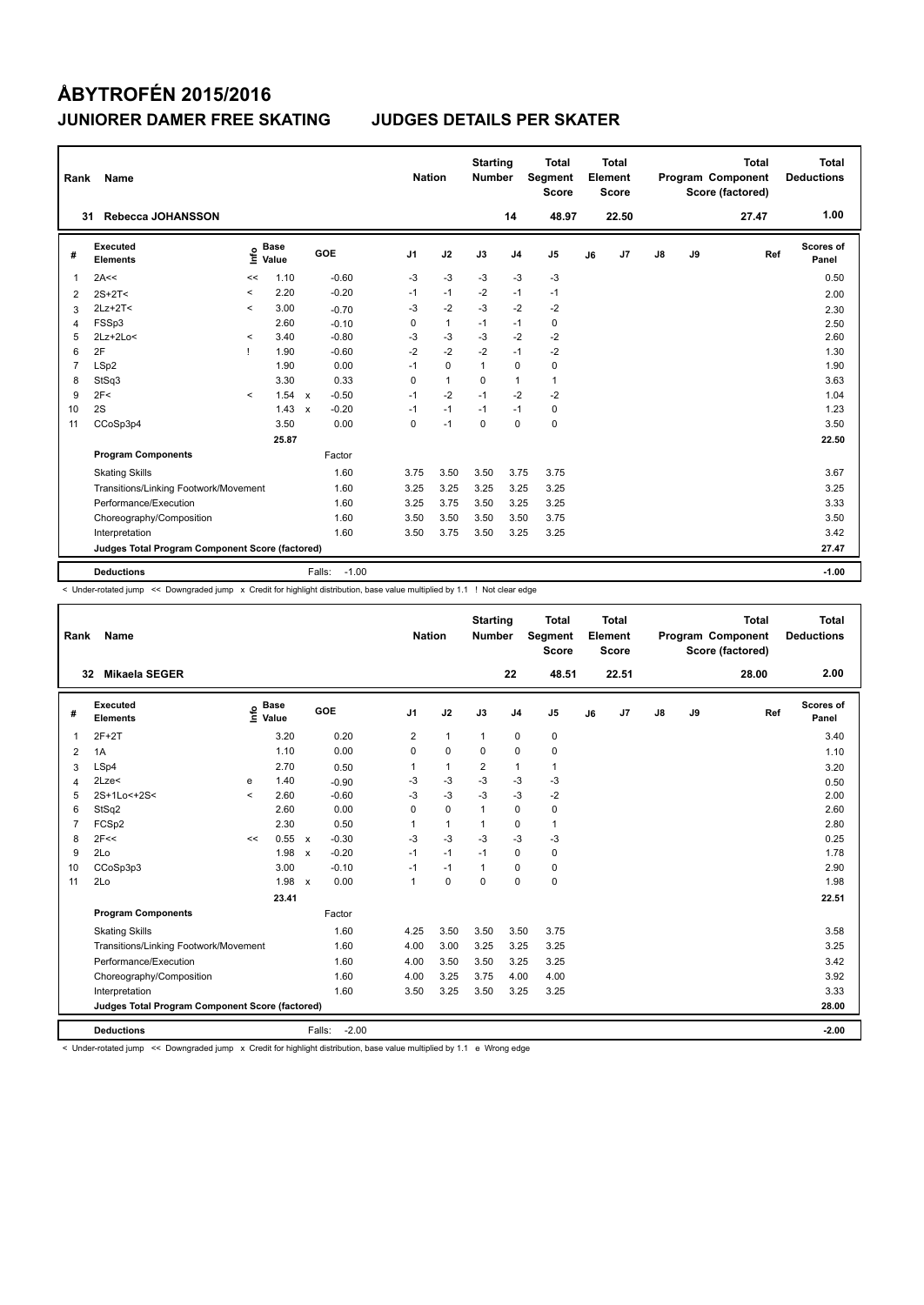| Rank           | Name                                            |              |                      |              |                   | <b>Nation</b>  |              | <b>Starting</b><br><b>Number</b> |                | <b>Total</b><br>Segment<br><b>Score</b> |    | <b>Total</b><br>Element<br><b>Score</b> |    |    | <b>Total</b><br>Program Component<br>Score (factored) | <b>Total</b><br><b>Deductions</b> |
|----------------|-------------------------------------------------|--------------|----------------------|--------------|-------------------|----------------|--------------|----------------------------------|----------------|-----------------------------------------|----|-----------------------------------------|----|----|-------------------------------------------------------|-----------------------------------|
| 31             | Rebecca JOHANSSON                               |              |                      |              |                   |                |              |                                  | 14             | 48.97                                   |    | 22.50                                   |    |    | 27.47                                                 | 1.00                              |
| #              | Executed<br><b>Elements</b>                     | ١nf٥         | <b>Base</b><br>Value |              | GOE               | J <sub>1</sub> | J2           | J3                               | J <sub>4</sub> | J <sub>5</sub>                          | J6 | J <sub>7</sub>                          | J8 | J9 | Ref                                                   | Scores of<br>Panel                |
| 1              | 2A<<                                            | <<           | 1.10                 |              | $-0.60$           | $-3$           | $-3$         | $-3$                             | $-3$           | $-3$                                    |    |                                         |    |    |                                                       | 0.50                              |
| 2              | $2S+2T<$                                        | $\,<\,$      | 2.20                 |              | $-0.20$           | $-1$           | $-1$         | $-2$                             | $-1$           | $-1$                                    |    |                                         |    |    |                                                       | 2.00                              |
| 3              | $2Lz+2T<$                                       | $\prec$      | 3.00                 |              | $-0.70$           | -3             | $-2$         | $-3$                             | $-2$           | $-2$                                    |    |                                         |    |    |                                                       | 2.30                              |
| 4              | FSSp3                                           |              | 2.60                 |              | $-0.10$           | 0              | $\mathbf{1}$ | $-1$                             | $-1$           | 0                                       |    |                                         |    |    |                                                       | 2.50                              |
| 5              | 2Lz+2Lo<                                        | $\prec$      | 3.40                 |              | $-0.80$           | -3             | $-3$         | -3                               | $-2$           | $-2$                                    |    |                                         |    |    |                                                       | 2.60                              |
| 6              | 2F                                              | $\mathbf{I}$ | 1.90                 |              | $-0.60$           | $-2$           | $-2$         | $-2$                             | $-1$           | $-2$                                    |    |                                         |    |    |                                                       | 1.30                              |
| $\overline{7}$ | LSp2                                            |              | 1.90                 |              | 0.00              | $-1$           | $\mathbf 0$  | $\mathbf{1}$                     | $\mathbf 0$    | 0                                       |    |                                         |    |    |                                                       | 1.90                              |
| 8              | StSq3                                           |              | 3.30                 |              | 0.33              | 0              | $\mathbf{1}$ | 0                                | $\mathbf{1}$   | $\mathbf{1}$                            |    |                                         |    |    |                                                       | 3.63                              |
| 9              | 2F<                                             | $\prec$      | 1.54                 | $\mathsf{x}$ | $-0.50$           | $-1$           | $-2$         | $-1$                             | $-2$           | $-2$                                    |    |                                         |    |    |                                                       | 1.04                              |
| 10             | 2S                                              |              | 1.43                 | $\mathbf{x}$ | $-0.20$           | $-1$           | $-1$         | $-1$                             | $-1$           | 0                                       |    |                                         |    |    |                                                       | 1.23                              |
| 11             | CCoSp3p4                                        |              | 3.50                 |              | 0.00              | $\mathbf 0$    | $-1$         | $\mathbf 0$                      | $\mathbf 0$    | $\mathbf 0$                             |    |                                         |    |    |                                                       | 3.50                              |
|                |                                                 |              | 25.87                |              |                   |                |              |                                  |                |                                         |    |                                         |    |    |                                                       | 22.50                             |
|                | <b>Program Components</b>                       |              |                      |              | Factor            |                |              |                                  |                |                                         |    |                                         |    |    |                                                       |                                   |
|                | <b>Skating Skills</b>                           |              |                      |              | 1.60              | 3.75           | 3.50         | 3.50                             | 3.75           | 3.75                                    |    |                                         |    |    |                                                       | 3.67                              |
|                | Transitions/Linking Footwork/Movement           |              |                      |              | 1.60              | 3.25           | 3.25         | 3.25                             | 3.25           | 3.25                                    |    |                                         |    |    |                                                       | 3.25                              |
|                | Performance/Execution                           |              |                      |              | 1.60              | 3.25           | 3.75         | 3.50                             | 3.25           | 3.25                                    |    |                                         |    |    |                                                       | 3.33                              |
|                | Choreography/Composition                        |              |                      |              | 1.60              | 3.50           | 3.50         | 3.50                             | 3.50           | 3.75                                    |    |                                         |    |    |                                                       | 3.50                              |
|                | Interpretation                                  |              |                      |              | 1.60              | 3.50           | 3.75         | 3.50                             | 3.25           | 3.25                                    |    |                                         |    |    |                                                       | 3.42                              |
|                | Judges Total Program Component Score (factored) |              |                      |              |                   |                |              |                                  |                |                                         |    |                                         |    |    |                                                       | 27.47                             |
|                | <b>Deductions</b>                               |              |                      |              | $-1.00$<br>Falls: |                |              |                                  |                |                                         |    |                                         |    |    |                                                       | $-1.00$                           |

< Under-rotated jump << Downgraded jump x Credit for highlight distribution, base value multiplied by 1.1 ! Not clear edge

| Rank           | <b>Name</b>                                     |         |                      |              |                   | <b>Nation</b>  |              | <b>Starting</b><br><b>Number</b> |                | <b>Total</b><br>Segment<br><b>Score</b> |    | Total<br>Element<br><b>Score</b> |               |    | <b>Total</b><br>Program Component<br>Score (factored) | Total<br><b>Deductions</b> |
|----------------|-------------------------------------------------|---------|----------------------|--------------|-------------------|----------------|--------------|----------------------------------|----------------|-----------------------------------------|----|----------------------------------|---------------|----|-------------------------------------------------------|----------------------------|
|                | <b>Mikaela SEGER</b><br>32                      |         |                      |              |                   |                |              |                                  | 22             | 48.51                                   |    | 22.51                            |               |    | 28.00                                                 | 2.00                       |
| #              | Executed<br><b>Elements</b>                     | Info    | <b>Base</b><br>Value |              | GOE               | J <sub>1</sub> | J2           | J3                               | J <sub>4</sub> | J <sub>5</sub>                          | J6 | J <sub>7</sub>                   | $\mathsf{J}8$ | J9 | Ref                                                   | Scores of<br>Panel         |
| $\overline{1}$ | $2F+2T$                                         |         | 3.20                 |              | 0.20              | 2              | $\mathbf{1}$ | $\mathbf{1}$                     | $\mathbf 0$    | 0                                       |    |                                  |               |    |                                                       | 3.40                       |
| 2              | 1A                                              |         | 1.10                 |              | 0.00              | $\Omega$       | $\mathbf 0$  | $\Omega$                         | $\Omega$       | $\pmb{0}$                               |    |                                  |               |    |                                                       | 1.10                       |
| 3              | LSp4                                            |         | 2.70                 |              | 0.50              | 1              | $\mathbf{1}$ | 2                                | $\mathbf{1}$   | $\mathbf{1}$                            |    |                                  |               |    |                                                       | 3.20                       |
| $\overline{4}$ | 2Lze<                                           | e       | 1.40                 |              | $-0.90$           | -3             | -3           | -3                               | -3             | -3                                      |    |                                  |               |    |                                                       | 0.50                       |
| 5              | 2S+1Lo<+2S<                                     | $\prec$ | 2.60                 |              | $-0.60$           | $-3$           | $-3$         | $-3$                             | $-3$           | $-2$                                    |    |                                  |               |    |                                                       | 2.00                       |
| 6              | StSq2                                           |         | 2.60                 |              | 0.00              | 0              | $\mathbf 0$  | $\mathbf{1}$                     | $\mathbf 0$    | $\pmb{0}$                               |    |                                  |               |    |                                                       | 2.60                       |
| $\overline{7}$ | FCSp2                                           |         | 2.30                 |              | 0.50              | 1              | $\mathbf{1}$ |                                  | $\mathbf 0$    | $\mathbf{1}$                            |    |                                  |               |    |                                                       | 2.80                       |
| 8              | 2F<<                                            | <<      | 0.55                 | $\mathsf{x}$ | $-0.30$           | $-3$           | $-3$         | $-3$                             | $-3$           | -3                                      |    |                                  |               |    |                                                       | 0.25                       |
| 9              | 2Lo                                             |         | 1.98                 | $\mathbf{x}$ | $-0.20$           | $-1$           | $-1$         | $-1$                             | $\mathbf 0$    | $\pmb{0}$                               |    |                                  |               |    |                                                       | 1.78                       |
| 10             | CCoSp3p3                                        |         | 3.00                 |              | $-0.10$           | $-1$           | $-1$         | $\mathbf{1}$                     | $\mathbf 0$    | $\pmb{0}$                               |    |                                  |               |    |                                                       | 2.90                       |
| 11             | 2Lo                                             |         | 1.98                 | $\mathsf{x}$ | 0.00              | $\mathbf{1}$   | $\mathbf 0$  | $\mathbf 0$                      | $\mathbf 0$    | $\pmb{0}$                               |    |                                  |               |    |                                                       | 1.98                       |
|                |                                                 |         | 23.41                |              |                   |                |              |                                  |                |                                         |    |                                  |               |    |                                                       | 22.51                      |
|                | <b>Program Components</b>                       |         |                      |              | Factor            |                |              |                                  |                |                                         |    |                                  |               |    |                                                       |                            |
|                | <b>Skating Skills</b>                           |         |                      |              | 1.60              | 4.25           | 3.50         | 3.50                             | 3.50           | 3.75                                    |    |                                  |               |    |                                                       | 3.58                       |
|                | Transitions/Linking Footwork/Movement           |         |                      |              | 1.60              | 4.00           | 3.00         | 3.25                             | 3.25           | 3.25                                    |    |                                  |               |    |                                                       | 3.25                       |
|                | Performance/Execution                           |         |                      |              | 1.60              | 4.00           | 3.50         | 3.50                             | 3.25           | 3.25                                    |    |                                  |               |    |                                                       | 3.42                       |
|                | Choreography/Composition                        |         |                      |              | 1.60              | 4.00           | 3.25         | 3.75                             | 4.00           | 4.00                                    |    |                                  |               |    |                                                       | 3.92                       |
|                | Interpretation                                  |         |                      |              | 1.60              | 3.50           | 3.25         | 3.50                             | 3.25           | 3.25                                    |    |                                  |               |    |                                                       | 3.33                       |
|                | Judges Total Program Component Score (factored) |         |                      |              |                   |                |              |                                  |                |                                         |    |                                  |               |    |                                                       | 28.00                      |
|                | <b>Deductions</b>                               |         |                      |              | $-2.00$<br>Falls: |                |              |                                  |                |                                         |    |                                  |               |    |                                                       | $-2.00$                    |

< Under-rotated jump << Downgraded jump x Credit for highlight distribution, base value multiplied by 1.1 e Wrong edge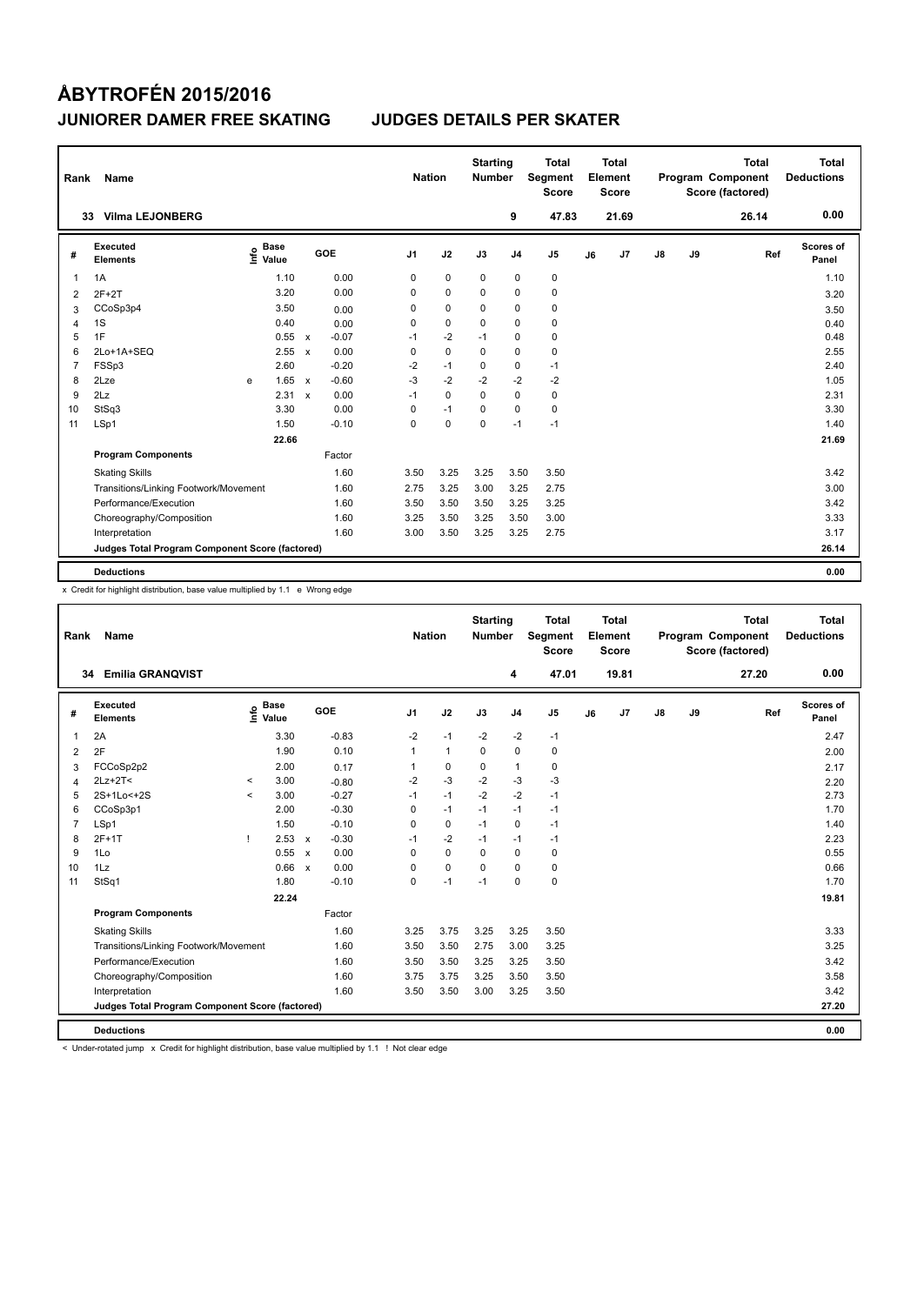| Rank           | Name                                            |    |                      |                           |         | <b>Nation</b>  |             | <b>Starting</b><br><b>Number</b> |                | <b>Total</b><br>Segment<br><b>Score</b> |    | <b>Total</b><br>Element<br><b>Score</b> |               |    | <b>Total</b><br>Program Component<br>Score (factored) | <b>Total</b><br><b>Deductions</b> |
|----------------|-------------------------------------------------|----|----------------------|---------------------------|---------|----------------|-------------|----------------------------------|----------------|-----------------------------------------|----|-----------------------------------------|---------------|----|-------------------------------------------------------|-----------------------------------|
|                | <b>Vilma LEJONBERG</b><br>33                    |    |                      |                           |         |                |             |                                  | 9              | 47.83                                   |    | 21.69                                   |               |    | 26.14                                                 | 0.00                              |
| #              | Executed<br><b>Elements</b>                     | ۴۵ | <b>Base</b><br>Value |                           | GOE     | J <sub>1</sub> | J2          | J3                               | J <sub>4</sub> | J <sub>5</sub>                          | J6 | J <sub>7</sub>                          | $\mathsf{J}8$ | J9 | Ref                                                   | Scores of<br>Panel                |
| 1              | 1A                                              |    | 1.10                 |                           | 0.00    | 0              | $\mathbf 0$ | $\mathbf 0$                      | $\mathbf 0$    | $\pmb{0}$                               |    |                                         |               |    |                                                       | 1.10                              |
| 2              | $2F+2T$                                         |    | 3.20                 |                           | 0.00    | 0              | $\mathbf 0$ | $\Omega$                         | $\mathbf 0$    | $\pmb{0}$                               |    |                                         |               |    |                                                       | 3.20                              |
| 3              | CCoSp3p4                                        |    | 3.50                 |                           | 0.00    | 0              | $\mathbf 0$ | 0                                | $\mathbf 0$    | $\pmb{0}$                               |    |                                         |               |    |                                                       | 3.50                              |
| 4              | 1S                                              |    | 0.40                 |                           | 0.00    | 0              | $\mathbf 0$ | $\Omega$                         | $\mathbf 0$    | $\pmb{0}$                               |    |                                         |               |    |                                                       | 0.40                              |
| 5              | 1F                                              |    | 0.55                 | $\mathsf{x}$              | $-0.07$ | $-1$           | $-2$        | $-1$                             | 0              | 0                                       |    |                                         |               |    |                                                       | 0.48                              |
| 6              | 2Lo+1A+SEQ                                      |    | 2.55                 | $\mathsf{x}$              | 0.00    | 0              | $\mathbf 0$ | $\Omega$                         | $\mathbf 0$    | $\pmb{0}$                               |    |                                         |               |    |                                                       | 2.55                              |
| $\overline{7}$ | FSSp3                                           |    | 2.60                 |                           | $-0.20$ | $-2$           | $-1$        | 0                                | $\mathbf 0$    | $-1$                                    |    |                                         |               |    |                                                       | 2.40                              |
| 8              | 2Lze                                            | e  | 1.65                 | $\mathsf{x}$              | $-0.60$ | $-3$           | $-2$        | $-2$                             | $-2$           | -2                                      |    |                                         |               |    |                                                       | 1.05                              |
| 9              | 2Lz                                             |    | 2.31                 | $\boldsymbol{\mathsf{x}}$ | 0.00    | $-1$           | 0           | 0                                | 0              | 0                                       |    |                                         |               |    |                                                       | 2.31                              |
| 10             | StSq3                                           |    | 3.30                 |                           | 0.00    | 0              | $-1$        | 0                                | 0              | $\pmb{0}$                               |    |                                         |               |    |                                                       | 3.30                              |
| 11             | LSp1                                            |    | 1.50                 |                           | $-0.10$ | 0              | $\mathbf 0$ | 0                                | $-1$           | $-1$                                    |    |                                         |               |    |                                                       | 1.40                              |
|                |                                                 |    | 22.66                |                           |         |                |             |                                  |                |                                         |    |                                         |               |    |                                                       | 21.69                             |
|                | <b>Program Components</b>                       |    |                      |                           | Factor  |                |             |                                  |                |                                         |    |                                         |               |    |                                                       |                                   |
|                | <b>Skating Skills</b>                           |    |                      |                           | 1.60    | 3.50           | 3.25        | 3.25                             | 3.50           | 3.50                                    |    |                                         |               |    |                                                       | 3.42                              |
|                | Transitions/Linking Footwork/Movement           |    |                      |                           | 1.60    | 2.75           | 3.25        | 3.00                             | 3.25           | 2.75                                    |    |                                         |               |    |                                                       | 3.00                              |
|                | Performance/Execution                           |    |                      |                           | 1.60    | 3.50           | 3.50        | 3.50                             | 3.25           | 3.25                                    |    |                                         |               |    |                                                       | 3.42                              |
|                | Choreography/Composition                        |    |                      |                           | 1.60    | 3.25           | 3.50        | 3.25                             | 3.50           | 3.00                                    |    |                                         |               |    |                                                       | 3.33                              |
|                | Interpretation                                  |    |                      |                           | 1.60    | 3.00           | 3.50        | 3.25                             | 3.25           | 2.75                                    |    |                                         |               |    |                                                       | 3.17                              |
|                | Judges Total Program Component Score (factored) |    |                      |                           |         |                |             |                                  |                |                                         |    |                                         |               |    |                                                       | 26.14                             |
|                | <b>Deductions</b>                               |    |                      |                           |         |                |             |                                  |                |                                         |    |                                         |               |    |                                                       | 0.00                              |

x Credit for highlight distribution, base value multiplied by 1.1 e Wrong edge

| Rank           | Name                                            |         |                      |                           |         |                | <b>Nation</b> |              | <b>Starting</b><br><b>Number</b> |                | <b>Total</b><br>Segment<br><b>Score</b> |    | <b>Total</b><br>Element<br><b>Score</b> |               |    | <b>Total</b><br>Program Component<br>Score (factored) | Total<br><b>Deductions</b> |
|----------------|-------------------------------------------------|---------|----------------------|---------------------------|---------|----------------|---------------|--------------|----------------------------------|----------------|-----------------------------------------|----|-----------------------------------------|---------------|----|-------------------------------------------------------|----------------------------|
| 34             | <b>Emilia GRANQVIST</b>                         |         |                      |                           |         |                |               |              |                                  | 4              | 47.01                                   |    | 19.81                                   |               |    | 27.20                                                 | 0.00                       |
| #              | Executed<br><b>Elements</b>                     | lnfo    | <b>Base</b><br>Value |                           | GOE     | J <sub>1</sub> |               | J2           | J3                               | J <sub>4</sub> | J <sub>5</sub>                          | J6 | J7                                      | $\mathsf{J}8$ | J9 | Ref                                                   | Scores of<br>Panel         |
| 1              | 2A                                              |         | 3.30                 |                           | $-0.83$ | -2             |               | $-1$         | $-2$                             | $-2$           | $-1$                                    |    |                                         |               |    |                                                       | 2.47                       |
| $\overline{2}$ | 2F                                              |         | 1.90                 |                           | 0.10    | 1              |               | $\mathbf{1}$ | $\Omega$                         | $\Omega$       | 0                                       |    |                                         |               |    |                                                       | 2.00                       |
| 3              | FCCoSp2p2                                       |         | 2.00                 |                           | 0.17    | 1              |               | 0            | 0                                | $\mathbf{1}$   | 0                                       |    |                                         |               |    |                                                       | 2.17                       |
| 4              | $2Lz+2T<$                                       | $\,<\,$ | 3.00                 |                           | $-0.80$ | $-2$           |               | $-3$         | $-2$                             | $-3$           | $-3$                                    |    |                                         |               |    |                                                       | 2.20                       |
| 5              | 2S+1Lo<+2S                                      | $\prec$ | 3.00                 |                           | $-0.27$ | $-1$           |               | $-1$         | $-2$                             | $-2$           | $-1$                                    |    |                                         |               |    |                                                       | 2.73                       |
| 6              | CCoSp3p1                                        |         | 2.00                 |                           | $-0.30$ | 0              |               | $-1$         | $-1$                             | $-1$           | $-1$                                    |    |                                         |               |    |                                                       | 1.70                       |
| $\overline{7}$ | LSp1                                            |         | 1.50                 |                           | $-0.10$ | 0              |               | 0            | $-1$                             | 0              | $-1$                                    |    |                                         |               |    |                                                       | 1.40                       |
| 8              | $2F+1T$                                         | Ţ       | 2.53                 | $\mathsf{x}$              | $-0.30$ | $-1$           |               | $-2$         | $-1$                             | $-1$           | $-1$                                    |    |                                         |               |    |                                                       | 2.23                       |
| 9              | 1Lo                                             |         | 0.55                 | $\boldsymbol{\mathsf{x}}$ | 0.00    | $\Omega$       |               | 0            | $\Omega$                         | $\Omega$       | 0                                       |    |                                         |               |    |                                                       | 0.55                       |
| 10             | 1Lz                                             |         | 0.66                 | $\mathsf{x}$              | 0.00    | $\mathbf 0$    |               | $\mathbf 0$  | 0                                | $\mathbf 0$    | 0                                       |    |                                         |               |    |                                                       | 0.66                       |
| 11             | StSq1                                           |         | 1.80                 |                           | $-0.10$ | 0              |               | $-1$         | $-1$                             | $\mathbf 0$    | 0                                       |    |                                         |               |    |                                                       | 1.70                       |
|                |                                                 |         | 22.24                |                           |         |                |               |              |                                  |                |                                         |    |                                         |               |    |                                                       | 19.81                      |
|                | <b>Program Components</b>                       |         |                      |                           | Factor  |                |               |              |                                  |                |                                         |    |                                         |               |    |                                                       |                            |
|                | <b>Skating Skills</b>                           |         |                      |                           | 1.60    | 3.25           |               | 3.75         | 3.25                             | 3.25           | 3.50                                    |    |                                         |               |    |                                                       | 3.33                       |
|                | Transitions/Linking Footwork/Movement           |         |                      |                           | 1.60    | 3.50           |               | 3.50         | 2.75                             | 3.00           | 3.25                                    |    |                                         |               |    |                                                       | 3.25                       |
|                | Performance/Execution                           |         |                      |                           | 1.60    | 3.50           |               | 3.50         | 3.25                             | 3.25           | 3.50                                    |    |                                         |               |    |                                                       | 3.42                       |
|                | Choreography/Composition                        |         |                      |                           | 1.60    | 3.75           |               | 3.75         | 3.25                             | 3.50           | 3.50                                    |    |                                         |               |    |                                                       | 3.58                       |
|                | Interpretation                                  |         |                      |                           | 1.60    | 3.50           |               | 3.50         | 3.00                             | 3.25           | 3.50                                    |    |                                         |               |    |                                                       | 3.42                       |
|                | Judges Total Program Component Score (factored) |         |                      |                           |         |                |               |              |                                  |                |                                         |    |                                         |               |    |                                                       | 27.20                      |
|                | <b>Deductions</b>                               |         |                      |                           |         |                |               |              |                                  |                |                                         |    |                                         |               |    |                                                       | 0.00                       |

< Under-rotated jump x Credit for highlight distribution, base value multiplied by 1.1 ! Not clear edge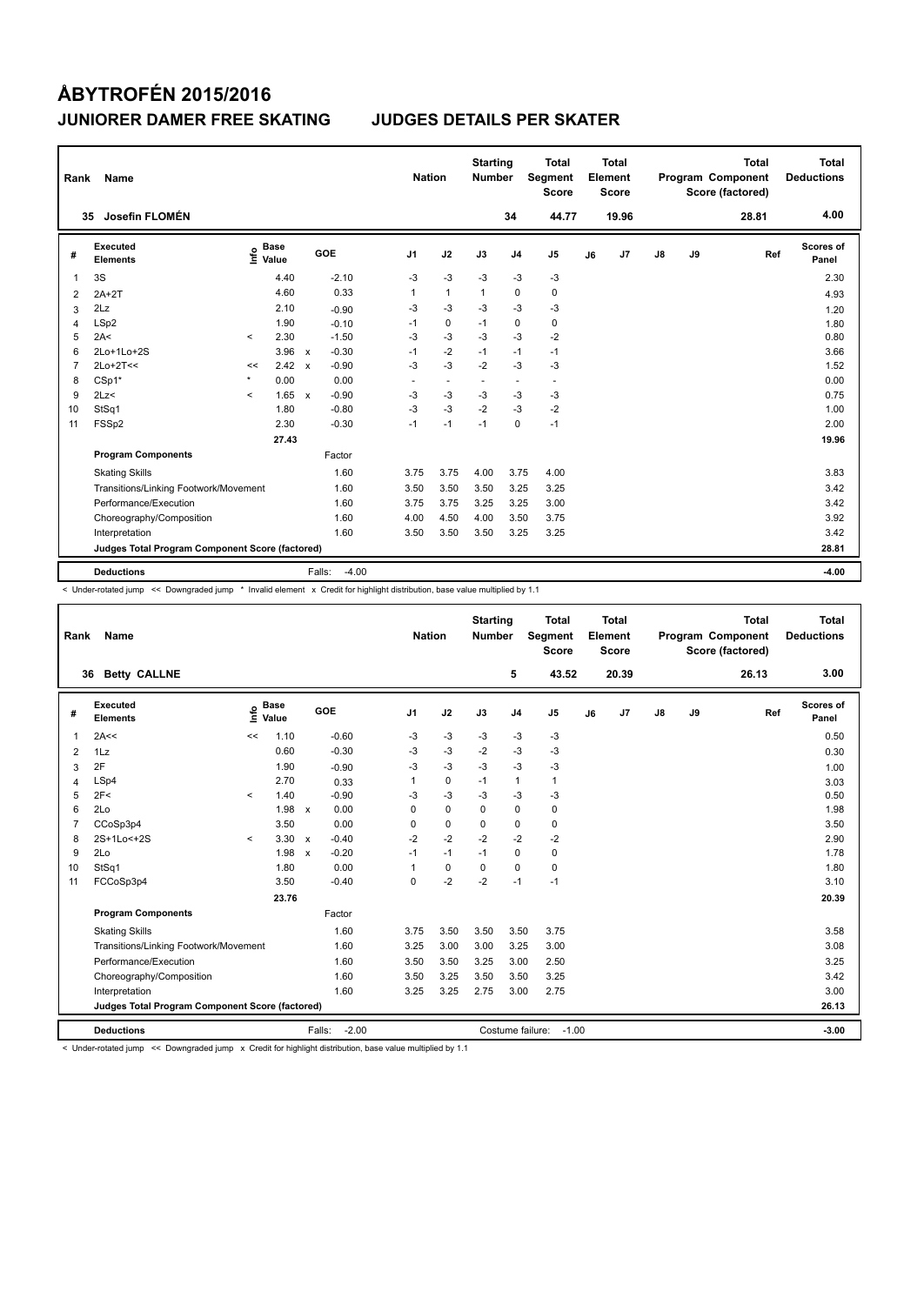| Rank           | Name                                            |         |                      |              |                   | <b>Nation</b>  |                          | <b>Starting</b><br><b>Number</b> |                          | <b>Total</b><br>Segment<br><b>Score</b> |    | <b>Total</b><br>Element<br><b>Score</b> |    |    | <b>Total</b><br>Program Component<br>Score (factored) | <b>Total</b><br><b>Deductions</b> |
|----------------|-------------------------------------------------|---------|----------------------|--------------|-------------------|----------------|--------------------------|----------------------------------|--------------------------|-----------------------------------------|----|-----------------------------------------|----|----|-------------------------------------------------------|-----------------------------------|
|                | Josefin FLOMÉN<br>35                            |         |                      |              |                   |                |                          |                                  | 34                       | 44.77                                   |    | 19.96                                   |    |    | 28.81                                                 | 4.00                              |
| #              | Executed<br><b>Elements</b>                     | ١nf٥    | <b>Base</b><br>Value |              | GOE               | J <sub>1</sub> | J2                       | J3                               | J <sub>4</sub>           | J <sub>5</sub>                          | J6 | J <sub>7</sub>                          | J8 | J9 | Ref                                                   | Scores of<br>Panel                |
| 1              | 3S                                              |         | 4.40                 |              | $-2.10$           | $-3$           | $-3$                     | $-3$                             | $-3$                     | $-3$                                    |    |                                         |    |    |                                                       | 2.30                              |
| 2              | $2A+2T$                                         |         | 4.60                 |              | 0.33              | 1              | $\mathbf{1}$             | 1                                | $\mathbf 0$              | $\pmb{0}$                               |    |                                         |    |    |                                                       | 4.93                              |
| 3              | 2Lz                                             |         | 2.10                 |              | $-0.90$           | -3             | $-3$                     | $-3$                             | $-3$                     | $-3$                                    |    |                                         |    |    |                                                       | 1.20                              |
| 4              | LSp2                                            |         | 1.90                 |              | $-0.10$           | $-1$           | $\pmb{0}$                | $-1$                             | 0                        | 0                                       |    |                                         |    |    |                                                       | 1.80                              |
| 5              | 2A<                                             | $\prec$ | 2.30                 |              | $-1.50$           | -3             | $-3$                     | -3                               | $-3$                     | $-2$                                    |    |                                         |    |    |                                                       | 0.80                              |
| 6              | 2Lo+1Lo+2S                                      |         | 3.96                 | $\mathsf{x}$ | $-0.30$           | $-1$           | $-2$                     | $-1$                             | $-1$                     | $-1$                                    |    |                                         |    |    |                                                       | 3.66                              |
| $\overline{7}$ | $2Lo+2T<<$                                      | <<      | 2.42                 | $\mathsf{x}$ | $-0.90$           | $-3$           | $-3$                     | $-2$                             | $-3$                     | $-3$                                    |    |                                         |    |    |                                                       | 1.52                              |
| 8              | $CSp1*$                                         | $\star$ | 0.00                 |              | 0.00              | ٠              | $\overline{\phantom{a}}$ | $\overline{\phantom{a}}$         | $\overline{\phantom{a}}$ | $\overline{\phantom{a}}$                |    |                                         |    |    |                                                       | 0.00                              |
| 9              | 2Lz<                                            | $\prec$ | 1.65                 | $\mathsf{x}$ | $-0.90$           | -3             | $-3$                     | -3                               | -3                       | $-3$                                    |    |                                         |    |    |                                                       | 0.75                              |
| 10             | StSq1                                           |         | 1.80                 |              | $-0.80$           | $-3$           | $-3$                     | $-2$                             | $-3$                     | $-2$                                    |    |                                         |    |    |                                                       | 1.00                              |
| 11             | FSSp2                                           |         | 2.30                 |              | $-0.30$           | $-1$           | $-1$                     | $-1$                             | $\mathbf 0$              | $-1$                                    |    |                                         |    |    |                                                       | 2.00                              |
|                |                                                 |         | 27.43                |              |                   |                |                          |                                  |                          |                                         |    |                                         |    |    |                                                       | 19.96                             |
|                | <b>Program Components</b>                       |         |                      |              | Factor            |                |                          |                                  |                          |                                         |    |                                         |    |    |                                                       |                                   |
|                | <b>Skating Skills</b>                           |         |                      |              | 1.60              | 3.75           | 3.75                     | 4.00                             | 3.75                     | 4.00                                    |    |                                         |    |    |                                                       | 3.83                              |
|                | Transitions/Linking Footwork/Movement           |         |                      |              | 1.60              | 3.50           | 3.50                     | 3.50                             | 3.25                     | 3.25                                    |    |                                         |    |    |                                                       | 3.42                              |
|                | Performance/Execution                           |         |                      |              | 1.60              | 3.75           | 3.75                     | 3.25                             | 3.25                     | 3.00                                    |    |                                         |    |    |                                                       | 3.42                              |
|                | Choreography/Composition                        |         |                      |              | 1.60              | 4.00           | 4.50                     | 4.00                             | 3.50                     | 3.75                                    |    |                                         |    |    |                                                       | 3.92                              |
|                | Interpretation                                  |         |                      |              | 1.60              | 3.50           | 3.50                     | 3.50                             | 3.25                     | 3.25                                    |    |                                         |    |    |                                                       | 3.42                              |
|                | Judges Total Program Component Score (factored) |         |                      |              |                   |                |                          |                                  |                          |                                         |    |                                         |    |    |                                                       | 28.81                             |
|                | <b>Deductions</b>                               |         |                      |              | Falls:<br>$-4.00$ |                |                          |                                  |                          |                                         |    |                                         |    |    |                                                       | $-4.00$                           |

< Under-rotated jump << Downgraded jump \* Invalid element x Credit for highlight distribution, base value multiplied by 1.1

| Rank           | Name                                            |         |                      |              |                   | <b>Nation</b>  |             | <b>Starting</b><br><b>Number</b> |                  | <b>Total</b><br>Segment<br><b>Score</b> |    | Total<br>Element<br><b>Score</b> |    |    | <b>Total</b><br><b>Program Component</b><br>Score (factored) | Total<br><b>Deductions</b> |
|----------------|-------------------------------------------------|---------|----------------------|--------------|-------------------|----------------|-------------|----------------------------------|------------------|-----------------------------------------|----|----------------------------------|----|----|--------------------------------------------------------------|----------------------------|
|                | <b>Betty CALLNE</b><br>36                       |         |                      |              |                   |                |             |                                  | 5                | 43.52                                   |    | 20.39                            |    |    | 26.13                                                        | 3.00                       |
| #              | Executed<br><b>Elements</b>                     | ١nfo    | <b>Base</b><br>Value |              | GOE               | J <sub>1</sub> | J2          | J3                               | J <sub>4</sub>   | J <sub>5</sub>                          | J6 | J <sub>7</sub>                   | J8 | J9 | Ref                                                          | Scores of<br>Panel         |
| 1              | 2A<<                                            | <<      | 1.10                 |              | $-0.60$           | -3             | $-3$        | -3                               | $-3$             | $-3$                                    |    |                                  |    |    |                                                              | 0.50                       |
| 2              | 1Lz                                             |         | 0.60                 |              | $-0.30$           | -3             | $-3$        | $-2$                             | $-3$             | $-3$                                    |    |                                  |    |    |                                                              | 0.30                       |
| 3              | 2F                                              |         | 1.90                 |              | $-0.90$           | $-3$           | $-3$        | -3                               | $-3$             | $-3$                                    |    |                                  |    |    |                                                              | 1.00                       |
| 4              | LSp4                                            |         | 2.70                 |              | 0.33              | 1              | $\mathbf 0$ | $-1$                             | $\mathbf{1}$     | $\mathbf{1}$                            |    |                                  |    |    |                                                              | 3.03                       |
| 5              | 2F<                                             | $\prec$ | 1.40                 |              | $-0.90$           | $-3$           | $-3$        | $-3$                             | $-3$             | $-3$                                    |    |                                  |    |    |                                                              | 0.50                       |
| 6              | 2Lo                                             |         | 1.98                 | $\mathsf{x}$ | 0.00              | $\Omega$       | $\mathbf 0$ | $\Omega$                         | 0                | $\pmb{0}$                               |    |                                  |    |    |                                                              | 1.98                       |
| $\overline{7}$ | CCoSp3p4                                        |         | 3.50                 |              | 0.00              | 0              | $\mathbf 0$ | $\mathbf 0$                      | 0                | 0                                       |    |                                  |    |    |                                                              | 3.50                       |
| 8              | 2S+1Lo<+2S                                      | $\prec$ | 3.30                 | $\mathsf{x}$ | $-0.40$           | $-2$           | $-2$        | $-2$                             | $-2$             | $-2$                                    |    |                                  |    |    |                                                              | 2.90                       |
| 9              | 2Lo                                             |         | 1.98                 | $\mathsf{x}$ | $-0.20$           | $-1$           | $-1$        | $-1$                             | 0                | $\pmb{0}$                               |    |                                  |    |    |                                                              | 1.78                       |
| 10             | StSq1                                           |         | 1.80                 |              | 0.00              | 1              | $\mathbf 0$ | $\Omega$                         | 0                | $\pmb{0}$                               |    |                                  |    |    |                                                              | 1.80                       |
| 11             | FCCoSp3p4                                       |         | 3.50                 |              | $-0.40$           | 0              | $-2$        | $-2$                             | $-1$             | $-1$                                    |    |                                  |    |    |                                                              | 3.10                       |
|                |                                                 |         | 23.76                |              |                   |                |             |                                  |                  |                                         |    |                                  |    |    |                                                              | 20.39                      |
|                | <b>Program Components</b>                       |         |                      |              | Factor            |                |             |                                  |                  |                                         |    |                                  |    |    |                                                              |                            |
|                | <b>Skating Skills</b>                           |         |                      |              | 1.60              | 3.75           | 3.50        | 3.50                             | 3.50             | 3.75                                    |    |                                  |    |    |                                                              | 3.58                       |
|                | Transitions/Linking Footwork/Movement           |         |                      |              | 1.60              | 3.25           | 3.00        | 3.00                             | 3.25             | 3.00                                    |    |                                  |    |    |                                                              | 3.08                       |
|                | Performance/Execution                           |         |                      |              | 1.60              | 3.50           | 3.50        | 3.25                             | 3.00             | 2.50                                    |    |                                  |    |    |                                                              | 3.25                       |
|                | Choreography/Composition                        |         |                      |              | 1.60              | 3.50           | 3.25        | 3.50                             | 3.50             | 3.25                                    |    |                                  |    |    |                                                              | 3.42                       |
|                | Interpretation                                  |         |                      |              | 1.60              | 3.25           | 3.25        | 2.75                             | 3.00             | 2.75                                    |    |                                  |    |    |                                                              | 3.00                       |
|                | Judges Total Program Component Score (factored) |         |                      |              |                   |                |             |                                  |                  |                                         |    |                                  |    |    |                                                              | 26.13                      |
|                | <b>Deductions</b>                               |         |                      |              | $-2.00$<br>Falls: |                |             |                                  | Costume failure: | $-1.00$                                 |    |                                  |    |    |                                                              | $-3.00$                    |

< Under-rotated jump << Downgraded jump x Credit for highlight distribution, base value multiplied by 1.1